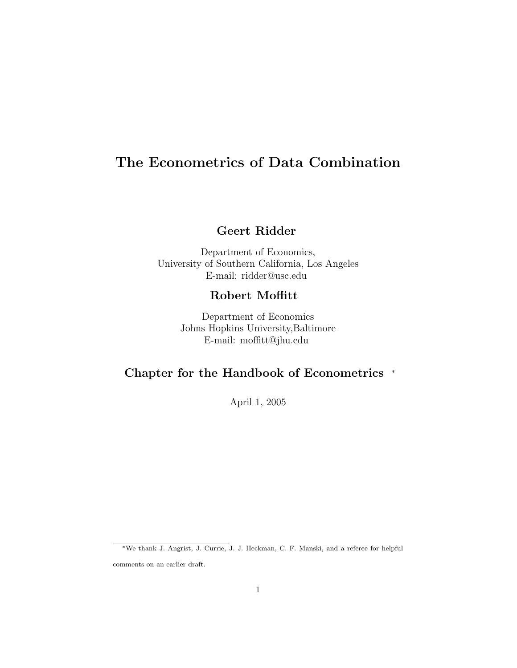# The Econometrics of Data Combination

## Geert Ridder

Department of Economics, University of Southern California, Los Angeles E-mail: ridder@usc.edu

## Robert Moffitt

Department of Economics Johns Hopkins University,Baltimore E-mail: moffitt@jhu.edu

## Chapter for the Handbook of Econometrics <sup>∗</sup>

April 1, 2005

<sup>∗</sup>We thank J. Angrist, J. Currie, J. J. Heckman, C. F. Manski, and a referee for helpful

comments on an earlier draft.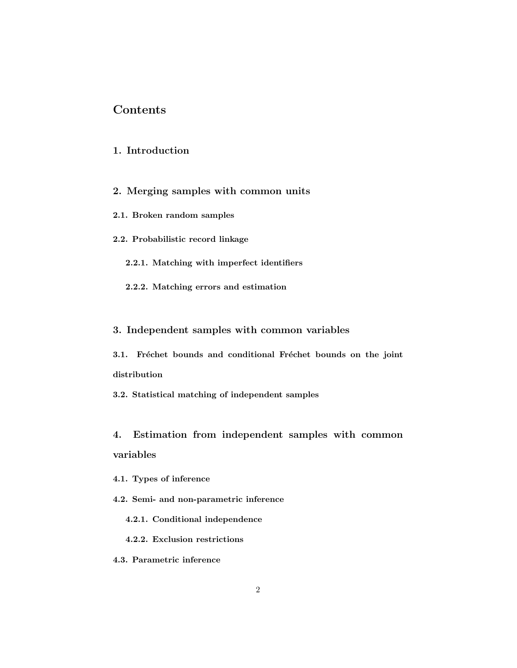## Contents

### 1. Introduction

- 2. Merging samples with common units
- 2.1. Broken random samples
- 2.2. Probabilistic record linkage
	- 2.2.1. Matching with imperfect identifiers
	- 2.2.2. Matching errors and estimation

#### 3. Independent samples with common variables

3.1. Fréchet bounds and conditional Fréchet bounds on the joint distribution

3.2. Statistical matching of independent samples

4. Estimation from independent samples with common variables

- 4.1. Types of inference
- 4.2. Semi- and non-parametric inference
	- 4.2.1. Conditional independence
	- 4.2.2. Exclusion restrictions
- 4.3. Parametric inference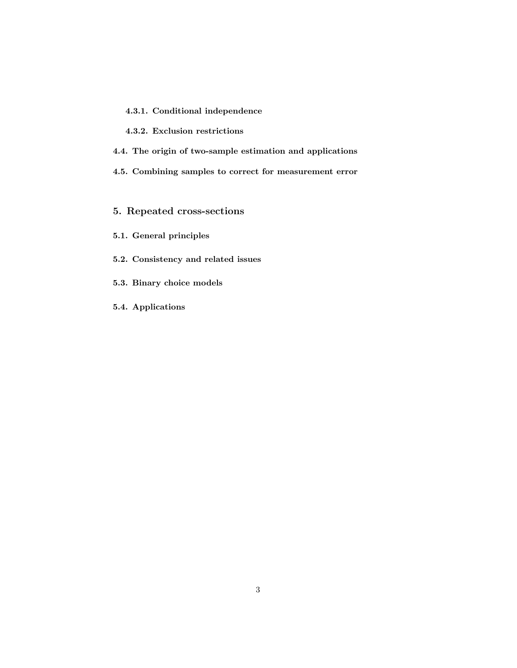- 4.3.1. Conditional independence
- 4.3.2. Exclusion restrictions
- 4.4. The origin of two-sample estimation and applications
- 4.5. Combining samples to correct for measurement error
- 5. Repeated cross-sections
- 5.1. General principles
- 5.2. Consistency and related issues
- 5.3. Binary choice models
- 5.4. Applications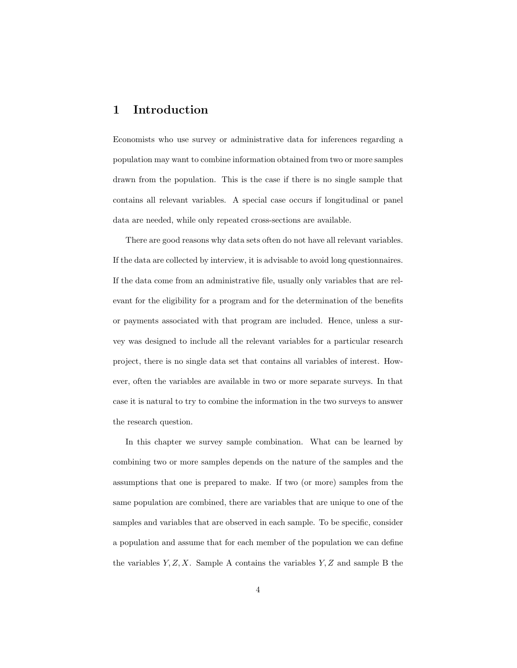## 1 Introduction

Economists who use survey or administrative data for inferences regarding a population may want to combine information obtained from two or more samples drawn from the population. This is the case if there is no single sample that contains all relevant variables. A special case occurs if longitudinal or panel data are needed, while only repeated cross-sections are available.

There are good reasons why data sets often do not have all relevant variables. If the data are collected by interview, it is advisable to avoid long questionnaires. If the data come from an administrative file, usually only variables that are relevant for the eligibility for a program and for the determination of the benefits or payments associated with that program are included. Hence, unless a survey was designed to include all the relevant variables for a particular research project, there is no single data set that contains all variables of interest. However, often the variables are available in two or more separate surveys. In that case it is natural to try to combine the information in the two surveys to answer the research question.

In this chapter we survey sample combination. What can be learned by combining two or more samples depends on the nature of the samples and the assumptions that one is prepared to make. If two (or more) samples from the same population are combined, there are variables that are unique to one of the samples and variables that are observed in each sample. To be specific, consider a population and assume that for each member of the population we can define the variables  $Y, Z, X$ . Sample A contains the variables  $Y, Z$  and sample B the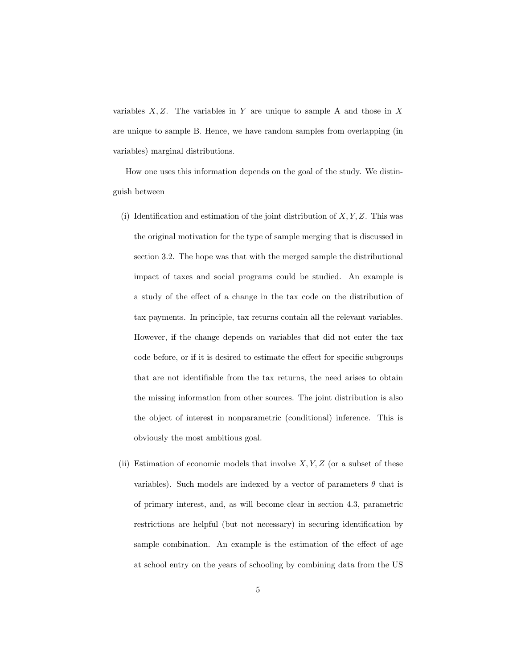variables  $X, Z$ . The variables in Y are unique to sample A and those in X are unique to sample B. Hence, we have random samples from overlapping (in variables) marginal distributions.

How one uses this information depends on the goal of the study. We distinguish between

- (i) Identification and estimation of the joint distribution of  $X, Y, Z$ . This was the original motivation for the type of sample merging that is discussed in section 3.2. The hope was that with the merged sample the distributional impact of taxes and social programs could be studied. An example is a study of the effect of a change in the tax code on the distribution of tax payments. In principle, tax returns contain all the relevant variables. However, if the change depends on variables that did not enter the tax code before, or if it is desired to estimate the effect for specific subgroups that are not identifiable from the tax returns, the need arises to obtain the missing information from other sources. The joint distribution is also the object of interest in nonparametric (conditional) inference. This is obviously the most ambitious goal.
- (ii) Estimation of economic models that involve  $X, Y, Z$  (or a subset of these variables). Such models are indexed by a vector of parameters  $\theta$  that is of primary interest, and, as will become clear in section 4.3, parametric restrictions are helpful (but not necessary) in securing identification by sample combination. An example is the estimation of the effect of age at school entry on the years of schooling by combining data from the US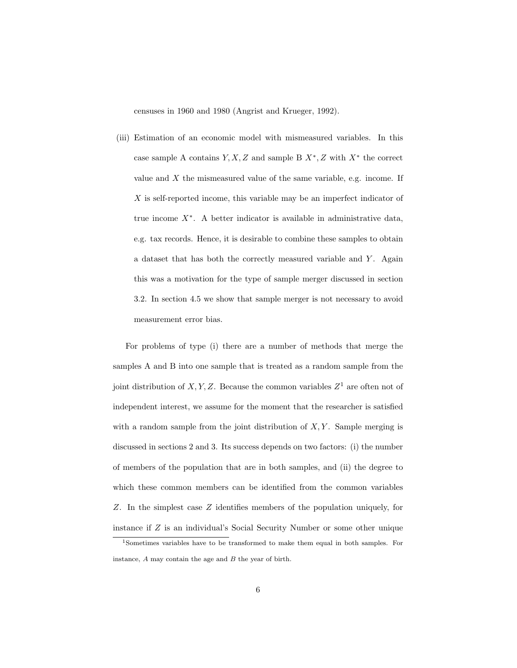censuses in 1960 and 1980 (Angrist and Krueger, 1992).

(iii) Estimation of an economic model with mismeasured variables. In this case sample A contains  $Y, X, Z$  and sample B  $X^*, Z$  with  $X^*$  the correct value and  $X$  the mismeasured value of the same variable, e.g. income. If  $X$  is self-reported income, this variable may be an imperfect indicator of true income X<sup>∗</sup> . A better indicator is available in administrative data, e.g. tax records. Hence, it is desirable to combine these samples to obtain a dataset that has both the correctly measured variable and Y. Again this was a motivation for the type of sample merger discussed in section 3.2. In section 4.5 we show that sample merger is not necessary to avoid measurement error bias.

For problems of type (i) there are a number of methods that merge the samples A and B into one sample that is treated as a random sample from the joint distribution of X, Y, Z. Because the common variables  $Z^1$  are often not of independent interest, we assume for the moment that the researcher is satisfied with a random sample from the joint distribution of  $X, Y$ . Sample merging is discussed in sections 2 and 3. Its success depends on two factors: (i) the number of members of the population that are in both samples, and (ii) the degree to which these common members can be identified from the common variables Z. In the simplest case Z identifies members of the population uniquely, for instance if Z is an individual's Social Security Number or some other unique

<sup>1</sup>Sometimes variables have to be transformed to make them equal in both samples. For instance, A may contain the age and B the year of birth.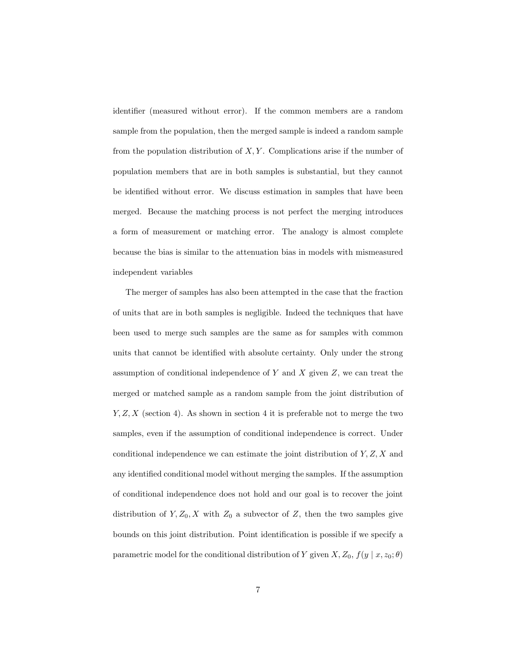identifier (measured without error). If the common members are a random sample from the population, then the merged sample is indeed a random sample from the population distribution of  $X, Y$ . Complications arise if the number of population members that are in both samples is substantial, but they cannot be identified without error. We discuss estimation in samples that have been merged. Because the matching process is not perfect the merging introduces a form of measurement or matching error. The analogy is almost complete because the bias is similar to the attenuation bias in models with mismeasured independent variables

The merger of samples has also been attempted in the case that the fraction of units that are in both samples is negligible. Indeed the techniques that have been used to merge such samples are the same as for samples with common units that cannot be identified with absolute certainty. Only under the strong assumption of conditional independence of  $Y$  and  $X$  given  $Z$ , we can treat the merged or matched sample as a random sample from the joint distribution of  $Y, Z, X$  (section 4). As shown in section 4 it is preferable not to merge the two samples, even if the assumption of conditional independence is correct. Under conditional independence we can estimate the joint distribution of  $Y, Z, X$  and any identified conditional model without merging the samples. If the assumption of conditional independence does not hold and our goal is to recover the joint distribution of  $Y, Z_0, X$  with  $Z_0$  a subvector of Z, then the two samples give bounds on this joint distribution. Point identification is possible if we specify a parametric model for the conditional distribution of Y given  $X, Z_0, f(y \mid x, z_0; \theta)$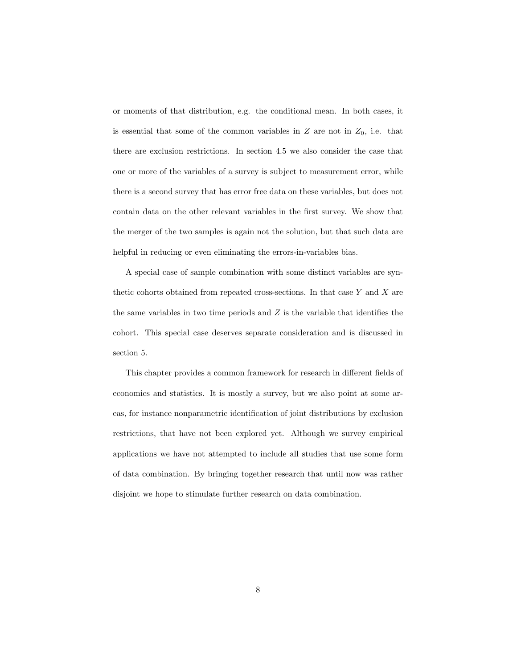or moments of that distribution, e.g. the conditional mean. In both cases, it is essential that some of the common variables in  $Z$  are not in  $Z_0$ , i.e. that there are exclusion restrictions. In section 4.5 we also consider the case that one or more of the variables of a survey is subject to measurement error, while there is a second survey that has error free data on these variables, but does not contain data on the other relevant variables in the first survey. We show that the merger of the two samples is again not the solution, but that such data are helpful in reducing or even eliminating the errors-in-variables bias.

A special case of sample combination with some distinct variables are synthetic cohorts obtained from repeated cross-sections. In that case  $Y$  and  $X$  are the same variables in two time periods and  $Z$  is the variable that identifies the cohort. This special case deserves separate consideration and is discussed in section 5.

This chapter provides a common framework for research in different fields of economics and statistics. It is mostly a survey, but we also point at some areas, for instance nonparametric identification of joint distributions by exclusion restrictions, that have not been explored yet. Although we survey empirical applications we have not attempted to include all studies that use some form of data combination. By bringing together research that until now was rather disjoint we hope to stimulate further research on data combination.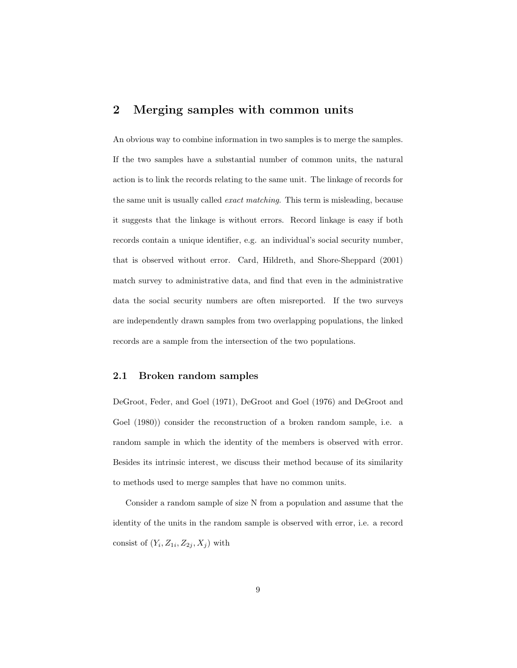## 2 Merging samples with common units

An obvious way to combine information in two samples is to merge the samples. If the two samples have a substantial number of common units, the natural action is to link the records relating to the same unit. The linkage of records for the same unit is usually called exact matching. This term is misleading, because it suggests that the linkage is without errors. Record linkage is easy if both records contain a unique identifier, e.g. an individual's social security number, that is observed without error. Card, Hildreth, and Shore-Sheppard (2001) match survey to administrative data, and find that even in the administrative data the social security numbers are often misreported. If the two surveys are independently drawn samples from two overlapping populations, the linked records are a sample from the intersection of the two populations.

#### 2.1 Broken random samples

DeGroot, Feder, and Goel (1971), DeGroot and Goel (1976) and DeGroot and Goel (1980)) consider the reconstruction of a broken random sample, i.e. a random sample in which the identity of the members is observed with error. Besides its intrinsic interest, we discuss their method because of its similarity to methods used to merge samples that have no common units.

Consider a random sample of size N from a population and assume that the identity of the units in the random sample is observed with error, i.e. a record consist of  $(Y_i, Z_{1i}, Z_{2j}, X_j)$  with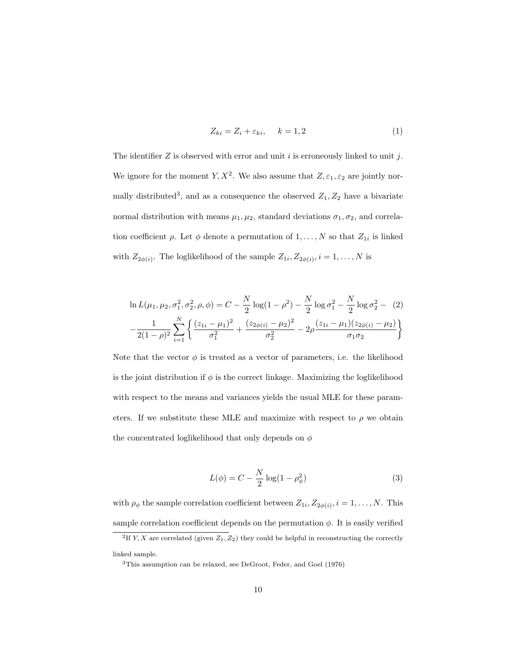$$
Z_{ki} = Z_i + \varepsilon_{ki}, \qquad k = 1, 2 \tag{1}
$$

The identifier  $Z$  is observed with error and unit  $i$  is erroneously linked to unit  $j$ . We ignore for the moment  $Y, X^2$ . We also assume that  $Z, \varepsilon_1, \varepsilon_2$  are jointly normally distributed<sup>3</sup>, and as a consequence the observed  $Z_1, Z_2$  have a bivariate normal distribution with means  $\mu_1, \mu_2$ , standard deviations  $\sigma_1, \sigma_2$ , and correlation coefficient  $\rho$ . Let  $\phi$  denote a permutation of  $1, \ldots, N$  so that  $Z_{1i}$  is linked with  $Z_{2\phi(i)}$ . The loglikelihood of the sample  $Z_{1i}, Z_{2\phi(i)}$ ,  $i = 1, \ldots, N$  is

$$
\ln L(\mu_1, \mu_2, \sigma_1^2, \sigma_2^2, \rho, \phi) = C - \frac{N}{2} \log(1 - \rho^2) - \frac{N}{2} \log \sigma_1^2 - \frac{N}{2} \log \sigma_2^2 - (2) - \frac{1}{2(1 - \rho)^2} \sum_{i=1}^N \left\{ \frac{(z_{1i} - \mu_1)^2}{\sigma_1^2} + \frac{(z_{2\phi(i)} - \mu_2)^2}{\sigma_2^2} - 2\rho \frac{(z_{1i} - \mu_1)(z_{2\phi(i)} - \mu_2)}{\sigma_1 \sigma_2} \right\}
$$

Note that the vector  $\phi$  is treated as a vector of parameters, i.e. the likelihood is the joint distribution if  $\phi$  is the correct linkage. Maximizing the loglikelihood with respect to the means and variances yields the usual MLE for these parameters. If we substitute these MLE and maximize with respect to  $\rho$  we obtain the concentrated loglikelihood that only depends on  $\phi$ 

$$
L(\phi) = C - \frac{N}{2}\log(1 - \rho_{\phi}^{2})
$$
\n(3)

with  $\rho_{\phi}$  the sample correlation coefficient between  $Z_{1i}, Z_{2\phi(i)}, i = 1, \ldots, N$ . This sample correlation coefficient depends on the permutation  $\phi$ . It is easily verified

linked sample.

<sup>&</sup>lt;sup>2</sup>If Y, X are correlated (given  $Z_1, Z_2$ ) they could be helpful in reconstructing the correctly

<sup>3</sup>This assumption can be relaxed, see DeGroot, Feder, and Goel (1976)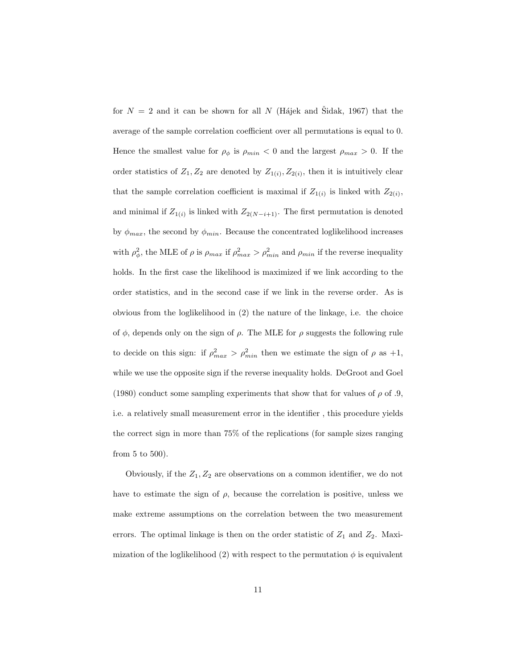for  $N = 2$  and it can be shown for all N (Hájek and Šidak, 1967) that the average of the sample correlation coefficient over all permutations is equal to 0. Hence the smallest value for  $\rho_{\phi}$  is  $\rho_{min} < 0$  and the largest  $\rho_{max} > 0$ . If the order statistics of  $Z_1, Z_2$  are denoted by  $Z_{1(i)}, Z_{2(i)}$ , then it is intuitively clear that the sample correlation coefficient is maximal if  $Z_{1(i)}$  is linked with  $Z_{2(i)}$ , and minimal if  $Z_{1(i)}$  is linked with  $Z_{2(N-i+1)}$ . The first permutation is denoted by  $\phi_{max}$ , the second by  $\phi_{min}$ . Because the concentrated loglikelihood increases with  $\rho_{\phi}^2$ , the MLE of  $\rho$  is  $\rho_{max}$  if  $\rho_{max}^2 > \rho_{min}^2$  and  $\rho_{min}$  if the reverse inequality holds. In the first case the likelihood is maximized if we link according to the order statistics, and in the second case if we link in the reverse order. As is obvious from the loglikelihood in (2) the nature of the linkage, i.e. the choice of  $\phi$ , depends only on the sign of  $\rho$ . The MLE for  $\rho$  suggests the following rule to decide on this sign: if  $\rho_{max}^2 > \rho_{min}^2$  then we estimate the sign of  $\rho$  as  $+1$ , while we use the opposite sign if the reverse inequality holds. DeGroot and Goel (1980) conduct some sampling experiments that show that for values of  $\rho$  of .9, i.e. a relatively small measurement error in the identifier , this procedure yields the correct sign in more than 75% of the replications (for sample sizes ranging from 5 to 500).

Obviously, if the  $Z_1, Z_2$  are observations on a common identifier, we do not have to estimate the sign of  $\rho$ , because the correlation is positive, unless we make extreme assumptions on the correlation between the two measurement errors. The optimal linkage is then on the order statistic of  $Z_1$  and  $Z_2$ . Maximization of the loglikelihood (2) with respect to the permutation  $\phi$  is equivalent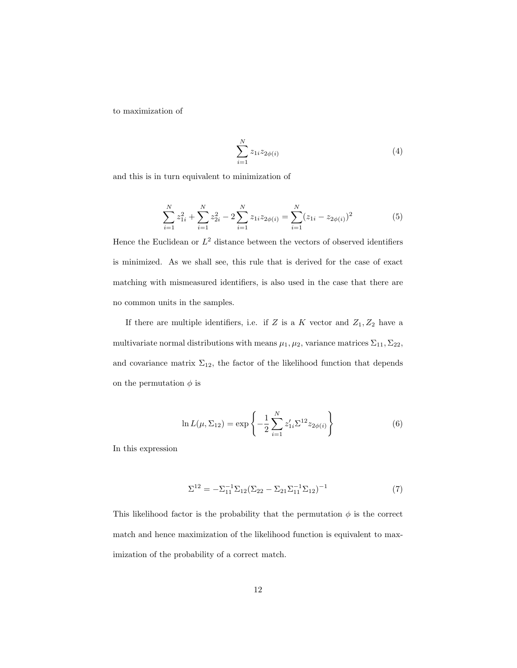to maximization of

$$
\sum_{i=1}^{N} z_{1i} z_{2\phi(i)} \tag{4}
$$

and this is in turn equivalent to minimization of

$$
\sum_{i=1}^{N} z_{1i}^2 + \sum_{i=1}^{N} z_{2i}^2 - 2\sum_{i=1}^{N} z_{1i} z_{2\phi(i)} = \sum_{i=1}^{N} (z_{1i} - z_{2\phi(i)})^2
$$
(5)

Hence the Euclidean or  $L^2$  distance between the vectors of observed identifiers is minimized. As we shall see, this rule that is derived for the case of exact matching with mismeasured identifiers, is also used in the case that there are no common units in the samples.

If there are multiple identifiers, i.e. if  $Z$  is a  $K$  vector and  $Z_1, Z_2$  have a multivariate normal distributions with means  $\mu_1, \mu_2$ , variance matrices  $\Sigma_{11}, \Sigma_{22}$ , and covariance matrix  $\Sigma_{12}$ , the factor of the likelihood function that depends on the permutation  $\phi$  is

$$
\ln L(\mu, \Sigma_{12}) = \exp\left\{-\frac{1}{2} \sum_{i=1}^{N} z'_{1i} \Sigma^{12} z_{2\phi(i)}\right\}
$$
(6)

In this expression

$$
\Sigma^{12} = -\Sigma_{11}^{-1} \Sigma_{12} (\Sigma_{22} - \Sigma_{21} \Sigma_{11}^{-1} \Sigma_{12})^{-1}
$$
 (7)

This likelihood factor is the probability that the permutation  $\phi$  is the correct match and hence maximization of the likelihood function is equivalent to maximization of the probability of a correct match.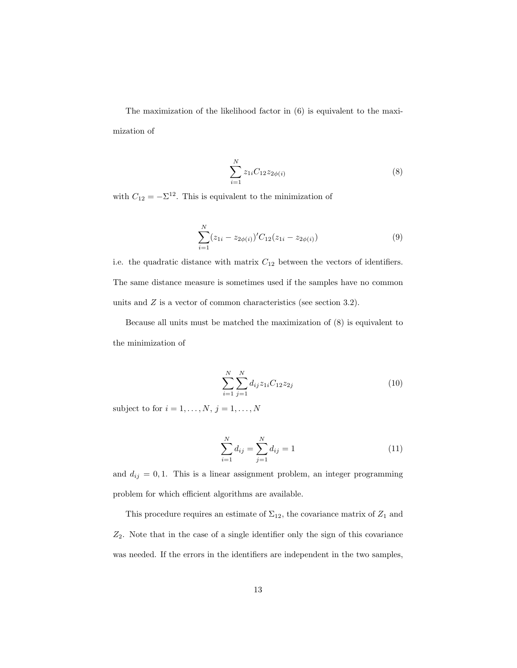The maximization of the likelihood factor in (6) is equivalent to the maximization of

$$
\sum_{i=1}^{N} z_{1i} C_{12} z_{2\phi(i)}
$$
 (8)

with  $C_{12} = -\Sigma^{12}$ . This is equivalent to the minimization of

$$
\sum_{i=1}^{N} (z_{1i} - z_{2\phi(i)})' C_{12}(z_{1i} - z_{2\phi(i)})
$$
\n(9)

i.e. the quadratic distance with matrix  $C_{12}$  between the vectors of identifiers. The same distance measure is sometimes used if the samples have no common units and Z is a vector of common characteristics (see section 3.2).

Because all units must be matched the maximization of (8) is equivalent to the minimization of

$$
\sum_{i=1}^{N} \sum_{j=1}^{N} d_{ij} z_{1i} C_{12} z_{2j}
$$
\n(10)

subject to for  $i = 1, \ldots, N, j = 1, \ldots, N$ 

$$
\sum_{i=1}^{N} d_{ij} = \sum_{j=1}^{N} d_{ij} = 1
$$
\n(11)

and  $d_{ij} = 0, 1$ . This is a linear assignment problem, an integer programming problem for which efficient algorithms are available.

This procedure requires an estimate of  $\Sigma_{12}$ , the covariance matrix of  $Z_1$  and  $Z_2$ . Note that in the case of a single identifier only the sign of this covariance was needed. If the errors in the identifiers are independent in the two samples,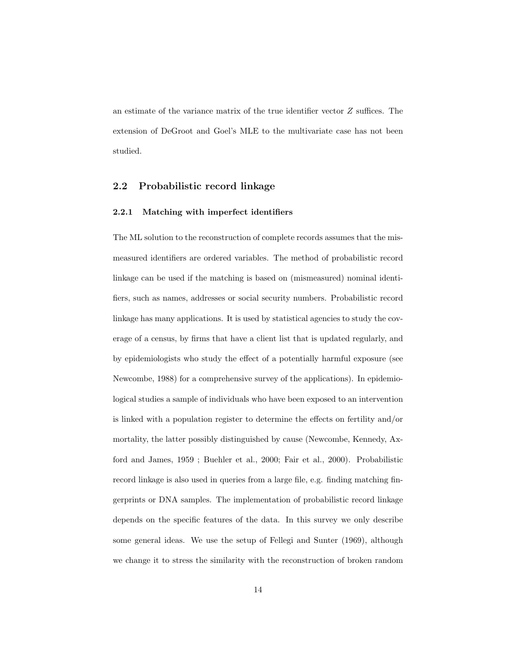an estimate of the variance matrix of the true identifier vector Z suffices. The extension of DeGroot and Goel's MLE to the multivariate case has not been studied.

#### 2.2 Probabilistic record linkage

#### 2.2.1 Matching with imperfect identifiers

The ML solution to the reconstruction of complete records assumes that the mismeasured identifiers are ordered variables. The method of probabilistic record linkage can be used if the matching is based on (mismeasured) nominal identifiers, such as names, addresses or social security numbers. Probabilistic record linkage has many applications. It is used by statistical agencies to study the coverage of a census, by firms that have a client list that is updated regularly, and by epidemiologists who study the effect of a potentially harmful exposure (see Newcombe, 1988) for a comprehensive survey of the applications). In epidemiological studies a sample of individuals who have been exposed to an intervention is linked with a population register to determine the effects on fertility and/or mortality, the latter possibly distinguished by cause (Newcombe, Kennedy, Axford and James, 1959 ; Buehler et al., 2000; Fair et al., 2000). Probabilistic record linkage is also used in queries from a large file, e.g. finding matching fingerprints or DNA samples. The implementation of probabilistic record linkage depends on the specific features of the data. In this survey we only describe some general ideas. We use the setup of Fellegi and Sunter (1969), although we change it to stress the similarity with the reconstruction of broken random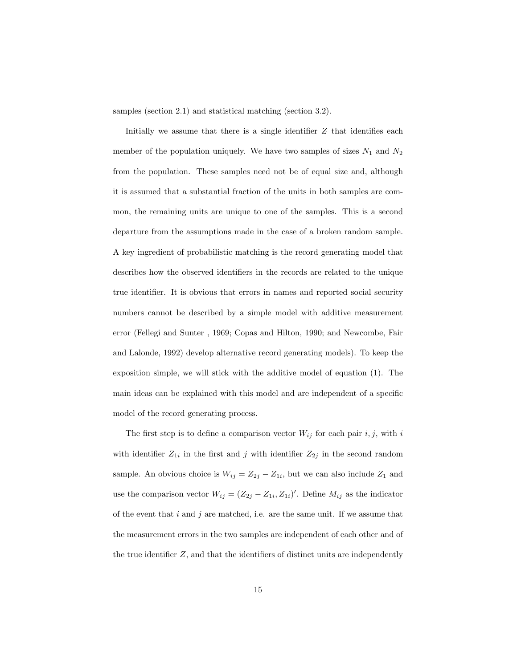samples (section 2.1) and statistical matching (section 3.2).

Initially we assume that there is a single identifier  $Z$  that identifies each member of the population uniquely. We have two samples of sizes  $N_1$  and  $N_2$ from the population. These samples need not be of equal size and, although it is assumed that a substantial fraction of the units in both samples are common, the remaining units are unique to one of the samples. This is a second departure from the assumptions made in the case of a broken random sample. A key ingredient of probabilistic matching is the record generating model that describes how the observed identifiers in the records are related to the unique true identifier. It is obvious that errors in names and reported social security numbers cannot be described by a simple model with additive measurement error (Fellegi and Sunter , 1969; Copas and Hilton, 1990; and Newcombe, Fair and Lalonde, 1992) develop alternative record generating models). To keep the exposition simple, we will stick with the additive model of equation (1). The main ideas can be explained with this model and are independent of a specific model of the record generating process.

The first step is to define a comparison vector  $W_{ij}$  for each pair  $i,j,$  with  $i$ with identifier  $Z_{1i}$  in the first and j with identifier  $Z_{2j}$  in the second random sample. An obvious choice is  $W_{ij} = Z_{2j} - Z_{1i}$ , but we can also include  $Z_1$  and use the comparison vector  $W_{ij} = (Z_{2j} - Z_{1i}, Z_{1i})'$ . Define  $M_{ij}$  as the indicator of the event that  $i$  and  $j$  are matched, i.e. are the same unit. If we assume that the measurement errors in the two samples are independent of each other and of the true identifier  $Z$ , and that the identifiers of distinct units are independently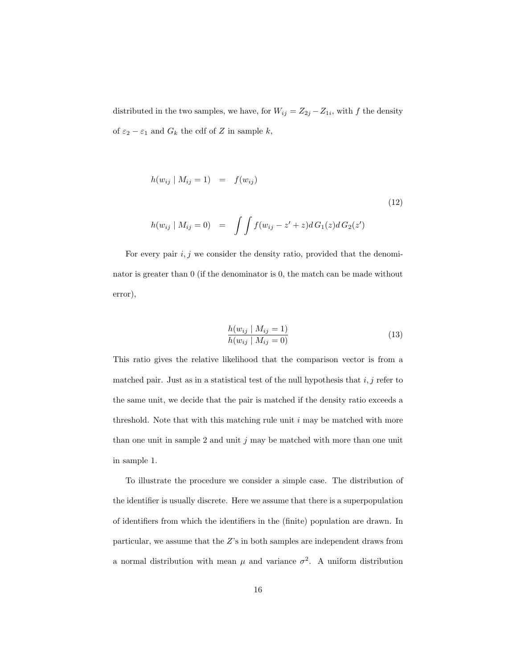distributed in the two samples, we have, for  $W_{ij} = Z_{2j} - Z_{1i}$ , with f the density of  $\varepsilon_2 - \varepsilon_1$  and  $G_k$  the cdf of Z in sample  $k$ ,

$$
h(w_{ij} | M_{ij} = 1) = f(w_{ij})
$$
\n
$$
h(w_{ij} | M_{ij} = 0) = \int \int f(w_{ij} - z' + z) dG_1(z) dG_2(z')
$$
\n(12)

For every pair  $i, j$  we consider the density ratio, provided that the denominator is greater than 0 (if the denominator is 0, the match can be made without error),

$$
\frac{h(w_{ij} | M_{ij} = 1)}{h(w_{ij} | M_{ij} = 0)}
$$
\n(13)

This ratio gives the relative likelihood that the comparison vector is from a matched pair. Just as in a statistical test of the null hypothesis that  $i, j$  refer to the same unit, we decide that the pair is matched if the density ratio exceeds a threshold. Note that with this matching rule unit  $i$  may be matched with more than one unit in sample 2 and unit  $j$  may be matched with more than one unit in sample 1.

To illustrate the procedure we consider a simple case. The distribution of the identifier is usually discrete. Here we assume that there is a superpopulation of identifiers from which the identifiers in the (finite) population are drawn. In particular, we assume that the Z's in both samples are independent draws from a normal distribution with mean  $\mu$  and variance  $\sigma^2$ . A uniform distribution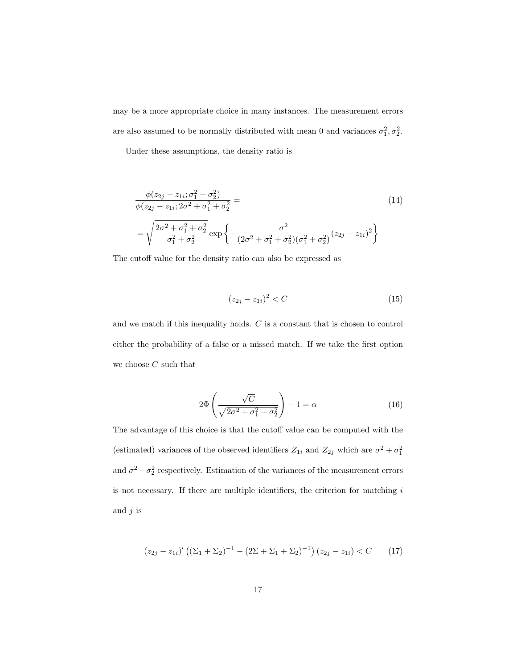may be a more appropriate choice in many instances. The measurement errors are also assumed to be normally distributed with mean 0 and variances  $\sigma_1^2, \sigma_2^2$ .

Under these assumptions, the density ratio is

$$
\frac{\phi(z_{2j} - z_{1i}; \sigma_1^2 + \sigma_2^2)}{\phi(z_{2j} - z_{1i}; 2\sigma^2 + \sigma_1^2 + \sigma_2^2} = \left(\frac{44}{\sigma_1^2 + \sigma_2^2}\right)
$$
\n
$$
= \sqrt{\frac{2\sigma^2 + \sigma_1^2 + \sigma_2^2}{\sigma_1^2 + \sigma_2^2}} \exp\left\{-\frac{\sigma^2}{(2\sigma^2 + \sigma_1^2 + \sigma_2^2)(\sigma_1^2 + \sigma_2^2)}(z_{2j} - z_{1i})^2\right\}
$$
\n(14)

The cutoff value for the density ratio can also be expressed as

$$
(z_{2j} - z_{1i})^2 < C \tag{15}
$$

and we match if this inequality holds. C is a constant that is chosen to control either the probability of a false or a missed match. If we take the first option we choose  $C$  such that

$$
2\Phi\left(\frac{\sqrt{C}}{\sqrt{2\sigma^2 + \sigma_1^2 + \sigma_2^2}}\right) - 1 = \alpha\tag{16}
$$

The advantage of this choice is that the cutoff value can be computed with the (estimated) variances of the observed identifiers  $Z_{1i}$  and  $Z_{2j}$  which are  $\sigma^2 + \sigma_1^2$ and  $\sigma^2 + \sigma_2^2$  respectively. Estimation of the variances of the measurement errors is not necessary. If there are multiple identifiers, the criterion for matching  $i$ and  $j$  is

$$
(z_{2j} - z_{1i})' ((\Sigma_1 + \Sigma_2)^{-1} - (2\Sigma + \Sigma_1 + \Sigma_2)^{-1}) (z_{2j} - z_{1i}) < C \qquad (17)
$$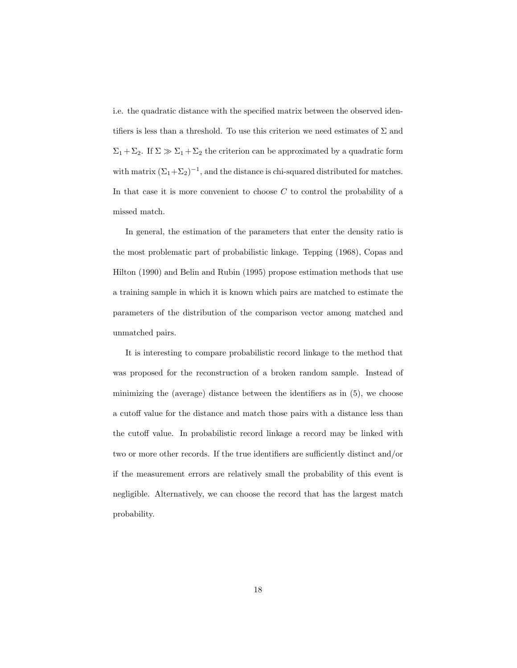i.e. the quadratic distance with the specified matrix between the observed identifiers is less than a threshold. To use this criterion we need estimates of  $\Sigma$  and  $\Sigma_1 + \Sigma_2$ . If  $\Sigma \gg \Sigma_1 + \Sigma_2$  the criterion can be approximated by a quadratic form with matrix  $(\Sigma_1 + \Sigma_2)^{-1}$ , and the distance is chi-squared distributed for matches. In that case it is more convenient to choose  $C$  to control the probability of a missed match.

In general, the estimation of the parameters that enter the density ratio is the most problematic part of probabilistic linkage. Tepping (1968), Copas and Hilton (1990) and Belin and Rubin (1995) propose estimation methods that use a training sample in which it is known which pairs are matched to estimate the parameters of the distribution of the comparison vector among matched and unmatched pairs.

It is interesting to compare probabilistic record linkage to the method that was proposed for the reconstruction of a broken random sample. Instead of minimizing the (average) distance between the identifiers as in (5), we choose a cutoff value for the distance and match those pairs with a distance less than the cutoff value. In probabilistic record linkage a record may be linked with two or more other records. If the true identifiers are sufficiently distinct and/or if the measurement errors are relatively small the probability of this event is negligible. Alternatively, we can choose the record that has the largest match probability.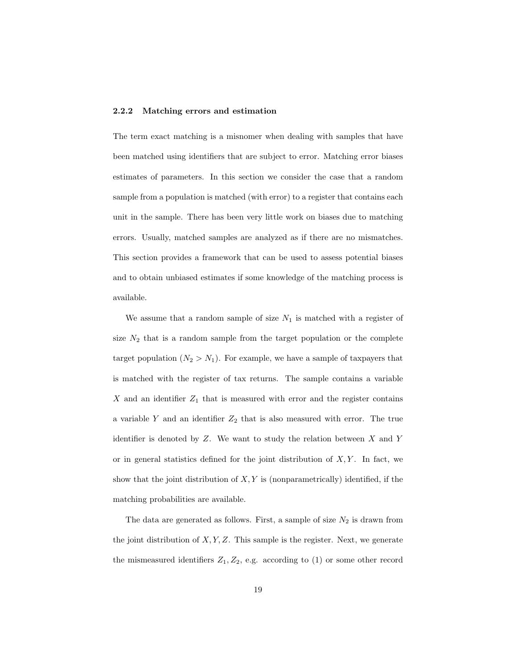#### 2.2.2 Matching errors and estimation

The term exact matching is a misnomer when dealing with samples that have been matched using identifiers that are subject to error. Matching error biases estimates of parameters. In this section we consider the case that a random sample from a population is matched (with error) to a register that contains each unit in the sample. There has been very little work on biases due to matching errors. Usually, matched samples are analyzed as if there are no mismatches. This section provides a framework that can be used to assess potential biases and to obtain unbiased estimates if some knowledge of the matching process is available.

We assume that a random sample of size  $N_1$  is matched with a register of size  $N_2$  that is a random sample from the target population or the complete target population  $(N_2 > N_1)$ . For example, we have a sample of taxpayers that is matched with the register of tax returns. The sample contains a variable  $X$  and an identifier  $Z_1$  that is measured with error and the register contains a variable  $Y$  and an identifier  $Z_2$  that is also measured with error. The true identifier is denoted by  $Z$ . We want to study the relation between  $X$  and  $Y$ or in general statistics defined for the joint distribution of  $X, Y$ . In fact, we show that the joint distribution of  $X, Y$  is (nonparametrically) identified, if the matching probabilities are available.

The data are generated as follows. First, a sample of size  $N_2$  is drawn from the joint distribution of  $X, Y, Z$ . This sample is the register. Next, we generate the mismeasured identifiers  $Z_1, Z_2, e.g.$  according to (1) or some other record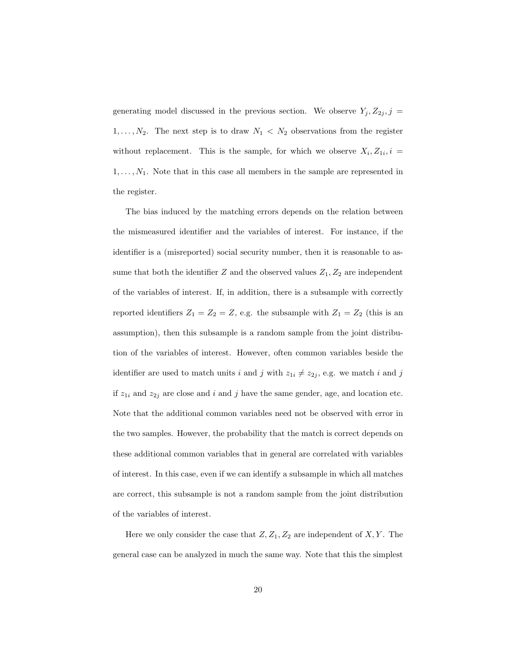generating model discussed in the previous section. We observe  $Y_j, Z_{2j}, j =$  $1, \ldots, N_2$ . The next step is to draw  $N_1 \langle N_2 \rangle$  observations from the register without replacement. This is the sample, for which we observe  $X_i, Z_{1i}, i =$  $1, \ldots, N_1$ . Note that in this case all members in the sample are represented in the register.

The bias induced by the matching errors depends on the relation between the mismeasured identifier and the variables of interest. For instance, if the identifier is a (misreported) social security number, then it is reasonable to assume that both the identifier Z and the observed values  $Z_1, Z_2$  are independent of the variables of interest. If, in addition, there is a subsample with correctly reported identifiers  $Z_1 = Z_2 = Z$ , e.g. the subsample with  $Z_1 = Z_2$  (this is an assumption), then this subsample is a random sample from the joint distribution of the variables of interest. However, often common variables beside the identifier are used to match units i and j with  $z_{1i} \neq z_{2j}$ , e.g. we match i and j if  $z_{1i}$  and  $z_{2j}$  are close and i and j have the same gender, age, and location etc. Note that the additional common variables need not be observed with error in the two samples. However, the probability that the match is correct depends on these additional common variables that in general are correlated with variables of interest. In this case, even if we can identify a subsample in which all matches are correct, this subsample is not a random sample from the joint distribution of the variables of interest.

Here we only consider the case that  $Z, Z_1, Z_2$  are independent of  $X, Y$ . The general case can be analyzed in much the same way. Note that this the simplest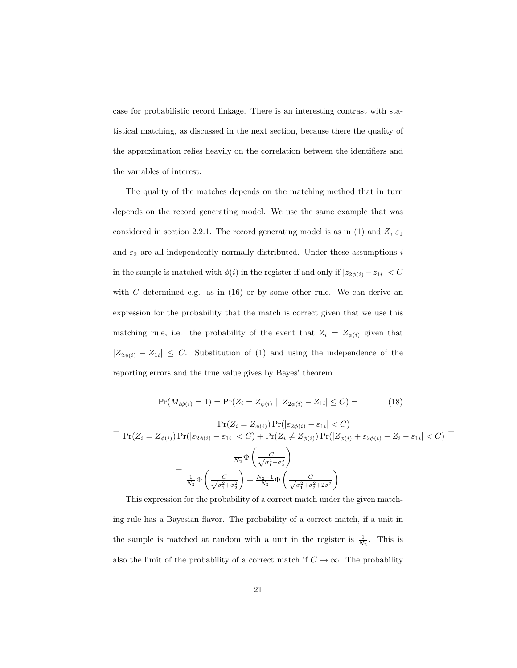case for probabilistic record linkage. There is an interesting contrast with statistical matching, as discussed in the next section, because there the quality of the approximation relies heavily on the correlation between the identifiers and the variables of interest.

The quality of the matches depends on the matching method that in turn depends on the record generating model. We use the same example that was considered in section 2.2.1. The record generating model is as in (1) and Z,  $\varepsilon_1$ and  $\varepsilon_2$  are all independently normally distributed. Under these assumptions i in the sample is matched with  $\phi(i)$  in the register if and only if  $|z_{2\phi(i)} - z_{1i}| < C$ with  $C$  determined e.g. as in  $(16)$  or by some other rule. We can derive an expression for the probability that the match is correct given that we use this matching rule, i.e. the probability of the event that  $Z_i = Z_{\phi(i)}$  given that  $|Z_{2\phi(i)} - Z_{1i}| \leq C$ . Substitution of (1) and using the independence of the reporting errors and the true value gives by Bayes' theorem

$$
Pr(M_{i\phi(i)} = 1) = Pr(Z_i = Z_{\phi(i)} | |Z_{2\phi(i)} - Z_{1i}| \le C) =
$$
\n(18)

$$
= \frac{\Pr(Z_i = Z_{\phi(i)}) \Pr(|\varepsilon_{2\phi(i)} - \varepsilon_{1i}| < C)}{\Pr(Z_i = Z_{\phi(i)}) \Pr(|\varepsilon_{2\phi(i)} - \varepsilon_{1i}| < C) + \Pr(Z_i \neq Z_{\phi(i)}) \Pr(|Z_{\phi(i)} + \varepsilon_{2\phi(i)} - Z_i - \varepsilon_{1i}| < C)}
$$

$$
= \frac{\frac{1}{N_2} \Phi\left(\frac{C}{\sqrt{\sigma_1^2 + \sigma_2^2}}\right)}{\frac{1}{N_2} \Phi\left(\frac{C}{\sqrt{\sigma_1^2 + \sigma_2^2}}\right) + \frac{N_2 - 1}{N_2} \Phi\left(\frac{C}{\sqrt{\sigma_1^2 + \sigma_2^2 + 2\sigma^2}}\right)}
$$

This expression for the probability of a correct match under the given matching rule has a Bayesian flavor. The probability of a correct match, if a unit in the sample is matched at random with a unit in the register is  $\frac{1}{N_2}$ . This is also the limit of the probability of a correct match if  $C \to \infty$ . The probability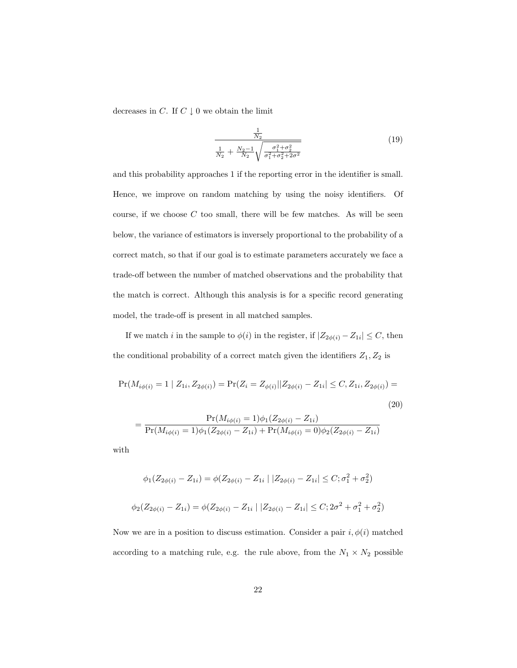decreases in  $C$ . If  $C \downarrow 0$  we obtain the limit

$$
\frac{\frac{1}{N_2}}{\frac{1}{N_2} + \frac{N_2 - 1}{N_2} \sqrt{\frac{\sigma_1^2 + \sigma_2^2}{\sigma_1^2 + \sigma_2^2 + 2\sigma^2}}}
$$
(19)

and this probability approaches 1 if the reporting error in the identifier is small. Hence, we improve on random matching by using the noisy identifiers. Of course, if we choose  $C$  too small, there will be few matches. As will be seen below, the variance of estimators is inversely proportional to the probability of a correct match, so that if our goal is to estimate parameters accurately we face a trade-off between the number of matched observations and the probability that the match is correct. Although this analysis is for a specific record generating model, the trade-off is present in all matched samples.

If we match i in the sample to  $\phi(i)$  in the register, if  $|Z_{2\phi(i)} - Z_{1i}| \leq C$ , then the conditional probability of a correct match given the identifiers  $Z_1, Z_2$  is

$$
\Pr(M_{i\phi(i)} = 1 \mid Z_{1i}, Z_{2\phi(i)}) = \Pr(Z_i = Z_{\phi(i)} || Z_{2\phi(i)} - Z_{1i} | \le C, Z_{1i}, Z_{2\phi(i)}) =
$$
\n(20)

$$
= \frac{\Pr(M_{i\phi(i)} = 1)\phi_1(Z_{2\phi(i)} - Z_{1i})}{\Pr(M_{i\phi(i)} = 1)\phi_1(Z_{2\phi(i)} - Z_{1i}) + \Pr(M_{i\phi(i)} = 0)\phi_2(Z_{2\phi(i)} - Z_{1i})}
$$

with

$$
\phi_1(Z_{2\phi(i)} - Z_{1i}) = \phi(Z_{2\phi(i)} - Z_{1i} | |Z_{2\phi(i)} - Z_{1i}| \le C; \sigma_1^2 + \sigma_2^2)
$$
  

$$
\phi_2(Z_{2\phi(i)} - Z_{1i}) = \phi(Z_{2\phi(i)} - Z_{1i} | |Z_{2\phi(i)} - Z_{1i}| \le C; 2\sigma^2 + \sigma_1^2 + \sigma_2^2)
$$

Now we are in a position to discuss estimation. Consider a pair  $i, \phi(i)$  matched according to a matching rule, e.g. the rule above, from the  $N_1\times N_2$  possible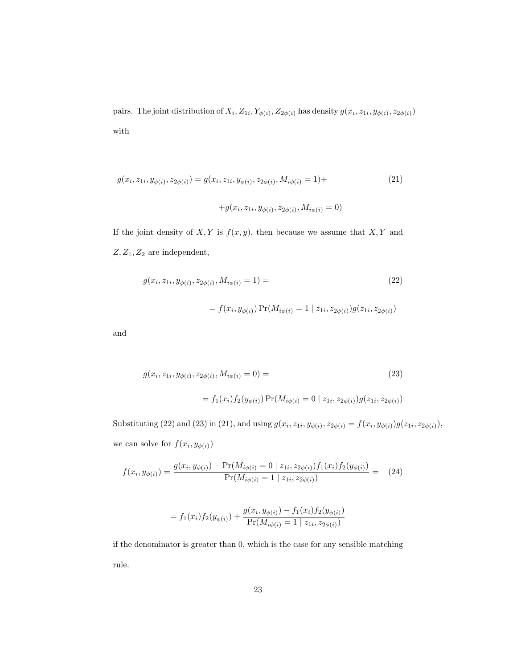pairs. The joint distribution of  $X_i$ ,  $Z_{1i}$ ,  $Y_{\phi(i)}$ ,  $Z_{2\phi(i)}$  has density  $g(x_i, z_{1i}, y_{\phi(i)}, z_{2\phi(i)})$ with

$$
g(x_i, z_{1i}, y_{\phi(i)}, z_{2\phi(i)}) = g(x_i, z_{1i}, y_{\phi(i)}, z_{2\phi(i)}, M_{i\phi(i)} = 1) +
$$
\n
$$
+ g(x_i, z_{1i}, y_{\phi(i)}, z_{2\phi(i)}, M_{i\phi(i)} = 0)
$$
\n
$$
(21)
$$

If the joint density of  $X, Y$  is  $f(x, y)$ , then because we assume that  $X, Y$  and  $Z, Z_1, Z_2$  are independent,

$$
g(x_i, z_{1i}, y_{\phi(i)}, z_{2\phi(i)}, M_{i\phi(i)} = 1) = \tag{22}
$$

$$
= f(x_i, y_{\phi(i)}) \Pr(M_{i\phi(i)} = 1 | z_{1i}, z_{2\phi(i)}) g(z_{1i}, z_{2\phi(i)})
$$

and

$$
g(x_i, z_{1i}, y_{\phi(i)}, z_{2\phi(i)}, M_{i\phi(i)} = 0) =
$$
\n(23)

$$
= f_1(x_i) f_2(y_{\phi(i)}) \Pr(M_{i\phi(i)} = 0 \mid z_{1i}, z_{2\phi(i)}) g(z_{1i}, z_{2\phi(i)})
$$

Substituting (22) and (23) in (21), and using  $g(x_i, z_{1i}, y_{\phi(i)}, z_{2\phi(i)} = f(x_i, y_{\phi(i)})g(z_{1i}, z_{2\phi(i)}),$ we can solve for  $f(x_i, y_{\phi(i)})$ 

$$
f(x_i, y_{\phi(i)}) = \frac{g(x_i, y_{\phi(i)}) - \Pr(M_{i\phi(i)} = 0 \mid z_{1i}, z_{2\phi(i)}) f_1(x_i) f_2(y_{\phi(i)})}{\Pr(M_{i\phi(i)} = 1 \mid z_{1i}, z_{2\phi(i)})} = (24)
$$

$$
= f_1(x_i) f_2(y_{\phi(i)}) + \frac{g(x_i, y_{\phi(i)}) - f_1(x_i) f_2(y_{\phi(i)})}{\Pr(M_{i\phi(i)} = 1 \mid z_{1i}, z_{2\phi(i)})}
$$

if the denominator is greater than 0, which is the case for any sensible matching rule.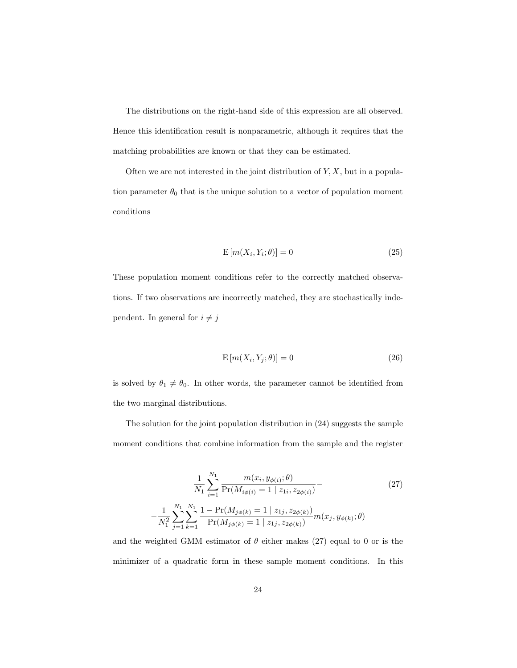The distributions on the right-hand side of this expression are all observed. Hence this identification result is nonparametric, although it requires that the matching probabilities are known or that they can be estimated.

Often we are not interested in the joint distribution of  $Y, X$ , but in a population parameter  $\theta_0$  that is the unique solution to a vector of population moment conditions

$$
E\left[m(X_i, Y_i; \theta)\right] = 0\tag{25}
$$

These population moment conditions refer to the correctly matched observations. If two observations are incorrectly matched, they are stochastically independent. In general for  $i \neq j$ 

$$
E\left[m(X_i, Y_j; \theta)\right] = 0\tag{26}
$$

is solved by  $\theta_1 \neq \theta_0$ . In other words, the parameter cannot be identified from the two marginal distributions.

The solution for the joint population distribution in (24) suggests the sample moment conditions that combine information from the sample and the register

$$
\frac{1}{N_1} \sum_{i=1}^{N_1} \frac{m(x_i, y_{\phi(i)}; \theta)}{\Pr(M_{i\phi(i)} = 1 \mid z_{1i}, z_{2\phi(i)})} - \frac{1}{N_1^2} \sum_{j=1}^{N_1} \sum_{k=1}^{N_1} \frac{1 - \Pr(M_{j\phi(k)} = 1 \mid z_{1j}, z_{2\phi(k)})}{\Pr(M_{j\phi(k)} = 1 \mid z_{1j}, z_{2\phi(k)})} m(x_j, y_{\phi(k)}; \theta)
$$
\n(27)

and the weighted GMM estimator of  $\theta$  either makes (27) equal to 0 or is the minimizer of a quadratic form in these sample moment conditions. In this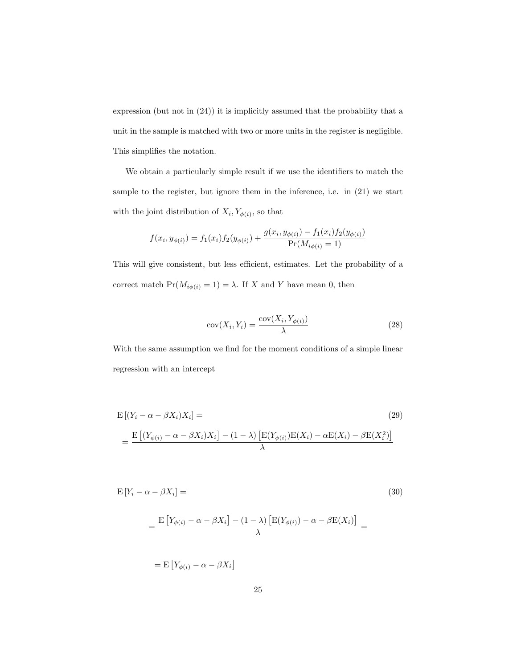expression (but not in (24)) it is implicitly assumed that the probability that a unit in the sample is matched with two or more units in the register is negligible. This simplifies the notation.

We obtain a particularly simple result if we use the identifiers to match the sample to the register, but ignore them in the inference, i.e. in (21) we start with the joint distribution of  $X_i, Y_{\phi(i)}$ , so that

$$
f(x_i, y_{\phi(i)}) = f_1(x_i) f_2(y_{\phi(i)}) + \frac{g(x_i, y_{\phi(i)}) - f_1(x_i) f_2(y_{\phi(i)})}{\Pr(M_{i\phi(i)} = 1)}
$$

This will give consistent, but less efficient, estimates. Let the probability of a correct match  $Pr(M_{i\phi(i)} = 1) = \lambda$ . If X and Y have mean 0, then

$$
cov(X_i, Y_i) = \frac{cov(X_i, Y_{\phi(i)})}{\lambda}
$$
\n(28)

With the same assumption we find for the moment conditions of a simple linear regression with an intercept

$$
E\left[(Y_i - \alpha - \beta X_i)X_i\right] =
$$
\n
$$
= \frac{E\left[(Y_{\phi(i)} - \alpha - \beta X_i)X_i\right] - (1 - \lambda)\left[E(Y_{\phi(i)})E(X_i) - \alpha E(X_i) - \beta E(X_i^2)\right]}{\lambda}
$$
\n(29)

$$
E[Y_i - \alpha - \beta X_i] = \tag{30}
$$

$$
= \frac{\mathrm{E}\left[Y_{\phi(i)} - \alpha - \beta X_i\right] - (1-\lambda)\left[\mathrm{E}(Y_{\phi(i)}) - \alpha - \beta \mathrm{E}(X_i)\right]}{\lambda} =
$$

 $= \mathbb{E}\left[Y_{\phi(i)} - \alpha - \beta X_i\right]$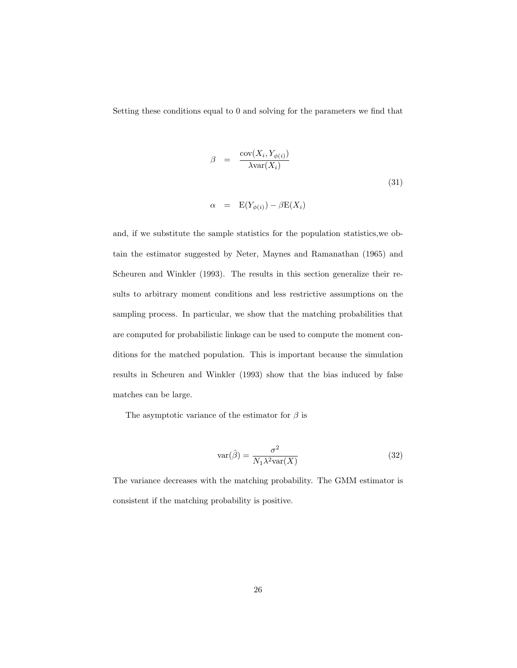Setting these conditions equal to 0 and solving for the parameters we find that

$$
\beta = \frac{\text{cov}(X_i, Y_{\phi(i)})}{\lambda \text{var}(X_i)}
$$
\n
$$
\alpha = \mathcal{E}(Y_{\phi(i)}) - \beta \mathcal{E}(X_i)
$$
\n(31)

and, if we substitute the sample statistics for the population statistics,we obtain the estimator suggested by Neter, Maynes and Ramanathan (1965) and Scheuren and Winkler (1993). The results in this section generalize their results to arbitrary moment conditions and less restrictive assumptions on the sampling process. In particular, we show that the matching probabilities that are computed for probabilistic linkage can be used to compute the moment conditions for the matched population. This is important because the simulation results in Scheuren and Winkler (1993) show that the bias induced by false matches can be large.

The asymptotic variance of the estimator for  $\beta$  is

$$
var(\hat{\beta}) = \frac{\sigma^2}{N_1 \lambda^2 var(X)} \tag{32}
$$

The variance decreases with the matching probability. The GMM estimator is consistent if the matching probability is positive.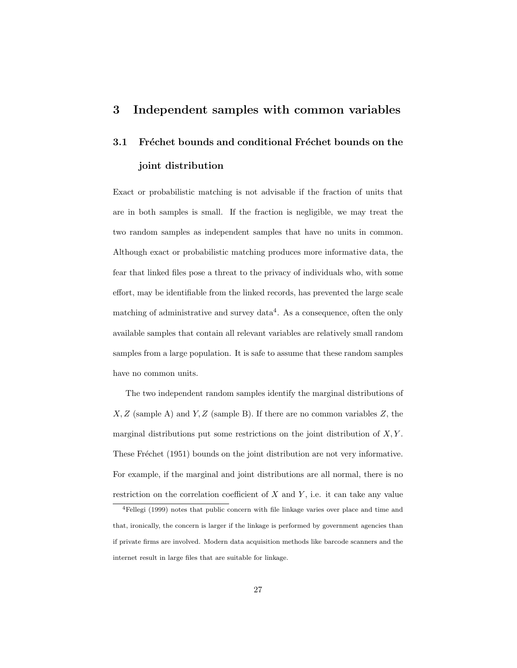## 3 Independent samples with common variables

# 3.1 Fréchet bounds and conditional Fréchet bounds on the joint distribution

Exact or probabilistic matching is not advisable if the fraction of units that are in both samples is small. If the fraction is negligible, we may treat the two random samples as independent samples that have no units in common. Although exact or probabilistic matching produces more informative data, the fear that linked files pose a threat to the privacy of individuals who, with some effort, may be identifiable from the linked records, has prevented the large scale matching of administrative and survey data<sup>4</sup>. As a consequence, often the only available samples that contain all relevant variables are relatively small random samples from a large population. It is safe to assume that these random samples have no common units.

The two independent random samples identify the marginal distributions of  $X, Z$  (sample A) and  $Y, Z$  (sample B). If there are no common variables  $Z$ , the marginal distributions put some restrictions on the joint distribution of  $X, Y$ . These Fréchet (1951) bounds on the joint distribution are not very informative. For example, if the marginal and joint distributions are all normal, there is no restriction on the correlation coefficient of  $X$  and  $Y$ , i.e. it can take any value

<sup>4</sup>Fellegi (1999) notes that public concern with file linkage varies over place and time and that, ironically, the concern is larger if the linkage is performed by government agencies than if private firms are involved. Modern data acquisition methods like barcode scanners and the internet result in large files that are suitable for linkage.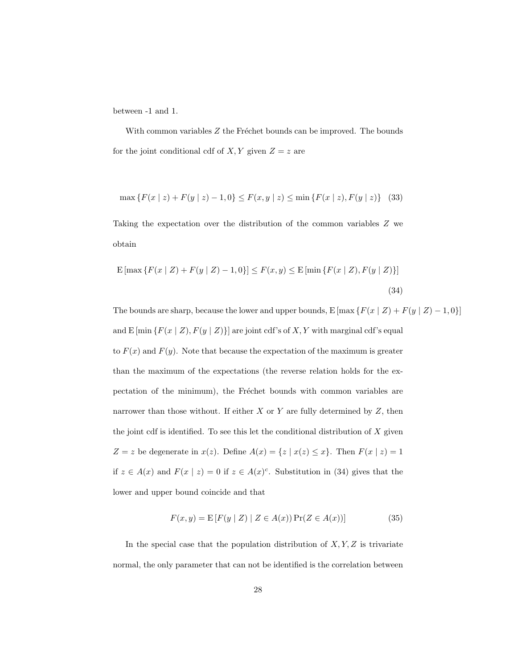between -1 and 1.

With common variables  $Z$  the Fréchet bounds can be improved. The bounds for the joint conditional cdf of  $X, Y$  given  $Z = z$  are

$$
\max\left\{F(x \mid z) + F(y \mid z) - 1, 0\right\} \le F(x, y \mid z) \le \min\left\{F(x \mid z), F(y \mid z)\right\} \tag{33}
$$

Taking the expectation over the distribution of the common variables Z we obtain

$$
E\left[\max\left\{F(x \mid Z) + F(y \mid Z) - 1, 0\right\}\right] \le F(x, y) \le E\left[\min\left\{F(x \mid Z), F(y \mid Z)\right\}\right]
$$
\n(34)

The bounds are sharp, because the lower and upper bounds,  $E[\max\{F(x \mid Z) + F(y \mid Z) - 1, 0\}]$ and E [min  $\{F(x \mid Z), F(y \mid Z)\}$ ] are joint cdf's of X, Y with marginal cdf's equal to  $F(x)$  and  $F(y)$ . Note that because the expectation of the maximum is greater than the maximum of the expectations (the reverse relation holds for the expectation of the minimum), the Fréchet bounds with common variables are narrower than those without. If either  $X$  or  $Y$  are fully determined by  $Z$ , then the joint cdf is identified. To see this let the conditional distribution of  $X$  given  $Z = z$  be degenerate in  $x(z)$ . Define  $A(x) = \{z \mid x(z) \le x\}$ . Then  $F(x \mid z) = 1$ if  $z \in A(x)$  and  $F(x | z) = 0$  if  $z \in A(x)^c$ . Substitution in (34) gives that the lower and upper bound coincide and that

$$
F(x, y) = \mathbb{E}[F(y | Z) | Z \in A(x)] \Pr(Z \in A(x))]
$$
 (35)

In the special case that the population distribution of  $X, Y, Z$  is trivariate normal, the only parameter that can not be identified is the correlation between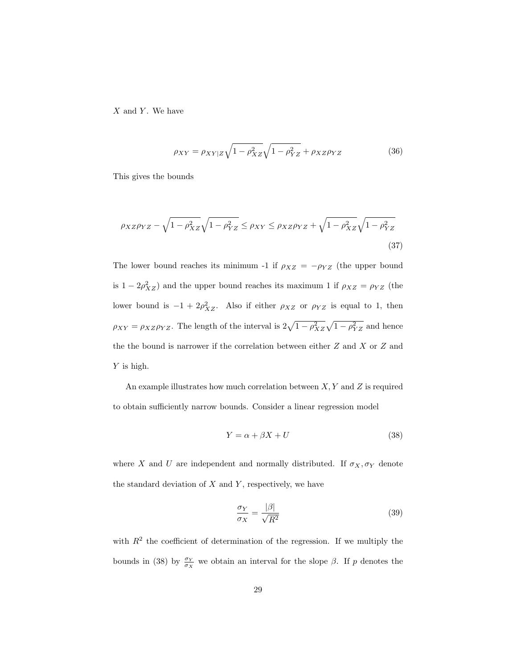$X$  and  $Y$ . We have

$$
\rho_{XY} = \rho_{XY|Z} \sqrt{1 - \rho_{XZ}^2} \sqrt{1 - \rho_{YZ}^2} + \rho_{XZ} \rho_{YZ}
$$
\n(36)

This gives the bounds

$$
\rho_{XZ}\rho_{YZ} - \sqrt{1 - \rho_{XZ}^2}\sqrt{1 - \rho_{YZ}^2} \le \rho_{XY} \le \rho_{XZ}\rho_{YZ} + \sqrt{1 - \rho_{XZ}^2}\sqrt{1 - \rho_{YZ}^2}
$$
\n(37)

The lower bound reaches its minimum -1 if  $\rho_{XZ} = -\rho_{YZ}$  (the upper bound is  $1 - 2\rho_{XZ}^2$ ) and the upper bound reaches its maximum 1 if  $\rho_{XZ} = \rho_{YZ}$  (the lower bound is  $-1 + 2\rho_{XZ}^2$ . Also if either  $\rho_{XZ}$  or  $\rho_{YZ}$  is equal to 1, then  $\rho_{XY} = \rho_{XZ}\rho_{YZ}$ . The length of the interval is  $2\sqrt{1-\rho_{XZ}^2}\sqrt{1-\rho_{YZ}^2}$  and hence the the bound is narrower if the correlation between either  $Z$  and  $X$  or  $Z$  and Y is high.

An example illustrates how much correlation between  $X, Y$  and  $Z$  is required to obtain sufficiently narrow bounds. Consider a linear regression model

$$
Y = \alpha + \beta X + U \tag{38}
$$

where X and U are independent and normally distributed. If  $\sigma_X, \sigma_Y$  denote the standard deviation of  $X$  and  $Y$ , respectively, we have

$$
\frac{\sigma_Y}{\sigma_X} = \frac{|\beta|}{\sqrt{R^2}}\tag{39}
$$

with  $R<sup>2</sup>$  the coefficient of determination of the regression. If we multiply the bounds in (38) by  $\frac{\sigma_Y}{\sigma_X}$  we obtain an interval for the slope  $\beta$ . If p denotes the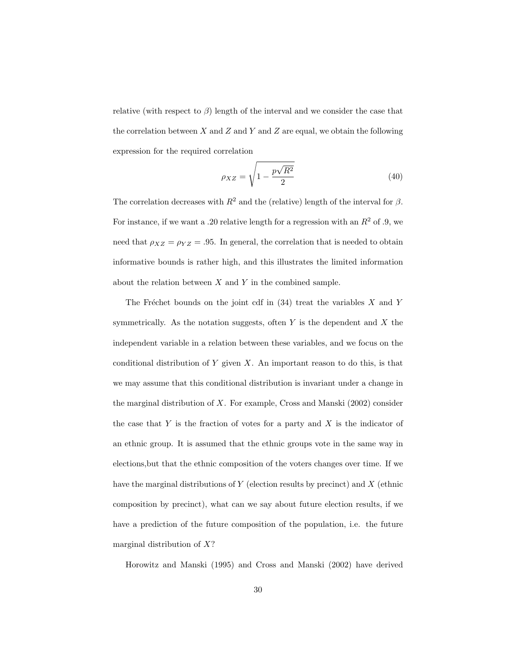relative (with respect to  $\beta$ ) length of the interval and we consider the case that the correlation between  $X$  and  $Z$  and  $Y$  and  $Z$  are equal, we obtain the following expression for the required correlation

$$
\rho_{XZ} = \sqrt{1 - \frac{p\sqrt{R^2}}{2}}\tag{40}
$$

The correlation decreases with  $R^2$  and the (relative) length of the interval for  $\beta$ . For instance, if we want a .20 relative length for a regression with an  $R^2$  of .9, we need that  $\rho_{XZ} = \rho_{YZ} = .95$ . In general, the correlation that is needed to obtain informative bounds is rather high, and this illustrates the limited information about the relation between  $X$  and  $Y$  in the combined sample.

The Fréchet bounds on the joint cdf in  $(34)$  treat the variables X and Y symmetrically. As the notation suggests, often  $Y$  is the dependent and  $X$  the independent variable in a relation between these variables, and we focus on the conditional distribution of Y given  $X$ . An important reason to do this, is that we may assume that this conditional distribution is invariant under a change in the marginal distribution of  $X$ . For example, Cross and Manski (2002) consider the case that  $Y$  is the fraction of votes for a party and  $X$  is the indicator of an ethnic group. It is assumed that the ethnic groups vote in the same way in elections,but that the ethnic composition of the voters changes over time. If we have the marginal distributions of  $Y$  (election results by precinct) and  $X$  (ethnic composition by precinct), what can we say about future election results, if we have a prediction of the future composition of the population, i.e. the future marginal distribution of  $X$ ?

Horowitz and Manski (1995) and Cross and Manski (2002) have derived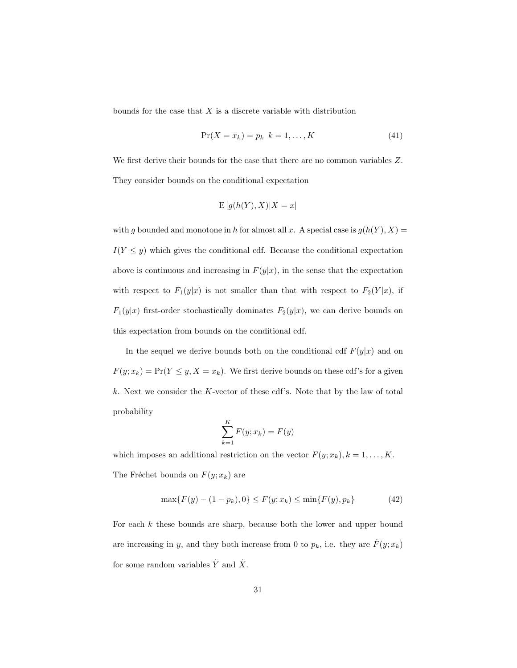bounds for the case that  $X$  is a discrete variable with distribution

$$
\Pr(X = x_k) = p_k \quad k = 1, \dots, K \tag{41}
$$

We first derive their bounds for the case that there are no common variables Z. They consider bounds on the conditional expectation

$$
\mathrm{E}\left[g(h(Y),X)|X=x\right]
$$

with g bounded and monotone in h for almost all x. A special case is  $g(h(Y), X) =$  $I(Y \leq y)$  which gives the conditional cdf. Because the conditional expectation above is continuous and increasing in  $F(y|x)$ , in the sense that the expectation with respect to  $F_1(y|x)$  is not smaller than that with respect to  $F_2(Y|x)$ , if  $F_1(y|x)$  first-order stochastically dominates  $F_2(y|x)$ , we can derive bounds on this expectation from bounds on the conditional cdf.

In the sequel we derive bounds both on the conditional cdf  $F(y|x)$  and on  $F(y; x_k) = Pr(Y \leq y, X = x_k)$ . We first derive bounds on these cdf's for a given k. Next we consider the K-vector of these cdf's. Note that by the law of total probability

$$
\sum_{k=1}^{K} F(y; x_k) = F(y)
$$

which imposes an additional restriction on the vector  $F(y; x_k)$ ,  $k = 1, ..., K$ . The Fréchet bounds on  $F(y; x_k)$  are

$$
\max\{F(y) - (1 - p_k), 0\} \le F(y; x_k) \le \min\{F(y), p_k\} \tag{42}
$$

For each  $k$  these bounds are sharp, because both the lower and upper bound are increasing in y, and they both increase from 0 to  $p_k$ , i.e. they are  $\tilde{F}(y; x_k)$ for some random variables  $\tilde{Y}$  and  $\tilde{X}$ .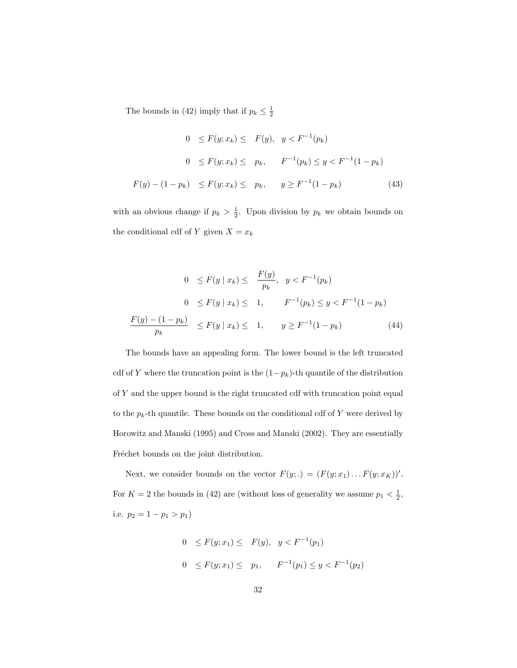The bounds in (42) imply that if  $p_k \leq \frac{1}{2}$ 

$$
0 \le F(y; x_k) \le F(y), \quad y < F^{-1}(p_k)
$$
\n
$$
0 \le F(y; x_k) \le p_k, \quad F^{-1}(p_k) \le y < F^{-1}(1 - p_k)
$$
\n
$$
F(y) - (1 - p_k) \le F(y; x_k) \le p_k, \quad y \ge F^{-1}(1 - p_k) \tag{43}
$$

with an obvious change if  $p_k > \frac{1}{2}$ . Upon division by  $p_k$  we obtain bounds on the conditional cdf of Y given  $X = x_k$ 

$$
0 \le F(y \mid x_k) \le \frac{F(y)}{p_k}, \quad y < F^{-1}(p_k)
$$
\n
$$
0 \le F(y \mid x_k) \le 1, \quad F^{-1}(p_k) \le y < F^{-1}(1 - p_k)
$$
\n
$$
\frac{F(y) - (1 - p_k)}{p_k} \le F(y \mid x_k) \le 1, \quad y \ge F^{-1}(1 - p_k) \tag{44}
$$

The bounds have an appealing form. The lower bound is the left truncated cdf of Y where the truncation point is the  $(1-p_k)$ -th quantile of the distribution of Y and the upper bound is the right truncated cdf with truncation point equal to the  $p_k$ -th quantile. These bounds on the conditional cdf of Y were derived by Horowitz and Manski (1995) and Cross and Manski (2002). They are essentially Fréchet bounds on the joint distribution.

Next, we consider bounds on the vector  $F(y;.) = (F(y; x_1) \dots F(y; x_K))'.$ For  $K = 2$  the bounds in (42) are (without loss of generality we assume  $p_1 < \frac{1}{2}$ , i.e.  $p_2 = 1 - p_1 > p_1$ 

$$
0 \le F(y; x_1) \le F(y), \quad y < F^{-1}(p_1)
$$
\n
$$
0 \le F(y; x_1) \le p_1, \quad F^{-1}(p_1) \le y < F^{-1}(p_2)
$$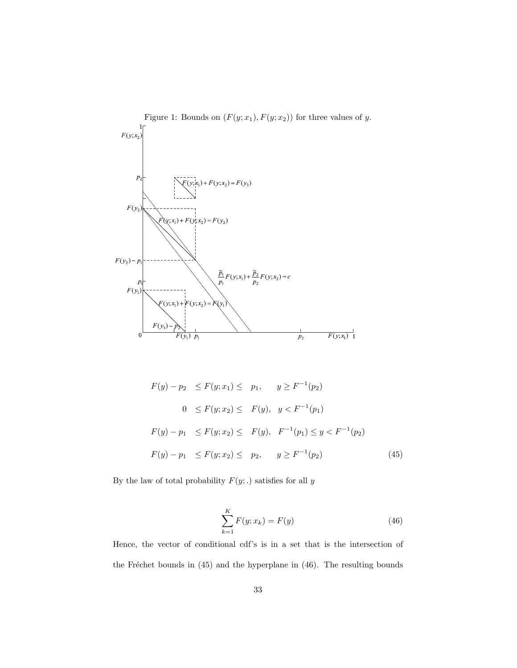

$$
F(y) - p_2 \le F(y; x_1) \le p_1, \quad y \ge F^{-1}(p_2)
$$
  
\n
$$
0 \le F(y; x_2) \le F(y), \quad y < F^{-1}(p_1)
$$
  
\n
$$
F(y) - p_1 \le F(y; x_2) \le F(y), \quad F^{-1}(p_1) \le y < F^{-1}(p_2)
$$
  
\n
$$
F(y) - p_1 \le F(y; x_2) \le p_2, \quad y \ge F^{-1}(p_2) \tag{45}
$$

By the law of total probability  $F(y;.)$  satisfies for all  $y$ 

$$
\sum_{k=1}^{K} F(y; x_k) = F(y)
$$
\n(46)

Hence, the vector of conditional cdf's is in a set that is the intersection of the Fréchet bounds in  $(45)$  and the hyperplane in  $(46)$ . The resulting bounds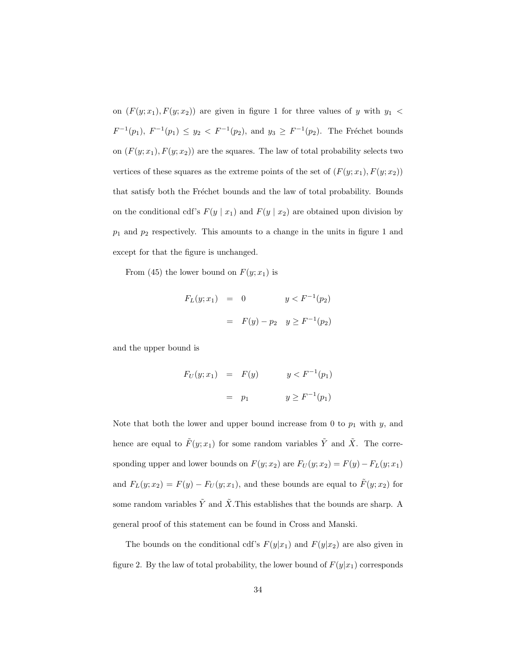on  $(F(y; x_1), F(y; x_2))$  are given in figure 1 for three values of y with  $y_1$  <  $F^{-1}(p_1), F^{-1}(p_1) \le y_2 \lt F^{-1}(p_2),$  and  $y_3 \ge F^{-1}(p_2)$ . The Fréchet bounds on  $(F(y; x_1), F(y; x_2))$  are the squares. The law of total probability selects two vertices of these squares as the extreme points of the set of  $(F(y; x_1), F(y; x_2))$ that satisfy both the Fréchet bounds and the law of total probability. Bounds on the conditional cdf's  $F(y | x_1)$  and  $F(y | x_2)$  are obtained upon division by  $p_1$  and  $p_2$  respectively. This amounts to a change in the units in figure 1 and except for that the figure is unchanged.

From (45) the lower bound on  $F(y; x_1)$  is

$$
F_L(y; x_1) = 0 \t y < F^{-1}(p_2)
$$
  
=  $F(y) - p_2 \t y \ge F^{-1}(p_2)$ 

and the upper bound is

$$
F_U(y; x_1) = F(y) \t y < F^{-1}(p_1)
$$
  
=  $p_1$   $y \ge F^{-1}(p_1)$ 

Note that both the lower and upper bound increase from 0 to  $p_1$  with  $y$ , and hence are equal to  $\tilde{F}(y; x_1)$  for some random variables  $\tilde{Y}$  and  $\tilde{X}$ . The corresponding upper and lower bounds on  $F(y; x_2)$  are  $F_U(y; x_2) = F(y) - F_L(y; x_1)$ and  $F_L(y; x_2) = F(y) - F_U(y; x_1)$ , and these bounds are equal to  $\tilde{F}(y; x_2)$  for some random variables  $\tilde{Y}$  and  $\tilde{X}$ . This establishes that the bounds are sharp. A general proof of this statement can be found in Cross and Manski.

The bounds on the conditional cdf's  $F(y|x_1)$  and  $F(y|x_2)$  are also given in figure 2. By the law of total probability, the lower bound of  $F(y|x_1)$  corresponds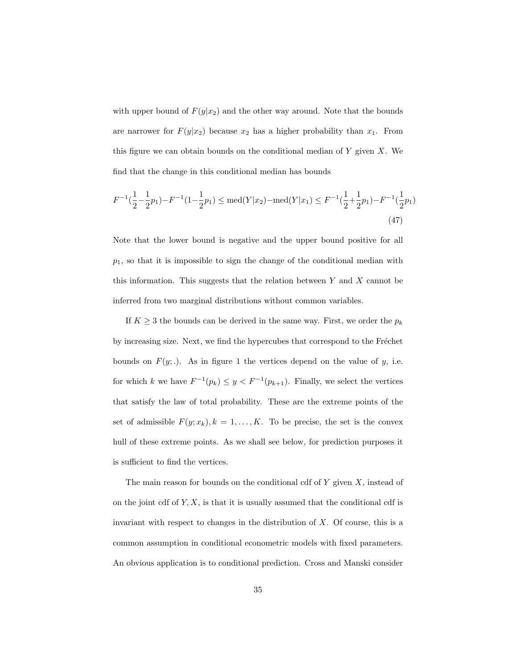with upper bound of  $F(y|x_2)$  and the other way around. Note that the bounds are narrower for  $F(y|x_2)$  because  $x_2$  has a higher probability than  $x_1$ . From this figure we can obtain bounds on the conditional median of  $Y$  given  $X$ . We find that the change in this conditional median has bounds

$$
F^{-1}(\frac{1}{2} - \frac{1}{2}p_1) - F^{-1}(1 - \frac{1}{2}p_1) \le \text{med}(Y|x_2) - \text{med}(Y|x_1) \le F^{-1}(\frac{1}{2} + \frac{1}{2}p_1) - F^{-1}(\frac{1}{2}p_1)
$$
\n(47)

Note that the lower bound is negative and the upper bound positive for all  $p_1$ , so that it is impossible to sign the change of the conditional median with this information. This suggests that the relation between  $Y$  and  $X$  cannot be inferred from two marginal distributions without common variables.

If  $K\geq 3$  the bounds can be derived in the same way. First, we order the  $p_k$ by increasing size. Next, we find the hypercubes that correspond to the Fréchet bounds on  $F(y;.)$ . As in figure 1 the vertices depend on the value of y, i.e. for which k we have  $F^{-1}(p_k) \leq y < F^{-1}(p_{k+1})$ . Finally, we select the vertices that satisfy the law of total probability. These are the extreme points of the set of admissible  $F(y; x_k)$ ,  $k = 1, ..., K$ . To be precise, the set is the convex hull of these extreme points. As we shall see below, for prediction purposes it is sufficient to find the vertices.

The main reason for bounds on the conditional cdf of  $Y$  given  $X$ , instead of on the joint cdf of  $Y, X$ , is that it is usually assumed that the conditional cdf is invariant with respect to changes in the distribution of  $X$ . Of course, this is a common assumption in conditional econometric models with fixed parameters. An obvious application is to conditional prediction. Cross and Manski consider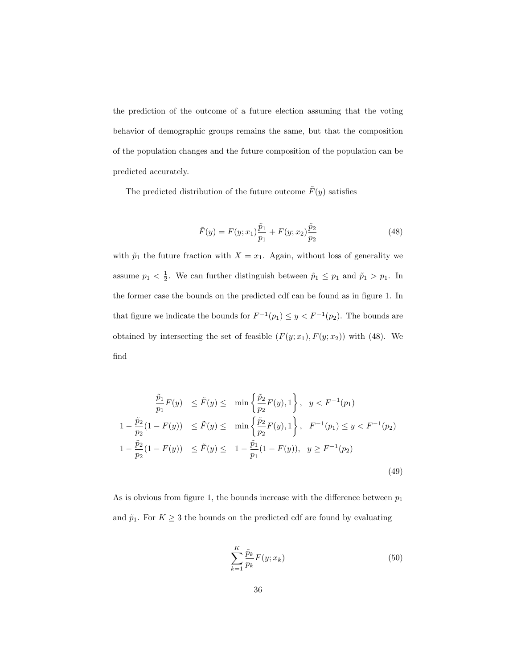the prediction of the outcome of a future election assuming that the voting behavior of demographic groups remains the same, but that the composition of the population changes and the future composition of the population can be predicted accurately.

The predicted distribution of the future outcome  $\tilde{F}(y)$  satisfies

$$
\tilde{F}(y) = F(y; x_1)\frac{\tilde{p}_1}{p_1} + F(y; x_2)\frac{\tilde{p}_2}{p_2}
$$
\n(48)

with  $\tilde{p}_1$  the future fraction with  $X = x_1$ . Again, without loss of generality we assume  $p_1 < \frac{1}{2}$ . We can further distinguish between  $\tilde{p}_1 \leq p_1$  and  $\tilde{p}_1 > p_1$ . In the former case the bounds on the predicted cdf can be found as in figure 1. In that figure we indicate the bounds for  $F^{-1}(p_1) \leq y < F^{-1}(p_2)$ . The bounds are obtained by intersecting the set of feasible  $(F(y; x_1), F(y; x_2))$  with (48). We find

$$
\frac{\tilde{p}_1}{p_1} F(y) \le \tilde{F}(y) \le \min\left\{\frac{\tilde{p}_2}{p_2} F(y), 1\right\}, \quad y < F^{-1}(p_1)
$$
\n
$$
1 - \frac{\tilde{p}_2}{p_2} (1 - F(y)) \le \tilde{F}(y) \le \min\left\{\frac{\tilde{p}_2}{p_2} F(y), 1\right\}, \quad F^{-1}(p_1) \le y < F^{-1}(p_2)
$$
\n
$$
1 - \frac{\tilde{p}_2}{p_2} (1 - F(y)) \le \tilde{F}(y) \le 1 - \frac{\tilde{p}_1}{p_1} (1 - F(y)), \quad y \ge F^{-1}(p_2)
$$
\n
$$
(49)
$$

As is obvious from figure 1, the bounds increase with the difference between  $p_1$ and  $\tilde{p}_1$ . For  $K \geq 3$  the bounds on the predicted cdf are found by evaluating

$$
\sum_{k=1}^{K} \frac{\tilde{p}_k}{p_k} F(y; x_k)
$$
\n(50)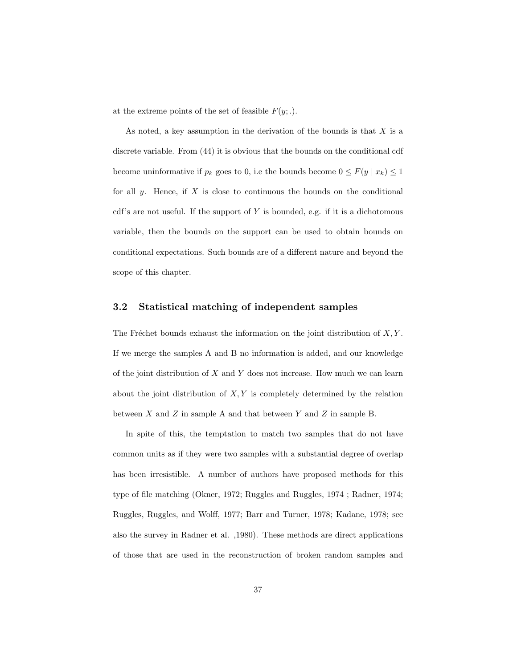at the extreme points of the set of feasible  $F(y;.)$ .

As noted, a key assumption in the derivation of the bounds is that  $X$  is a discrete variable. From (44) it is obvious that the bounds on the conditional cdf become uninformative if  $p_k$  goes to 0, i.e the bounds become  $0 \leq F(y \mid x_k) \leq 1$ for all  $y$ . Hence, if  $X$  is close to continuous the bounds on the conditional cdf's are not useful. If the support of  $Y$  is bounded, e.g. if it is a dichotomous variable, then the bounds on the support can be used to obtain bounds on conditional expectations. Such bounds are of a different nature and beyond the scope of this chapter.

## 3.2 Statistical matching of independent samples

The Fréchet bounds exhaust the information on the joint distribution of  $X, Y$ . If we merge the samples A and B no information is added, and our knowledge of the joint distribution of  $X$  and  $Y$  does not increase. How much we can learn about the joint distribution of  $X, Y$  is completely determined by the relation between  $X$  and  $Z$  in sample A and that between  $Y$  and  $Z$  in sample B.

In spite of this, the temptation to match two samples that do not have common units as if they were two samples with a substantial degree of overlap has been irresistible. A number of authors have proposed methods for this type of file matching (Okner, 1972; Ruggles and Ruggles, 1974 ; Radner, 1974; Ruggles, Ruggles, and Wolff, 1977; Barr and Turner, 1978; Kadane, 1978; see also the survey in Radner et al. ,1980). These methods are direct applications of those that are used in the reconstruction of broken random samples and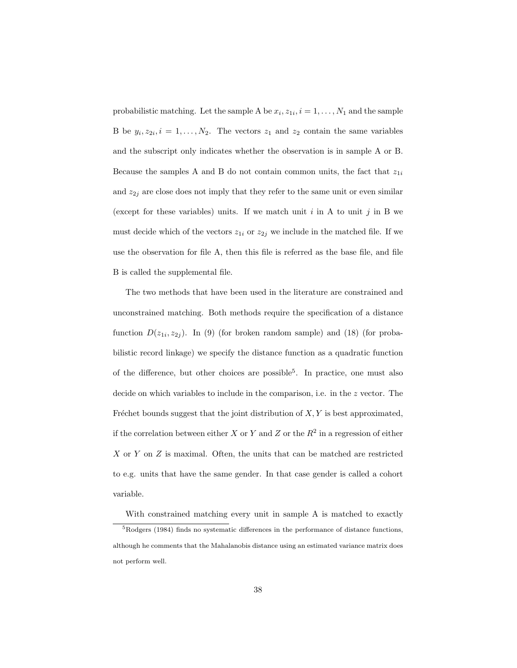probabilistic matching. Let the sample A be  $x_i, z_{1i}, i = 1, \ldots, N_1$  and the sample B be  $y_i, z_{2i}, i = 1, ..., N_2$ . The vectors  $z_1$  and  $z_2$  contain the same variables and the subscript only indicates whether the observation is in sample A or B. Because the samples A and B do not contain common units, the fact that  $z_{1i}$ and  $z_{2j}$  are close does not imply that they refer to the same unit or even similar (except for these variables) units. If we match unit i in A to unit j in B we must decide which of the vectors  $z_{1i}$  or  $z_{2j}$  we include in the matched file. If we use the observation for file A, then this file is referred as the base file, and file B is called the supplemental file.

The two methods that have been used in the literature are constrained and unconstrained matching. Both methods require the specification of a distance function  $D(z_{1i}, z_{2j})$ . In (9) (for broken random sample) and (18) (for probabilistic record linkage) we specify the distance function as a quadratic function of the difference, but other choices are possible<sup>5</sup> . In practice, one must also decide on which variables to include in the comparison, i.e. in the z vector. The Fréchet bounds suggest that the joint distribution of  $X, Y$  is best approximated, if the correlation between either X or Y and Z or the  $R^2$  in a regression of either X or Y on Z is maximal. Often, the units that can be matched are restricted to e.g. units that have the same gender. In that case gender is called a cohort variable.

With constrained matching every unit in sample A is matched to exactly

 $5R$ odgers (1984) finds no systematic differences in the performance of distance functions, although he comments that the Mahalanobis distance using an estimated variance matrix does not perform well.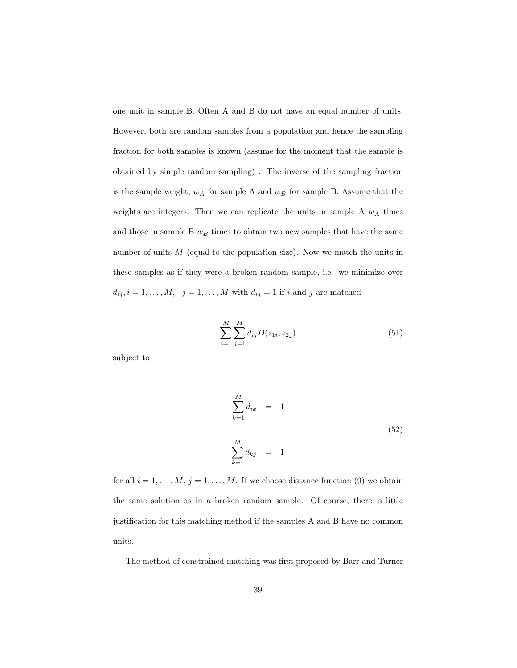one unit in sample B. Often A and B do not have an equal number of units. However, both are random samples from a population and hence the sampling fraction for both samples is known (assume for the moment that the sample is obtained by simple random sampling) . The inverse of the sampling fraction is the sample weight,  $w_A$  for sample A and  $w_B$  for sample B. Assume that the weights are integers. Then we can replicate the units in sample A  $w_A$  times and those in sample B  $w_B$  times to obtain two new samples that have the same number of units  $M$  (equal to the population size). Now we match the units in these samples as if they were a broken random sample, i.e. we minimize over  $d_{ij}, i = 1, \ldots, M, \quad j = 1, \ldots, M$  with  $d_{ij} = 1$  if i and j are matched

$$
\sum_{i=1}^{M} \sum_{j=1}^{M} d_{ij} D(z_{1i}, z_{2j})
$$
\n(51)

subject to

$$
\sum_{k=1}^{M} d_{ik} = 1
$$
\n
$$
\sum_{k=1}^{M} d_{kj} = 1
$$
\n(52)

for all  $i = 1, ..., M$ ,  $j = 1, ..., M$ . If we choose distance function (9) we obtain the same solution as in a broken random sample. Of course, there is little justification for this matching method if the samples A and B have no common units.

The method of constrained matching was first proposed by Barr and Turner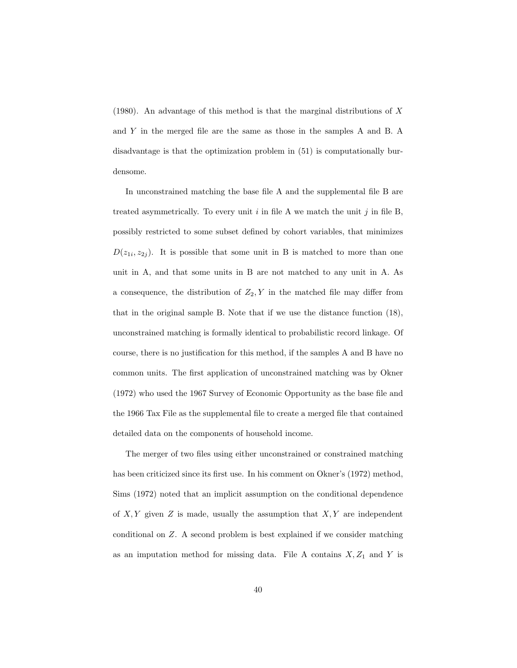(1980). An advantage of this method is that the marginal distributions of  $X$ and Y in the merged file are the same as those in the samples A and B. A disadvantage is that the optimization problem in (51) is computationally burdensome.

In unconstrained matching the base file A and the supplemental file B are treated asymmetrically. To every unit  $i$  in file A we match the unit  $j$  in file B, possibly restricted to some subset defined by cohort variables, that minimizes  $D(z_{1i}, z_{2j})$ . It is possible that some unit in B is matched to more than one unit in A, and that some units in B are not matched to any unit in A. As a consequence, the distribution of  $Z_2, Y$  in the matched file may differ from that in the original sample B. Note that if we use the distance function (18), unconstrained matching is formally identical to probabilistic record linkage. Of course, there is no justification for this method, if the samples A and B have no common units. The first application of unconstrained matching was by Okner (1972) who used the 1967 Survey of Economic Opportunity as the base file and the 1966 Tax File as the supplemental file to create a merged file that contained detailed data on the components of household income.

The merger of two files using either unconstrained or constrained matching has been criticized since its first use. In his comment on Okner's (1972) method, Sims (1972) noted that an implicit assumption on the conditional dependence of  $X, Y$  given  $Z$  is made, usually the assumption that  $X, Y$  are independent conditional on Z. A second problem is best explained if we consider matching as an imputation method for missing data. File A contains  $X, Z_1$  and Y is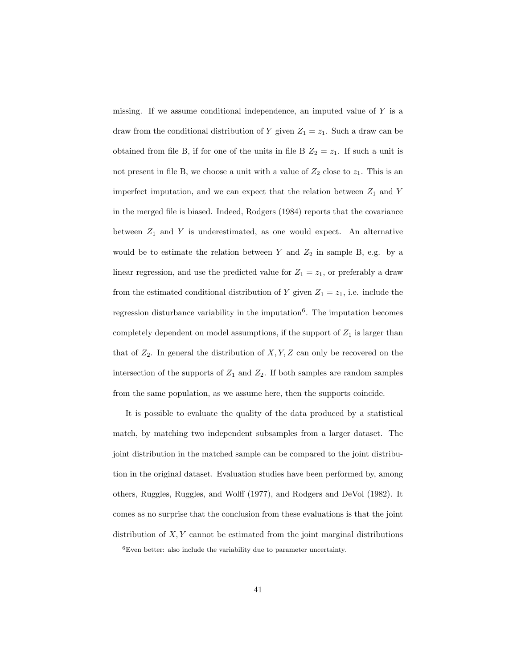missing. If we assume conditional independence, an imputed value of  $Y$  is a draw from the conditional distribution of Y given  $Z_1 = z_1$ . Such a draw can be obtained from file B, if for one of the units in file B  $Z_2 = z_1$ . If such a unit is not present in file B, we choose a unit with a value of  $Z_2$  close to  $z_1$ . This is an imperfect imputation, and we can expect that the relation between  $Z_1$  and Y in the merged file is biased. Indeed, Rodgers (1984) reports that the covariance between  $Z_1$  and Y is underestimated, as one would expect. An alternative would be to estimate the relation between Y and  $Z_2$  in sample B, e.g. by a linear regression, and use the predicted value for  $Z_1 = z_1$ , or preferably a draw from the estimated conditional distribution of Y given  $Z_1 = z_1$ , i.e. include the regression disturbance variability in the imputation<sup>6</sup>. The imputation becomes completely dependent on model assumptions, if the support of  $Z_1$  is larger than that of  $Z_2$ . In general the distribution of  $X, Y, Z$  can only be recovered on the intersection of the supports of  $Z_1$  and  $Z_2$ . If both samples are random samples from the same population, as we assume here, then the supports coincide.

It is possible to evaluate the quality of the data produced by a statistical match, by matching two independent subsamples from a larger dataset. The joint distribution in the matched sample can be compared to the joint distribution in the original dataset. Evaluation studies have been performed by, among others, Ruggles, Ruggles, and Wolff (1977), and Rodgers and DeVol (1982). It comes as no surprise that the conclusion from these evaluations is that the joint distribution of  $X, Y$  cannot be estimated from the joint marginal distributions

<sup>6</sup>Even better: also include the variability due to parameter uncertainty.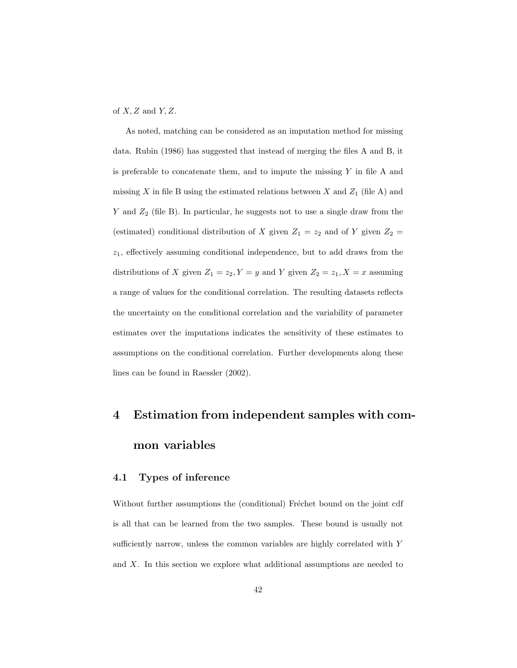of  $X, Z$  and  $Y, Z$ .

As noted, matching can be considered as an imputation method for missing data. Rubin (1986) has suggested that instead of merging the files A and B, it is preferable to concatenate them, and to impute the missing  $Y$  in file  $A$  and missing X in file B using the estimated relations between X and  $Z_1$  (file A) and Y and  $Z_2$  (file B). In particular, he suggests not to use a single draw from the (estimated) conditional distribution of X given  $Z_1 = z_2$  and of Y given  $Z_2 =$  $z_1$ , effectively assuming conditional independence, but to add draws from the distributions of X given  $Z_1 = z_2, Y = y$  and Y given  $Z_2 = z_1, X = x$  assuming a range of values for the conditional correlation. The resulting datasets reflects the uncertainty on the conditional correlation and the variability of parameter estimates over the imputations indicates the sensitivity of these estimates to assumptions on the conditional correlation. Further developments along these lines can be found in Raessler (2002).

# 4 Estimation from independent samples with common variables

# 4.1 Types of inference

Without further assumptions the (conditional) Fréchet bound on the joint cdf is all that can be learned from the two samples. These bound is usually not sufficiently narrow, unless the common variables are highly correlated with Y and  $X$ . In this section we explore what additional assumptions are needed to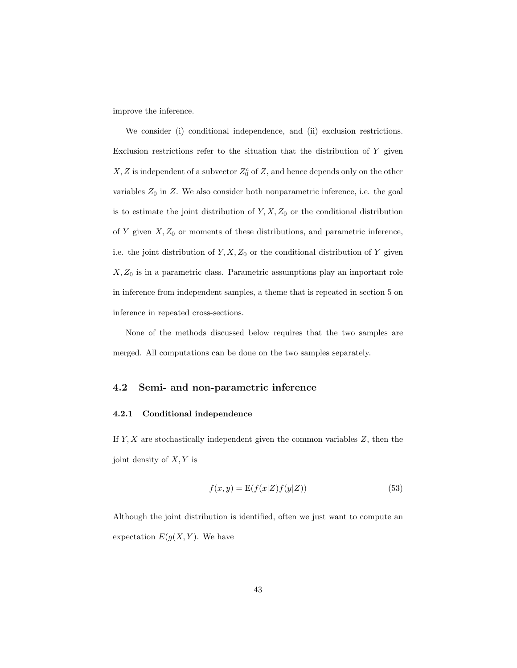improve the inference.

We consider (i) conditional independence, and (ii) exclusion restrictions. Exclusion restrictions refer to the situation that the distribution of  $Y$  given  $X, Z$  is independent of a subvector  $Z_0^c$  of  $Z$ , and hence depends only on the other variables  $Z_0$  in  $Z$ . We also consider both nonparametric inference, i.e. the goal is to estimate the joint distribution of  $Y, X, Z_0$  or the conditional distribution of Y given  $X, Z_0$  or moments of these distributions, and parametric inference, i.e. the joint distribution of  $Y, X, Z_0$  or the conditional distribution of Y given  $X, Z_0$  is in a parametric class. Parametric assumptions play an important role in inference from independent samples, a theme that is repeated in section 5 on inference in repeated cross-sections.

None of the methods discussed below requires that the two samples are merged. All computations can be done on the two samples separately.

## 4.2 Semi- and non-parametric inference

#### 4.2.1 Conditional independence

If  $Y, X$  are stochastically independent given the common variables  $Z$ , then the joint density of  $X, Y$  is

$$
f(x,y) = \mathcal{E}(f(x|Z)f(y|Z))\tag{53}
$$

Although the joint distribution is identified, often we just want to compute an expectation  $E(g(X, Y))$ . We have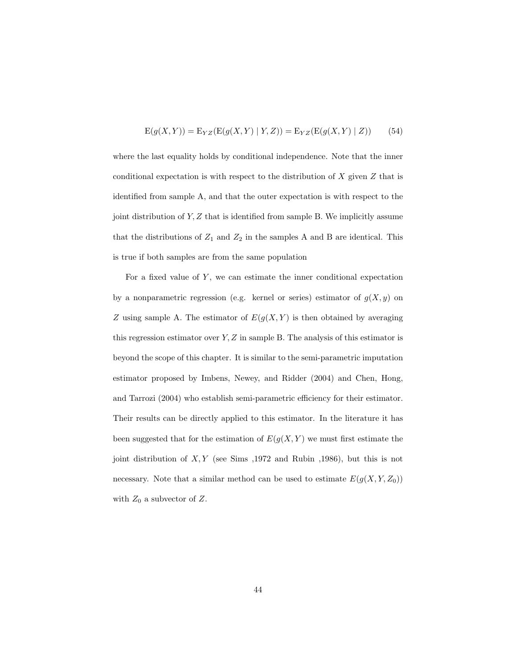$$
E(g(X, Y)) = E_{YZ}(E(g(X, Y) | Y, Z)) = E_{YZ}(E(g(X, Y) | Z))
$$
 (54)

where the last equality holds by conditional independence. Note that the inner conditional expectation is with respect to the distribution of  $X$  given  $Z$  that is identified from sample A, and that the outer expectation is with respect to the joint distribution of  $Y, Z$  that is identified from sample B. We implicitly assume that the distributions of  $Z_1$  and  $Z_2$  in the samples A and B are identical. This is true if both samples are from the same population

For a fixed value of  $Y$ , we can estimate the inner conditional expectation by a nonparametric regression (e.g. kernel or series) estimator of  $g(X, y)$  on Z using sample A. The estimator of  $E(g(X, Y))$  is then obtained by averaging this regression estimator over  $Y, Z$  in sample B. The analysis of this estimator is beyond the scope of this chapter. It is similar to the semi-parametric imputation estimator proposed by Imbens, Newey, and Ridder (2004) and Chen, Hong, and Tarrozi (2004) who establish semi-parametric efficiency for their estimator. Their results can be directly applied to this estimator. In the literature it has been suggested that for the estimation of  $E(g(X, Y))$  we must first estimate the joint distribution of  $X, Y$  (see Sims ,1972 and Rubin ,1986), but this is not necessary. Note that a similar method can be used to estimate  $E(g(X, Y, Z_0))$ with  $Z_0$  a subvector of  $Z$ .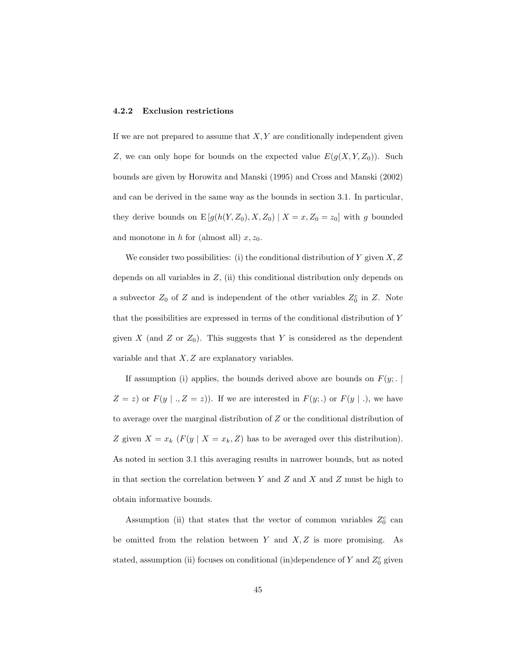#### 4.2.2 Exclusion restrictions

If we are not prepared to assume that  $X, Y$  are conditionally independent given Z, we can only hope for bounds on the expected value  $E(g(X, Y, Z_0))$ . Such bounds are given by Horowitz and Manski (1995) and Cross and Manski (2002) and can be derived in the same way as the bounds in section 3.1. In particular, they derive bounds on  $E[g(h(Y, Z_0), X, Z_0) | X = x, Z_0 = z_0]$  with g bounded and monotone in h for (almost all)  $x, z_0$ .

We consider two possibilities: (i) the conditional distribution of Y given  $X, Z$ depends on all variables in  $Z$ , (ii) this conditional distribution only depends on a subvector  $Z_0$  of Z and is independent of the other variables  $Z_0^c$  in Z. Note that the possibilities are expressed in terms of the conditional distribution of Y given X (and Z or  $Z_0$ ). This suggests that Y is considered as the dependent variable and that  $X, Z$  are explanatory variables.

If assumption (i) applies, the bounds derived above are bounds on  $F(y; . \mid$  $Z = z$ ) or  $F(y \mid ., Z = z)$ ). If we are interested in  $F(y;.)$  or  $F(y \mid .)$ , we have to average over the marginal distribution of Z or the conditional distribution of Z given  $X = x_k$  ( $F(y | X = x_k, Z)$ ) has to be averaged over this distribution). As noted in section 3.1 this averaging results in narrower bounds, but as noted in that section the correlation between Y and Z and X and Z must be high to obtain informative bounds.

Assumption (ii) that states that the vector of common variables  $Z_0^c$  can be omitted from the relation between  $Y$  and  $X, Z$  is more promising. As stated, assumption (ii) focuses on conditional (in)dependence of Y and  $Z_0^c$  given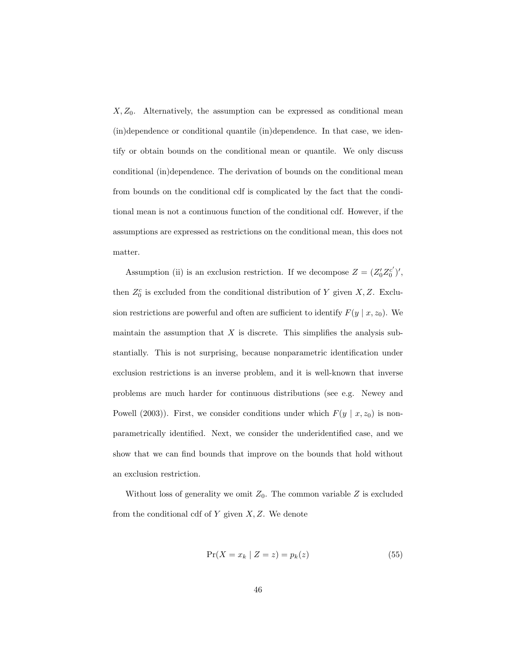$X, Z_0$ . Alternatively, the assumption can be expressed as conditional mean (in)dependence or conditional quantile (in)dependence. In that case, we identify or obtain bounds on the conditional mean or quantile. We only discuss conditional (in)dependence. The derivation of bounds on the conditional mean from bounds on the conditional cdf is complicated by the fact that the conditional mean is not a continuous function of the conditional cdf. However, if the assumptions are expressed as restrictions on the conditional mean, this does not matter.

Assumption (ii) is an exclusion restriction. If we decompose  $Z = (Z_0 Z_0^{c'})'$ , then  $Z_0^c$  is excluded from the conditional distribution of Y given X, Z. Exclusion restrictions are powerful and often are sufficient to identify  $F(y | x, z_0)$ . We maintain the assumption that  $X$  is discrete. This simplifies the analysis substantially. This is not surprising, because nonparametric identification under exclusion restrictions is an inverse problem, and it is well-known that inverse problems are much harder for continuous distributions (see e.g. Newey and Powell (2003)). First, we consider conditions under which  $F(y | x, z_0)$  is nonparametrically identified. Next, we consider the underidentified case, and we show that we can find bounds that improve on the bounds that hold without an exclusion restriction.

Without loss of generality we omit  $Z_0$ . The common variable Z is excluded from the conditional cdf of  $Y$  given  $X, Z$ . We denote

$$
Pr(X = x_k | Z = z) = p_k(z)
$$
\n(55)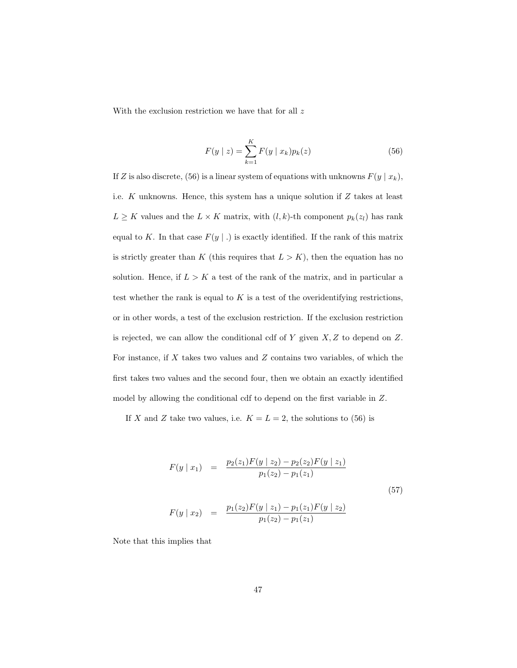With the exclusion restriction we have that for all  $z$ 

$$
F(y \mid z) = \sum_{k=1}^{K} F(y \mid x_k) p_k(z)
$$
\n(56)

If Z is also discrete, (56) is a linear system of equations with unknowns  $F(y | x_k)$ , i.e.  $K$  unknowns. Hence, this system has a unique solution if  $Z$  takes at least  $L \geq K$  values and the  $L \times K$  matrix, with  $(l, k)$ -th component  $p_k(z_l)$  has rank equal to K. In that case  $F(y \mid .)$  is exactly identified. If the rank of this matrix is strictly greater than K (this requires that  $L > K$ ), then the equation has no solution. Hence, if  $L > K$  a test of the rank of the matrix, and in particular a test whether the rank is equal to  $K$  is a test of the overidentifying restrictions, or in other words, a test of the exclusion restriction. If the exclusion restriction is rejected, we can allow the conditional cdf of  $Y$  given  $X, Z$  to depend on  $Z$ . For instance, if  $X$  takes two values and  $Z$  contains two variables, of which the first takes two values and the second four, then we obtain an exactly identified model by allowing the conditional cdf to depend on the first variable in Z.

If X and Z take two values, i.e.  $K = L = 2$ , the solutions to (56) is

$$
F(y \mid x_1) = \frac{p_2(z_1)F(y \mid z_2) - p_2(z_2)F(y \mid z_1)}{p_1(z_2) - p_1(z_1)}
$$
  
\n
$$
F(y \mid x_2) = \frac{p_1(z_2)F(y \mid z_1) - p_1(z_1)F(y \mid z_2)}{p_1(z_2) - p_1(z_1)}
$$
\n(57)

Note that this implies that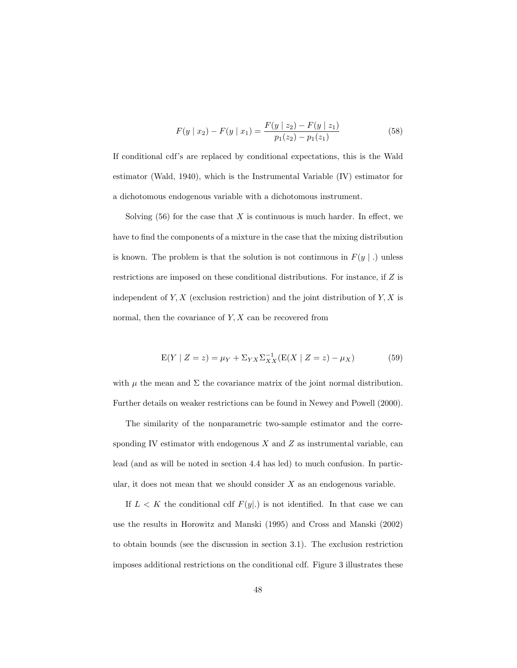$$
F(y \mid x_2) - F(y \mid x_1) = \frac{F(y \mid z_2) - F(y \mid z_1)}{p_1(z_2) - p_1(z_1)}\tag{58}
$$

If conditional cdf's are replaced by conditional expectations, this is the Wald estimator (Wald, 1940), which is the Instrumental Variable (IV) estimator for a dichotomous endogenous variable with a dichotomous instrument.

Solving  $(56)$  for the case that X is continuous is much harder. In effect, we have to find the components of a mixture in the case that the mixing distribution is known. The problem is that the solution is not continuous in  $F(y \mid .)$  unless restrictions are imposed on these conditional distributions. For instance, if Z is independent of  $Y, X$  (exclusion restriction) and the joint distribution of  $Y, X$  is normal, then the covariance of  $Y, X$  can be recovered from

$$
E(Y | Z = z) = \mu_Y + \Sigma_{YX} \Sigma_{XX}^{-1} (E(X | Z = z) - \mu_X)
$$
 (59)

with  $\mu$  the mean and  $\Sigma$  the covariance matrix of the joint normal distribution. Further details on weaker restrictions can be found in Newey and Powell (2000).

The similarity of the nonparametric two-sample estimator and the corresponding IV estimator with endogenous  $X$  and  $Z$  as instrumental variable, can lead (and as will be noted in section 4.4 has led) to much confusion. In particular, it does not mean that we should consider  $X$  as an endogenous variable.

If  $L < K$  the conditional cdf  $F(y|.)$  is not identified. In that case we can use the results in Horowitz and Manski (1995) and Cross and Manski (2002) to obtain bounds (see the discussion in section 3.1). The exclusion restriction imposes additional restrictions on the conditional cdf. Figure 3 illustrates these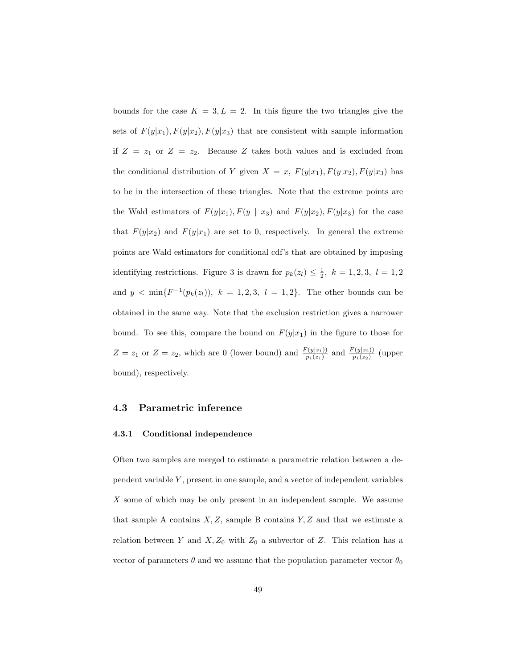bounds for the case  $K = 3, L = 2$ . In this figure the two triangles give the sets of  $F(y|x_1), F(y|x_2), F(y|x_3)$  that are consistent with sample information if  $Z = z_1$  or  $Z = z_2$ . Because Z takes both values and is excluded from the conditional distribution of Y given  $X = x$ ,  $F(y|x_1)$ ,  $F(y|x_2)$ ,  $F(y|x_3)$  has to be in the intersection of these triangles. Note that the extreme points are the Wald estimators of  $F(y|x_1), F(y | x_3)$  and  $F(y|x_2), F(y|x_3)$  for the case that  $F(y|x_2)$  and  $F(y|x_1)$  are set to 0, respectively. In general the extreme points are Wald estimators for conditional cdf's that are obtained by imposing identifying restrictions. Figure 3 is drawn for  $p_k(z_l) \leq \frac{1}{2}$ ,  $k = 1, 2, 3$ ,  $l = 1, 2$ and  $y < \min\{F^{-1}(p_k(z_l)), k = 1, 2, 3, l = 1, 2\}$ . The other bounds can be obtained in the same way. Note that the exclusion restriction gives a narrower bound. To see this, compare the bound on  $F(y|x_1)$  in the figure to those for  $Z = z_1$  or  $Z = z_2$ , which are 0 (lower bound) and  $\frac{F(y|z_1)}{p_1(z_1)}$  and  $\frac{F(y|z_2)}{p_1(z_2)}$  (upper bound), respectively.

## 4.3 Parametric inference

#### 4.3.1 Conditional independence

Often two samples are merged to estimate a parametric relation between a dependent variable  $Y$ , present in one sample, and a vector of independent variables X some of which may be only present in an independent sample. We assume that sample A contains  $X, Z$ , sample B contains  $Y, Z$  and that we estimate a relation between Y and  $X, Z_0$  with  $Z_0$  a subvector of Z. This relation has a vector of parameters  $\theta$  and we assume that the population parameter vector  $\theta_0$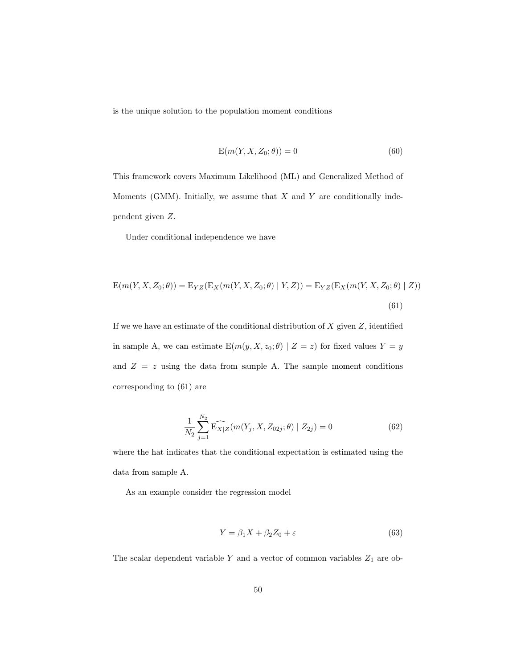is the unique solution to the population moment conditions

$$
E(m(Y, X, Z_0; \theta)) = 0
$$
\n<sup>(60)</sup>

This framework covers Maximum Likelihood (ML) and Generalized Method of Moments (GMM). Initially, we assume that  $X$  and  $Y$  are conditionally independent given Z.

Under conditional independence we have

$$
E(m(Y, X, Z_0; \theta)) = E_{YZ}(E_X(m(Y, X, Z_0; \theta) | Y, Z)) = E_{YZ}(E_X(m(Y, X, Z_0; \theta) | Z))
$$
\n(61)

If we we have an estimate of the conditional distribution of  $X$  given  $Z$ , identified in sample A, we can estimate  $\text{E}(m(y, X, z_0; \theta) \mid Z = z)$  for fixed values  $Y = y$ and  $Z = z$  using the data from sample A. The sample moment conditions corresponding to (61) are

$$
\frac{1}{N_2} \sum_{j=1}^{N_2} \widehat{\mathbb{E}_{X|Z}}(m(Y_j, X, Z_{02j}; \theta) | Z_{2j}) = 0
$$
\n(62)

where the hat indicates that the conditional expectation is estimated using the data from sample A.

As an example consider the regression model

$$
Y = \beta_1 X + \beta_2 Z_0 + \varepsilon \tag{63}
$$

The scalar dependent variable  $Y$  and a vector of common variables  $\mathbb{Z}_1$  are ob-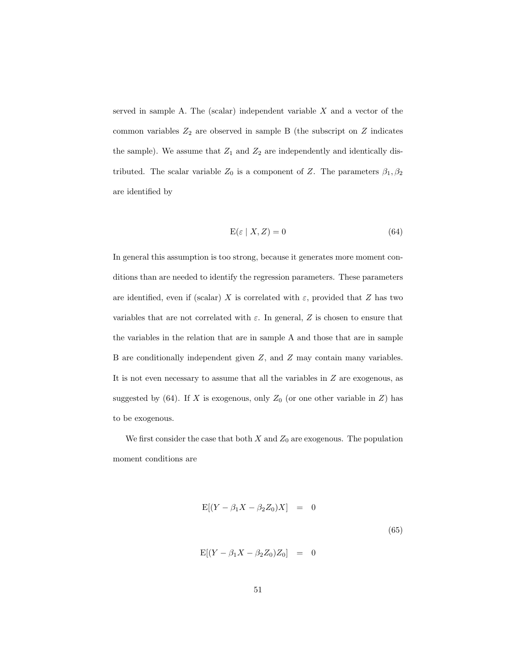served in sample A. The (scalar) independent variable  $X$  and a vector of the common variables  $Z_2$  are observed in sample B (the subscript on  $Z$  indicates the sample). We assume that  $Z_1$  and  $Z_2$  are independently and identically distributed. The scalar variable  $Z_0$  is a component of Z. The parameters  $\beta_1, \beta_2$ are identified by

$$
E(\varepsilon \mid X, Z) = 0 \tag{64}
$$

In general this assumption is too strong, because it generates more moment conditions than are needed to identify the regression parameters. These parameters are identified, even if (scalar) X is correlated with  $\varepsilon$ , provided that Z has two variables that are not correlated with  $\varepsilon$ . In general, Z is chosen to ensure that the variables in the relation that are in sample A and those that are in sample B are conditionally independent given Z, and Z may contain many variables. It is not even necessary to assume that all the variables in Z are exogenous, as suggested by (64). If X is exogenous, only  $Z_0$  (or one other variable in Z) has to be exogenous.

We first consider the case that both  $X$  and  $Z_0$  are exogenous. The population moment conditions are

$$
E[(Y - \beta_1 X - \beta_2 Z_0)X] = 0
$$
\n
$$
E[(Y - \beta_1 X - \beta_2 Z_0)Z_0] = 0
$$
\n(65)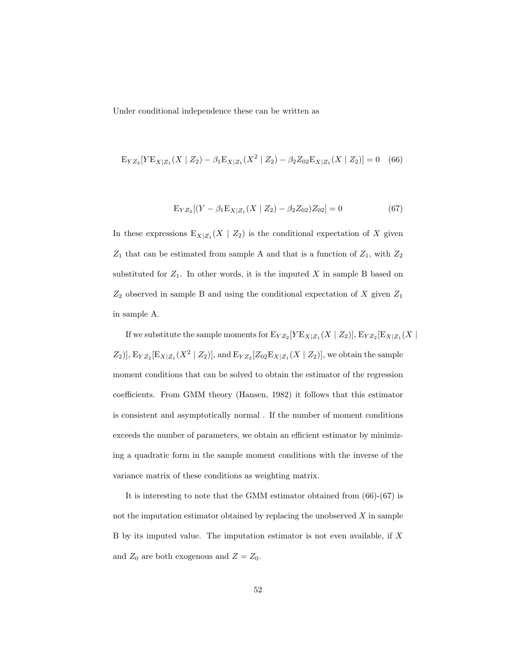Under conditional independence these can be written as

$$
E_{YZ_2}[YE_{X|Z_1}(X \mid Z_2) - \beta_1 E_{X|Z_1}(X^2 \mid Z_2) - \beta_2 Z_{02} E_{X|Z_1}(X \mid Z_2)] = 0 \quad (66)
$$

$$
E_{YZ_2}[(Y - \beta_1 E_{X|Z_1}(X | Z_2) - \beta_2 Z_{02})Z_{02}] = 0
$$
\n(67)

In these expressions  $E_{X|Z_1}(X \mid Z_2)$  is the conditional expectation of X given  $Z_1$  that can be estimated from sample A and that is a function of  $Z_1$ , with  $Z_2$ substituted for  $Z_1$ . In other words, it is the imputed X in sample B based on  $Z_2$  observed in sample B and using the conditional expectation of X given  $Z_1$ in sample A.

If we substitute the sample moments for  ${\rm E}_{YZ_2}[Y{\rm E}_{X|Z_1}(X\mid Z_2)], {\rm E}_{YZ_2}[{\rm E}_{X|Z_1}(X\mid Z_2)]$  $Z_2$ ),  $E_{YZ_2}[E_{X|Z_1}(X^2 | Z_2)]$ , and  $E_{YZ_2}[Z_{02}E_{X|Z_1}(X | Z_2)]$ , we obtain the sample moment conditions that can be solved to obtain the estimator of the regression coefficients. From GMM theory (Hansen, 1982) it follows that this estimator is consistent and asymptotically normal . If the number of moment conditions exceeds the number of parameters, we obtain an efficient estimator by minimizing a quadratic form in the sample moment conditions with the inverse of the variance matrix of these conditions as weighting matrix.

It is interesting to note that the GMM estimator obtained from (66)-(67) is not the imputation estimator obtained by replacing the unobserved  $X$  in sample B by its imputed value. The imputation estimator is not even available, if X and  $Z_0$  are both exogenous and  $Z = Z_0$ .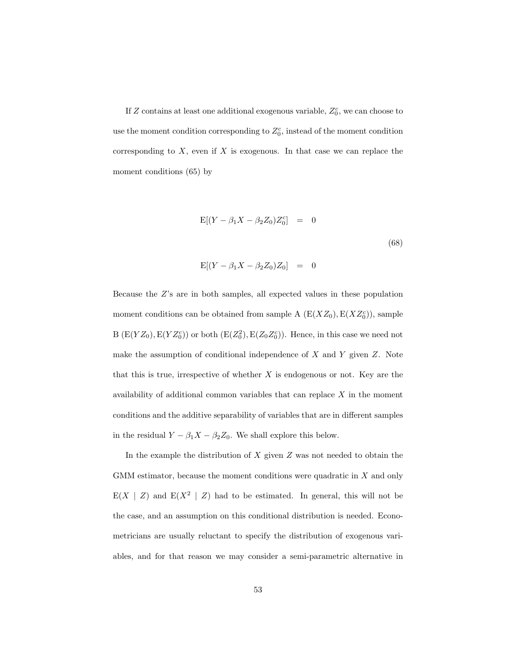If Z contains at least one additional exogenous variable,  $Z_0^c$ , we can choose to use the moment condition corresponding to  $Z_0^c$ , instead of the moment condition corresponding to  $X$ , even if  $X$  is exogenous. In that case we can replace the moment conditions (65) by

$$
E[(Y - \beta_1 X - \beta_2 Z_0)Z_0^c] = 0
$$
\n
$$
E[(Y - \beta_1 X - \beta_2 Z_0)Z_0] = 0
$$
\n(68)

Because the Z's are in both samples, all expected values in these population moment conditions can be obtained from sample A  $(E(XZ_0), E(XZ_0^c))$ , sample B  $(E(YZ_0), E(YZ_0^c))$  or both  $(E(Z_0^2), E(Z_0Z_0^c))$ . Hence, in this case we need not make the assumption of conditional independence of  $X$  and  $Y$  given  $Z$ . Note that this is true, irrespective of whether  $X$  is endogenous or not. Key are the availability of additional common variables that can replace  $X$  in the moment conditions and the additive separability of variables that are in different samples in the residual  $Y - \beta_1 X - \beta_2 Z_0$ . We shall explore this below.

In the example the distribution of  $X$  given  $Z$  was not needed to obtain the GMM estimator, because the moment conditions were quadratic in X and only  $E(X \mid Z)$  and  $E(X^2 \mid Z)$  had to be estimated. In general, this will not be the case, and an assumption on this conditional distribution is needed. Econometricians are usually reluctant to specify the distribution of exogenous variables, and for that reason we may consider a semi-parametric alternative in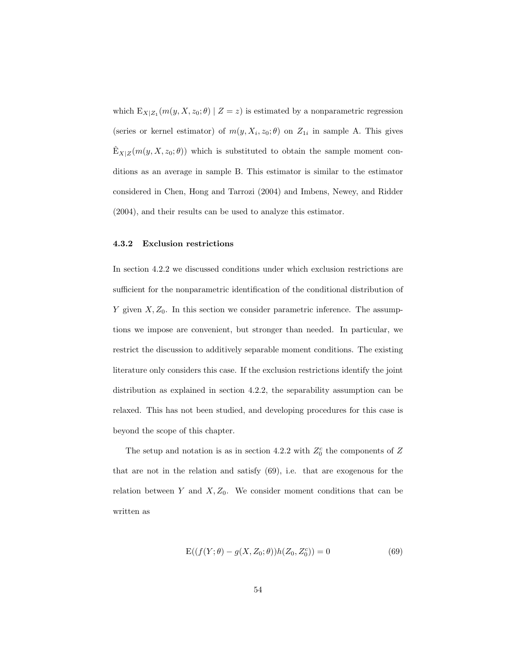which  $E_{X|Z_1}(m(y, X, z_0; \theta) | Z = z)$  is estimated by a nonparametric regression (series or kernel estimator) of  $m(y, X_i, z_0; \theta)$  on  $Z_{1i}$  in sample A. This gives  $\hat{E}_{X|Z}(m(y, X, z_0; \theta))$  which is substituted to obtain the sample moment conditions as an average in sample B. This estimator is similar to the estimator considered in Chen, Hong and Tarrozi (2004) and Imbens, Newey, and Ridder (2004), and their results can be used to analyze this estimator.

#### 4.3.2 Exclusion restrictions

In section 4.2.2 we discussed conditions under which exclusion restrictions are sufficient for the nonparametric identification of the conditional distribution of Y given  $X, Z_0$ . In this section we consider parametric inference. The assumptions we impose are convenient, but stronger than needed. In particular, we restrict the discussion to additively separable moment conditions. The existing literature only considers this case. If the exclusion restrictions identify the joint distribution as explained in section 4.2.2, the separability assumption can be relaxed. This has not been studied, and developing procedures for this case is beyond the scope of this chapter.

The setup and notation is as in section 4.2.2 with  $Z_0^c$  the components of Z that are not in the relation and satisfy (69), i.e. that are exogenous for the relation between Y and  $X, Z_0$ . We consider moment conditions that can be written as

$$
E((f(Y; \theta) - g(X, Z_0; \theta))h(Z_0, Z_0^c)) = 0
$$
\n(69)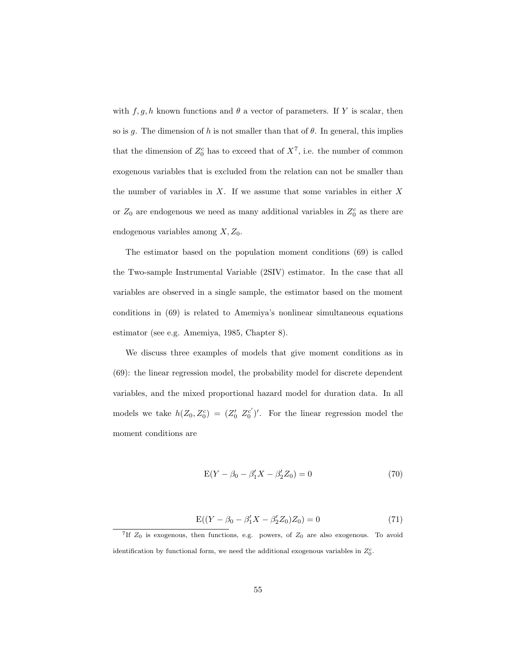with  $f, g, h$  known functions and  $\theta$  a vector of parameters. If Y is scalar, then so is g. The dimension of h is not smaller than that of  $\theta$ . In general, this implies that the dimension of  $Z_0^c$  has to exceed that of  $X^7$ , i.e. the number of common exogenous variables that is excluded from the relation can not be smaller than the number of variables in  $X$ . If we assume that some variables in either  $X$ or  $Z_0$  are endogenous we need as many additional variables in  $Z_0^c$  as there are endogenous variables among  $X, Z_0$ .

The estimator based on the population moment conditions (69) is called the Two-sample Instrumental Variable (2SIV) estimator. In the case that all variables are observed in a single sample, the estimator based on the moment conditions in (69) is related to Amemiya's nonlinear simultaneous equations estimator (see e.g. Amemiya, 1985, Chapter 8).

We discuss three examples of models that give moment conditions as in (69): the linear regression model, the probability model for discrete dependent variables, and the mixed proportional hazard model for duration data. In all models we take  $h(Z_0, Z_0^c) = (Z_0^{\prime} Z_0^{c})^{\prime}$ . For the linear regression model the moment conditions are

$$
E(Y - \beta_0 - \beta'_1 X - \beta'_2 Z_0) = 0
$$
\n(70)

$$
E((Y - \beta_0 - \beta'_1 X - \beta'_2 Z_0) Z_0) = 0
$$
\n(71)

<sup>7</sup>If  $Z_0$  is exogenous, then functions, e.g. powers, of  $Z_0$  are also exogenous. To avoid identification by functional form, we need the additional exogenous variables in  $Z_0^c$ .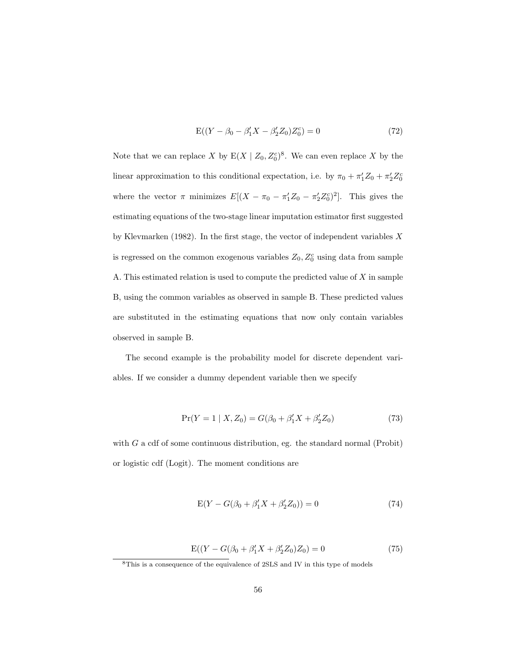$$
E((Y - \beta_0 - \beta'_1 X - \beta'_2 Z_0) Z_0^c) = 0
$$
\n(72)

Note that we can replace X by  $E(X \mid Z_0, Z_0^c)^8$ . We can even replace X by the linear approximation to this conditional expectation, i.e. by  $\pi_0 + \pi'_1 Z_0 + \pi'_2 Z_0^c$ where the vector  $\pi$  minimizes  $E[(X - \pi_0 - \pi'_1 Z_0 - \pi'_2 Z_0^c)^2]$ . This gives the estimating equations of the two-stage linear imputation estimator first suggested by Klevmarken (1982). In the first stage, the vector of independent variables  $X$ is regressed on the common exogenous variables  $Z_0, Z_0^c$  using data from sample A. This estimated relation is used to compute the predicted value of  $X$  in sample B, using the common variables as observed in sample B. These predicted values are substituted in the estimating equations that now only contain variables observed in sample B.

The second example is the probability model for discrete dependent variables. If we consider a dummy dependent variable then we specify

$$
Pr(Y = 1 | X, Z_0) = G(\beta_0 + \beta_1' X + \beta_2' Z_0)
$$
\n(73)

with  $G$  a cdf of some continuous distribution, eg. the standard normal (Probit) or logistic cdf (Logit). The moment conditions are

$$
E(Y - G(\beta_0 + \beta'_1 X + \beta'_2 Z_0)) = 0
$$
\n(74)

$$
E((Y - G(\beta_0 + \beta'_1 X + \beta'_2 Z_0)Z_0) = 0
$$
\n(75)

<sup>8</sup>This is a consequence of the equivalence of 2SLS and IV in this type of models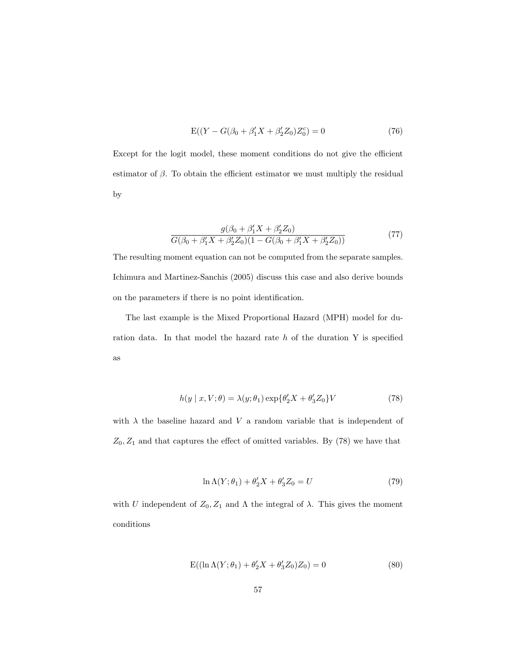$$
E((Y - G(\beta_0 + \beta'_1 X + \beta'_2 Z_0)Z_0^c) = 0
$$
\n(76)

Except for the logit model, these moment conditions do not give the efficient estimator of  $\beta$ . To obtain the efficient estimator we must multiply the residual by

$$
\frac{g(\beta_0 + \beta_1' X + \beta_2' Z_0)}{G(\beta_0 + \beta_1' X + \beta_2' Z_0)(1 - G(\beta_0 + \beta_1' X + \beta_2' Z_0))}
$$
(77)

The resulting moment equation can not be computed from the separate samples. Ichimura and Martinez-Sanchis (2005) discuss this case and also derive bounds on the parameters if there is no point identification.

The last example is the Mixed Proportional Hazard (MPH) model for duration data. In that model the hazard rate  $h$  of the duration Y is specified as

$$
h(y \mid x, V; \theta) = \lambda(y; \theta_1) \exp\{\theta_2' X + \theta_3' Z_0\} V \tag{78}
$$

with  $\lambda$  the baseline hazard and V a random variable that is independent of  $Z_0, Z_1$  and that captures the effect of omitted variables. By (78) we have that

$$
\ln \Lambda(Y; \theta_1) + \theta_2' X + \theta_3' Z_0 = U \tag{79}
$$

with U independent of  $Z_0, Z_1$  and  $\Lambda$  the integral of  $\lambda$ . This gives the moment conditions

$$
E((\ln \Lambda(Y; \theta_1) + \theta'_2 X + \theta'_3 Z_0) Z_0) = 0
$$
\n(80)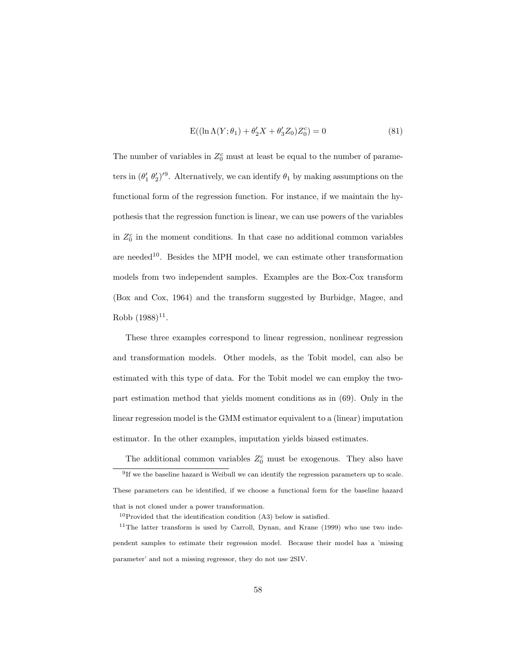$$
E((\ln \Lambda(Y; \theta_1) + \theta'_2 X + \theta'_3 Z_0) Z_0^c) = 0
$$
\n(81)

The number of variables in  $Z_0^c$  must at least be equal to the number of parameters in  $(\theta'_1 \theta'_2)^{9}$ . Alternatively, we can identify  $\theta_1$  by making assumptions on the functional form of the regression function. For instance, if we maintain the hypothesis that the regression function is linear, we can use powers of the variables in  $Z_0^c$  in the moment conditions. In that case no additional common variables are needed<sup>10</sup>. Besides the MPH model, we can estimate other transformation models from two independent samples. Examples are the Box-Cox transform (Box and Cox, 1964) and the transform suggested by Burbidge, Magee, and  $Robb(1988)^{11}.$ 

These three examples correspond to linear regression, nonlinear regression and transformation models. Other models, as the Tobit model, can also be estimated with this type of data. For the Tobit model we can employ the twopart estimation method that yields moment conditions as in (69). Only in the linear regression model is the GMM estimator equivalent to a (linear) imputation estimator. In the other examples, imputation yields biased estimates.

The additional common variables  $Z_0^c$  must be exogenous. They also have

<sup>&</sup>lt;sup>9</sup>If we the baseline hazard is Weibull we can identify the regression parameters up to scale. These parameters can be identified, if we choose a functional form for the baseline hazard that is not closed under a power transformation.

 $10$ Provided that the identification condition (A3) below is satisfied.

<sup>11</sup>The latter transform is used by Carroll, Dynan, and Krane (1999) who use two independent samples to estimate their regression model. Because their model has a 'missing parameter' and not a missing regressor, they do not use 2SIV.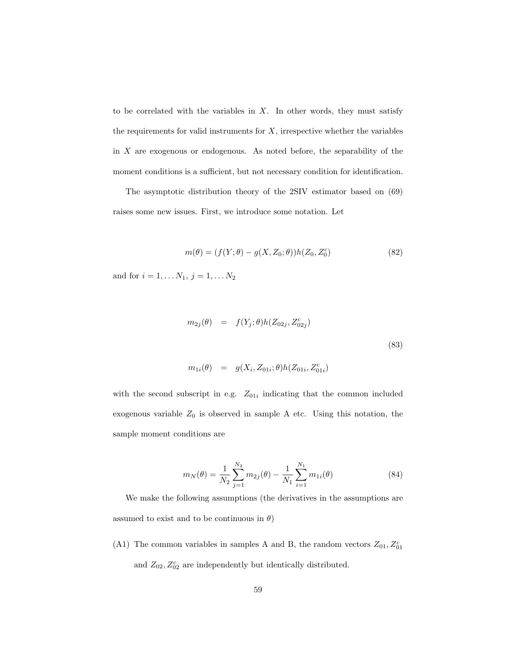to be correlated with the variables in  $X$ . In other words, they must satisfy the requirements for valid instruments for  $X$ , irrespective whether the variables in X are exogenous or endogenous. As noted before, the separability of the moment conditions is a sufficient, but not necessary condition for identification.

The asymptotic distribution theory of the 2SIV estimator based on (69) raises some new issues. First, we introduce some notation. Let

$$
m(\theta) = (f(Y; \theta) - g(X, Z_0; \theta))h(Z_0, Z_0^c)
$$
\n(82)

and for  $i = 1, ..., N_1, j = 1, ..., N_2$ 

$$
m_{2j}(\theta) = f(Y_j; \theta)h(Z_{02j}, Z_{02j}^c)
$$
  
\n
$$
m_{1i}(\theta) = g(X_i, Z_{01i}; \theta)h(Z_{01i}, Z_{01i}^c)
$$
\n(83)

with the second subscript in e.g.  $Z_{01i}$  indicating that the common included exogenous variable  $Z_0$  is observed in sample A etc. Using this notation, the sample moment conditions are

$$
m_N(\theta) = \frac{1}{N_2} \sum_{j=1}^{N_2} m_{2j}(\theta) - \frac{1}{N_1} \sum_{i=1}^{N_1} m_{1i}(\theta)
$$
\n(84)

We make the following assumptions (the derivatives in the assumptions are assumed to exist and to be continuous in  $\theta$ )

(A1) The common variables in samples A and B, the random vectors  $Z_{01}, Z_{01}^c$ and  $Z_{02}$ ,  $Z_{02}^c$  are independently but identically distributed.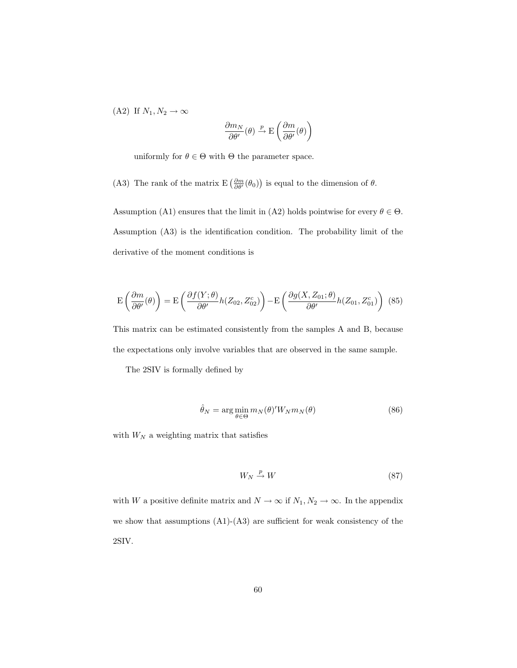(A2) If  $N_1, N_2 \to \infty$ 

$$
\frac{\partial m_N}{\partial \theta'}(\theta) \xrightarrow{p} \mathcal{E}\left(\frac{\partial m}{\partial \theta'}(\theta)\right)
$$

uniformly for  $\theta \in \Theta$  with  $\Theta$  the parameter space.

(A3) The rank of the matrix  $E\left(\frac{\partial m}{\partial \theta'}(\theta_0)\right)$  is equal to the dimension of  $\theta$ .

Assumption (A1) ensures that the limit in (A2) holds pointwise for every  $\theta \in \Theta$ . Assumption (A3) is the identification condition. The probability limit of the derivative of the moment conditions is

$$
\mathcal{E}\left(\frac{\partial m}{\partial \theta'}(\theta)\right) = \mathcal{E}\left(\frac{\partial f(Y;\theta)}{\partial \theta'}h(Z_{02}, Z_{02}^c)\right) - \mathcal{E}\left(\frac{\partial g(X, Z_{01}; \theta)}{\partial \theta'}h(Z_{01}, Z_{01}^c)\right)
$$
(85)

This matrix can be estimated consistently from the samples A and B, because the expectations only involve variables that are observed in the same sample.

The 2SIV is formally defined by

$$
\hat{\theta}_N = \arg\min_{\theta \in \Theta} m_N(\theta)' W_N m_N(\theta) \tag{86}
$$

with  ${\cal W}_{\cal N}$  a weighting matrix that satisfies

$$
W_N \stackrel{p}{\to} W \tag{87}
$$

with  $W$  a positive definite matrix and  $N\rightarrow\infty$  if  $N_1,N_2\rightarrow\infty.$  In the appendix we show that assumptions (A1)-(A3) are sufficient for weak consistency of the 2SIV.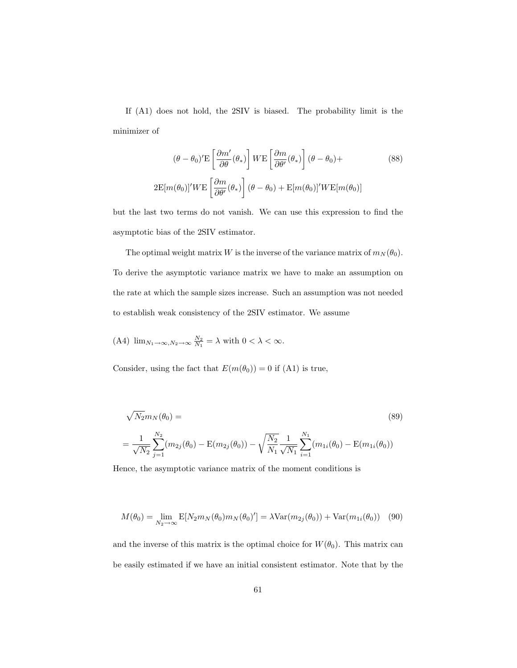If (A1) does not hold, the 2SIV is biased. The probability limit is the minimizer of

$$
(\theta - \theta_0)' \mathbf{E} \left[ \frac{\partial m'}{\partial \theta} (\theta_*) \right] W \mathbf{E} \left[ \frac{\partial m}{\partial \theta'} (\theta_*) \right] (\theta - \theta_0) +
$$
\n
$$
2 \mathbf{E} [m(\theta_0)]' W \mathbf{E} \left[ \frac{\partial m}{\partial \theta'} (\theta_*) \right] (\theta - \theta_0) + \mathbf{E} [m(\theta_0)]' W \mathbf{E} [m(\theta_0)]
$$
\n(88)

but the last two terms do not vanish. We can use this expression to find the asymptotic bias of the 2SIV estimator.

The optimal weight matrix W is the inverse of the variance matrix of  $m_N(\theta_0)$ . To derive the asymptotic variance matrix we have to make an assumption on the rate at which the sample sizes increase. Such an assumption was not needed to establish weak consistency of the 2SIV estimator. We assume

(A4) 
$$
\lim_{N_1 \to \infty, N_2 \to \infty} \frac{N_2}{N_1} = \lambda
$$
 with  $0 < \lambda < \infty$ .

Consider, using the fact that  $E(m(\theta_0)) = 0$  if (A1) is true,

$$
\sqrt{N_2}m_N(\theta_0) =
$$
\n
$$
= \frac{1}{\sqrt{N_2}}\sum_{j=1}^{N_2} (m_{2j}(\theta_0) - \mathcal{E}(m_{2j}(\theta_0)) - \sqrt{\frac{N_2}{N_1}}\sum_{i=1}^{N_1} (m_{1i}(\theta_0) - \mathcal{E}(m_{1i}(\theta_0))
$$
\n(89)

Hence, the asymptotic variance matrix of the moment conditions is

$$
M(\theta_0) = \lim_{N_2 \to \infty} \mathbb{E}[N_2 m_N(\theta_0) m_N(\theta_0)'] = \lambda \text{Var}(m_{2j}(\theta_0)) + \text{Var}(m_{1i}(\theta_0)) \quad (90)
$$

and the inverse of this matrix is the optimal choice for  $W(\theta_0)$ . This matrix can be easily estimated if we have an initial consistent estimator. Note that by the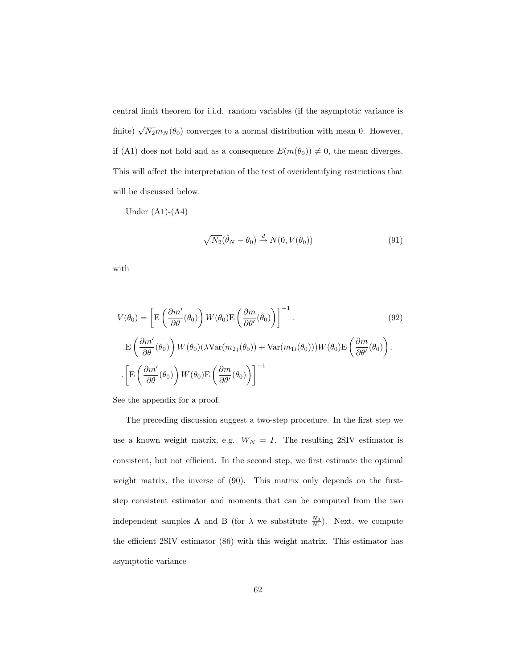central limit theorem for i.i.d. random variables (if the asymptotic variance is finite)  $\sqrt{N_2}m_N(\theta_0)$  converges to a normal distribution with mean 0. However, if (A1) does not hold and as a consequence  $E(m(\theta_0)) \neq 0$ , the mean diverges. This will affect the interpretation of the test of overidentifying restrictions that will be discussed below.

Under  $(A1)-(A4)$ 

$$
\sqrt{N_2}(\hat{\theta}_N - \theta_0) \stackrel{d}{\rightarrow} N(0, V(\theta_0))
$$
\n(91)

with

$$
V(\theta_0) = \left[ \mathcal{E}\left(\frac{\partial m'}{\partial \theta}(\theta_0)\right) W(\theta_0) \mathcal{E}\left(\frac{\partial m}{\partial \theta'}(\theta_0)\right) \right]^{-1}.
$$
\n
$$
\mathcal{E}\left(\frac{\partial m'}{\partial \theta}(\theta_0)\right) W(\theta_0) (\lambda \text{Var}(m_{2j}(\theta_0)) + \text{Var}(m_{1i}(\theta_0))) W(\theta_0) \mathcal{E}\left(\frac{\partial m}{\partial \theta'}(\theta_0)\right).
$$
\n
$$
\left[ \mathcal{E}\left(\frac{\partial m'}{\partial \theta}(\theta_0)\right) W(\theta_0) \mathcal{E}\left(\frac{\partial m}{\partial \theta'}(\theta_0)\right) \right]^{-1}
$$
\n(92)

See the appendix for a proof.

The preceding discussion suggest a two-step procedure. In the first step we use a known weight matrix, e.g.  $W_N = I$ . The resulting 2SIV estimator is consistent, but not efficient. In the second step, we first estimate the optimal weight matrix, the inverse of (90). This matrix only depends on the firststep consistent estimator and moments that can be computed from the two independent samples A and B (for  $\lambda$  we substitute  $\frac{N_2}{N_1}$ ). Next, we compute the efficient 2SIV estimator (86) with this weight matrix. This estimator has asymptotic variance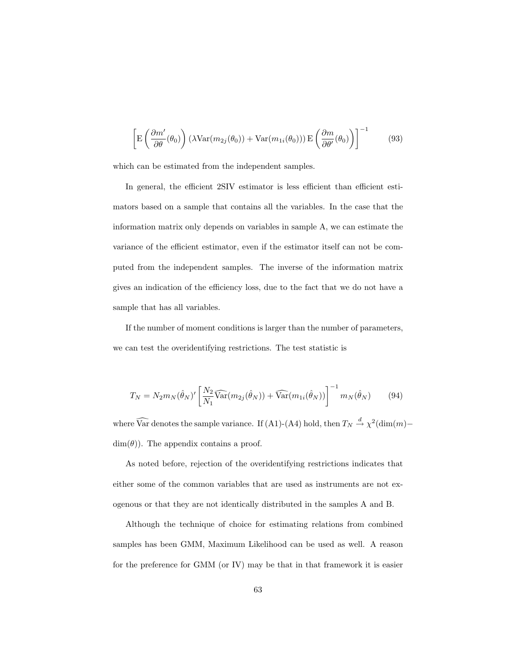$$
\left[ \mathbf{E} \left( \frac{\partial m'}{\partial \theta} (\theta_0) \right) (\lambda \text{Var}(m_{2j}(\theta_0)) + \text{Var}(m_{1i}(\theta_0))) \mathbf{E} \left( \frac{\partial m}{\partial \theta'} (\theta_0) \right) \right]^{-1} \tag{93}
$$

which can be estimated from the independent samples.

In general, the efficient 2SIV estimator is less efficient than efficient estimators based on a sample that contains all the variables. In the case that the information matrix only depends on variables in sample A, we can estimate the variance of the efficient estimator, even if the estimator itself can not be computed from the independent samples. The inverse of the information matrix gives an indication of the efficiency loss, due to the fact that we do not have a sample that has all variables.

If the number of moment conditions is larger than the number of parameters, we can test the overidentifying restrictions. The test statistic is

$$
T_N = N_2 m_N(\hat{\theta}_N)' \left[ \frac{N_2}{N_1} \widehat{\text{Var}}(m_{2j}(\hat{\theta}_N)) + \widehat{\text{Var}}(m_{1i}(\hat{\theta}_N)) \right]^{-1} m_N(\hat{\theta}_N)
$$
(94)

where  $\widehat{\text{Var}}$  denotes the sample variance. If (A1)-(A4) hold, then  $T_N \stackrel{d}{\rightarrow} \chi^2(\text{dim}(m) \dim(\theta)$ . The appendix contains a proof.

As noted before, rejection of the overidentifying restrictions indicates that either some of the common variables that are used as instruments are not exogenous or that they are not identically distributed in the samples A and B.

Although the technique of choice for estimating relations from combined samples has been GMM, Maximum Likelihood can be used as well. A reason for the preference for GMM (or IV) may be that in that framework it is easier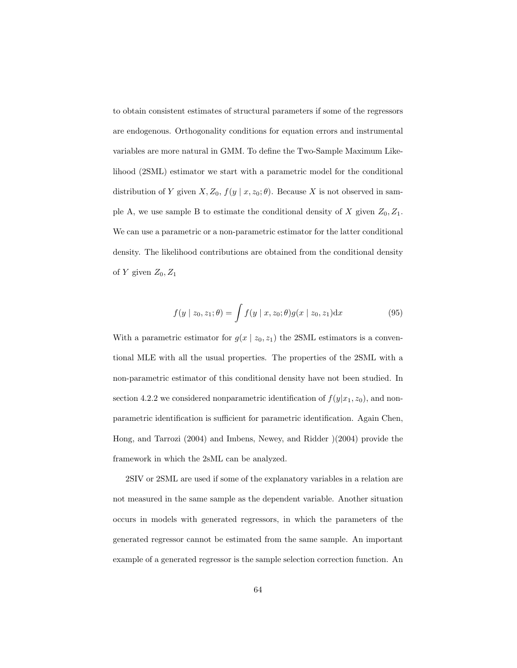to obtain consistent estimates of structural parameters if some of the regressors are endogenous. Orthogonality conditions for equation errors and instrumental variables are more natural in GMM. To define the Two-Sample Maximum Likelihood (2SML) estimator we start with a parametric model for the conditional distribution of Y given  $X, Z_0, f(y | x, z_0; \theta)$ . Because X is not observed in sample A, we use sample B to estimate the conditional density of X given  $Z_0, Z_1$ . We can use a parametric or a non-parametric estimator for the latter conditional density. The likelihood contributions are obtained from the conditional density of Y given  $Z_0, Z_1$ 

$$
f(y \mid z_0, z_1; \theta) = \int f(y \mid x, z_0; \theta) g(x \mid z_0, z_1) dx \tag{95}
$$

With a parametric estimator for  $g(x \mid z_0, z_1)$  the 2SML estimators is a conventional MLE with all the usual properties. The properties of the 2SML with a non-parametric estimator of this conditional density have not been studied. In section 4.2.2 we considered nonparametric identification of  $f(y|x_1, z_0)$ , and nonparametric identification is sufficient for parametric identification. Again Chen, Hong, and Tarrozi (2004) and Imbens, Newey, and Ridder )(2004) provide the framework in which the 2sML can be analyzed.

2SIV or 2SML are used if some of the explanatory variables in a relation are not measured in the same sample as the dependent variable. Another situation occurs in models with generated regressors, in which the parameters of the generated regressor cannot be estimated from the same sample. An important example of a generated regressor is the sample selection correction function. An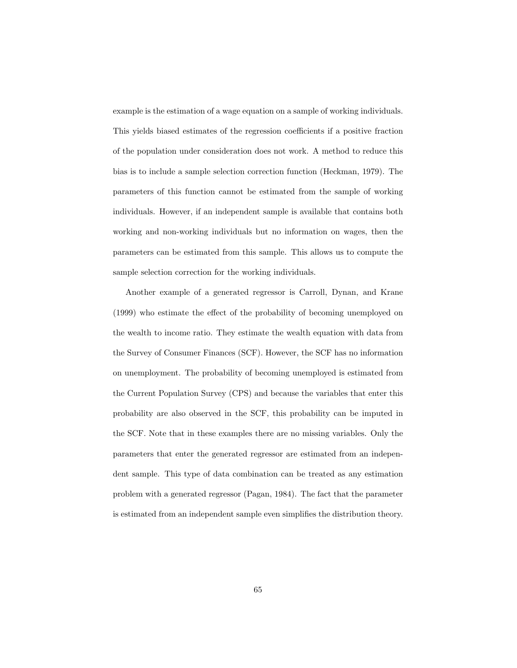example is the estimation of a wage equation on a sample of working individuals. This yields biased estimates of the regression coefficients if a positive fraction of the population under consideration does not work. A method to reduce this bias is to include a sample selection correction function (Heckman, 1979). The parameters of this function cannot be estimated from the sample of working individuals. However, if an independent sample is available that contains both working and non-working individuals but no information on wages, then the parameters can be estimated from this sample. This allows us to compute the sample selection correction for the working individuals.

Another example of a generated regressor is Carroll, Dynan, and Krane (1999) who estimate the effect of the probability of becoming unemployed on the wealth to income ratio. They estimate the wealth equation with data from the Survey of Consumer Finances (SCF). However, the SCF has no information on unemployment. The probability of becoming unemployed is estimated from the Current Population Survey (CPS) and because the variables that enter this probability are also observed in the SCF, this probability can be imputed in the SCF. Note that in these examples there are no missing variables. Only the parameters that enter the generated regressor are estimated from an independent sample. This type of data combination can be treated as any estimation problem with a generated regressor (Pagan, 1984). The fact that the parameter is estimated from an independent sample even simplifies the distribution theory.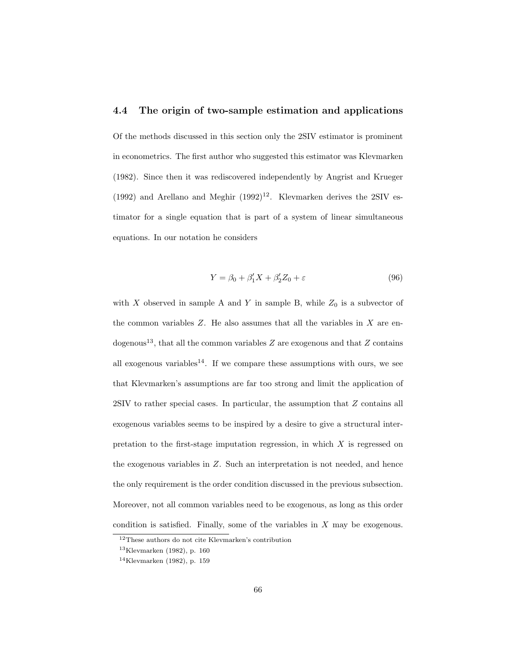# 4.4 The origin of two-sample estimation and applications

Of the methods discussed in this section only the 2SIV estimator is prominent in econometrics. The first author who suggested this estimator was Klevmarken (1982). Since then it was rediscovered independently by Angrist and Krueger (1992) and Arellano and Meghir  $(1992)^{12}$ . Klevmarken derives the 2SIV estimator for a single equation that is part of a system of linear simultaneous equations. In our notation he considers

$$
Y = \beta_0 + \beta_1' X + \beta_2' Z_0 + \varepsilon \tag{96}
$$

with X observed in sample A and Y in sample B, while  $Z_0$  is a subvector of the common variables  $Z$ . He also assumes that all the variables in  $X$  are endogenous<sup>13</sup>, that all the common variables  $Z$  are exogenous and that  $Z$  contains all exogenous variables<sup>14</sup>. If we compare these assumptions with ours, we see that Klevmarken's assumptions are far too strong and limit the application of 2SIV to rather special cases. In particular, the assumption that Z contains all exogenous variables seems to be inspired by a desire to give a structural interpretation to the first-stage imputation regression, in which  $X$  is regressed on the exogenous variables in Z. Such an interpretation is not needed, and hence the only requirement is the order condition discussed in the previous subsection. Moreover, not all common variables need to be exogenous, as long as this order condition is satisfied. Finally, some of the variables in  $X$  may be exogenous.

<sup>12</sup>These authors do not cite Klevmarken's contribution

<sup>13</sup>Klevmarken (1982), p. 160

<sup>14</sup>Klevmarken (1982), p. 159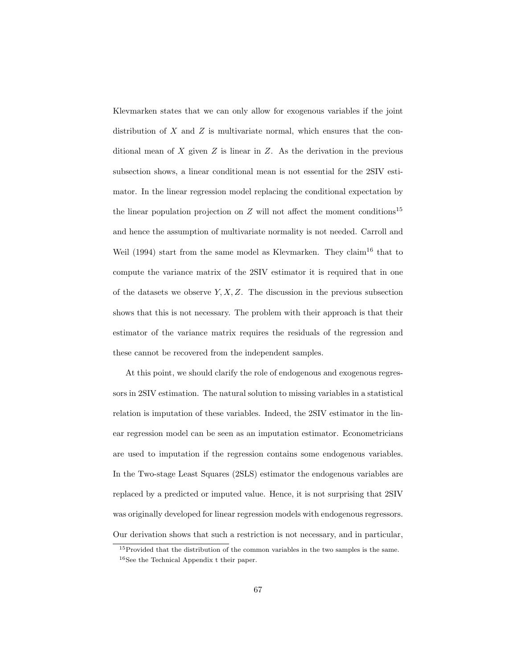Klevmarken states that we can only allow for exogenous variables if the joint distribution of X and Z is multivariate normal, which ensures that the conditional mean of  $X$  given  $Z$  is linear in  $Z$ . As the derivation in the previous subsection shows, a linear conditional mean is not essential for the 2SIV estimator. In the linear regression model replacing the conditional expectation by the linear population projection on Z will not affect the moment conditions<sup>15</sup> and hence the assumption of multivariate normality is not needed. Carroll and Weil (1994) start from the same model as Klevmarken. They claim<sup>16</sup> that to compute the variance matrix of the 2SIV estimator it is required that in one of the datasets we observe  $Y, X, Z$ . The discussion in the previous subsection shows that this is not necessary. The problem with their approach is that their estimator of the variance matrix requires the residuals of the regression and these cannot be recovered from the independent samples.

At this point, we should clarify the role of endogenous and exogenous regressors in 2SIV estimation. The natural solution to missing variables in a statistical relation is imputation of these variables. Indeed, the 2SIV estimator in the linear regression model can be seen as an imputation estimator. Econometricians are used to imputation if the regression contains some endogenous variables. In the Two-stage Least Squares (2SLS) estimator the endogenous variables are replaced by a predicted or imputed value. Hence, it is not surprising that 2SIV was originally developed for linear regression models with endogenous regressors. Our derivation shows that such a restriction is not necessary, and in particular,

<sup>15</sup>Provided that the distribution of the common variables in the two samples is the same. <sup>16</sup>See the Technical Appendix t their paper.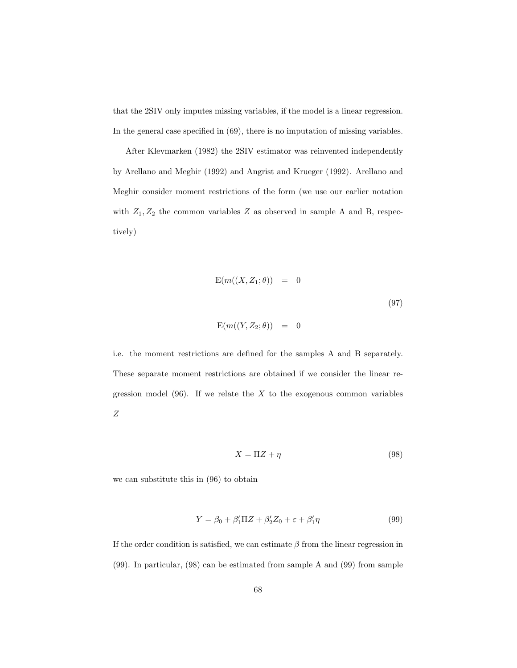that the 2SIV only imputes missing variables, if the model is a linear regression. In the general case specified in (69), there is no imputation of missing variables.

After Klevmarken (1982) the 2SIV estimator was reinvented independently by Arellano and Meghir (1992) and Angrist and Krueger (1992). Arellano and Meghir consider moment restrictions of the form (we use our earlier notation with  $Z_1, Z_2$  the common variables Z as observed in sample A and B, respectively)

$$
E(m((X, Z_1; \theta)) = 0
$$
\n
$$
E(m((Y, Z_2; \theta)) = 0
$$
\n(97)

i.e. the moment restrictions are defined for the samples A and B separately. These separate moment restrictions are obtained if we consider the linear regression model  $(96)$ . If we relate the X to the exogenous common variables Z

$$
X = \Pi Z + \eta \tag{98}
$$

we can substitute this in (96) to obtain

$$
Y = \beta_0 + \beta_1' \Pi Z + \beta_2' Z_0 + \varepsilon + \beta_1' \eta \tag{99}
$$

If the order condition is satisfied, we can estimate  $\beta$  from the linear regression in (99). In particular, (98) can be estimated from sample A and (99) from sample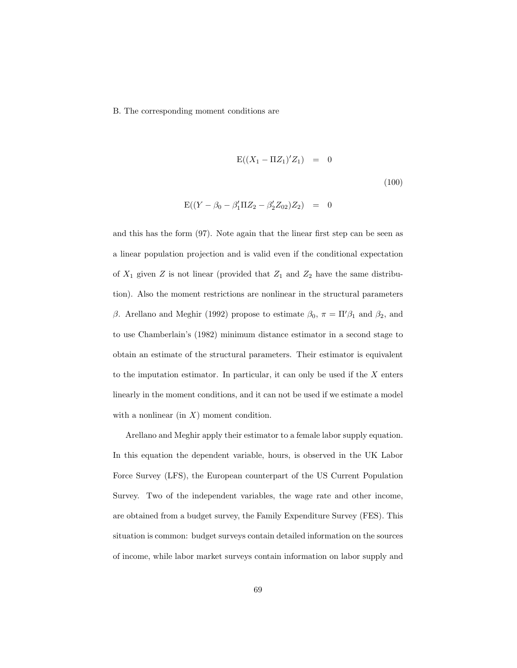B. The corresponding moment conditions are

$$
E((X_1 - \Pi Z_1)'Z_1) = 0
$$
\n(100)

$$
E((Y - \beta_0 - \beta'_1 \Pi Z_2 - \beta'_2 Z_{02}) Z_2) = 0
$$

and this has the form (97). Note again that the linear first step can be seen as a linear population projection and is valid even if the conditional expectation of  $X_1$  given Z is not linear (provided that  $Z_1$  and  $Z_2$  have the same distribution). Also the moment restrictions are nonlinear in the structural parameters β. Arellano and Meghir (1992) propose to estimate  $β_0$ ,  $π = \Pi/β_1$  and  $β_2$ , and to use Chamberlain's (1982) minimum distance estimator in a second stage to obtain an estimate of the structural parameters. Their estimator is equivalent to the imputation estimator. In particular, it can only be used if the  $X$  enters linearly in the moment conditions, and it can not be used if we estimate a model with a nonlinear (in  $X$ ) moment condition.

Arellano and Meghir apply their estimator to a female labor supply equation. In this equation the dependent variable, hours, is observed in the UK Labor Force Survey (LFS), the European counterpart of the US Current Population Survey. Two of the independent variables, the wage rate and other income, are obtained from a budget survey, the Family Expenditure Survey (FES). This situation is common: budget surveys contain detailed information on the sources of income, while labor market surveys contain information on labor supply and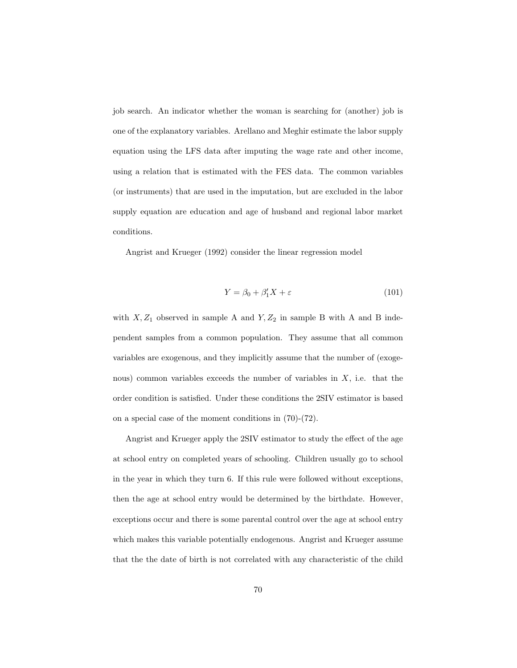job search. An indicator whether the woman is searching for (another) job is one of the explanatory variables. Arellano and Meghir estimate the labor supply equation using the LFS data after imputing the wage rate and other income, using a relation that is estimated with the FES data. The common variables (or instruments) that are used in the imputation, but are excluded in the labor supply equation are education and age of husband and regional labor market conditions.

Angrist and Krueger (1992) consider the linear regression model

$$
Y = \beta_0 + \beta'_1 X + \varepsilon \tag{101}
$$

with  $X, Z_1$  observed in sample A and  $Y, Z_2$  in sample B with A and B independent samples from a common population. They assume that all common variables are exogenous, and they implicitly assume that the number of (exogenous) common variables exceeds the number of variables in  $X$ , i.e. that the order condition is satisfied. Under these conditions the 2SIV estimator is based on a special case of the moment conditions in (70)-(72).

Angrist and Krueger apply the 2SIV estimator to study the effect of the age at school entry on completed years of schooling. Children usually go to school in the year in which they turn 6. If this rule were followed without exceptions, then the age at school entry would be determined by the birthdate. However, exceptions occur and there is some parental control over the age at school entry which makes this variable potentially endogenous. Angrist and Krueger assume that the the date of birth is not correlated with any characteristic of the child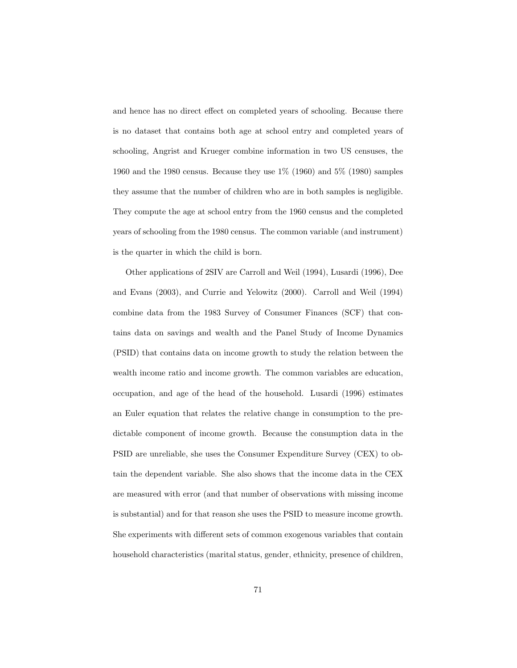and hence has no direct effect on completed years of schooling. Because there is no dataset that contains both age at school entry and completed years of schooling, Angrist and Krueger combine information in two US censuses, the 1960 and the 1980 census. Because they use 1% (1960) and 5% (1980) samples they assume that the number of children who are in both samples is negligible. They compute the age at school entry from the 1960 census and the completed years of schooling from the 1980 census. The common variable (and instrument) is the quarter in which the child is born.

Other applications of 2SIV are Carroll and Weil (1994), Lusardi (1996), Dee and Evans (2003), and Currie and Yelowitz (2000). Carroll and Weil (1994) combine data from the 1983 Survey of Consumer Finances (SCF) that contains data on savings and wealth and the Panel Study of Income Dynamics (PSID) that contains data on income growth to study the relation between the wealth income ratio and income growth. The common variables are education, occupation, and age of the head of the household. Lusardi (1996) estimates an Euler equation that relates the relative change in consumption to the predictable component of income growth. Because the consumption data in the PSID are unreliable, she uses the Consumer Expenditure Survey (CEX) to obtain the dependent variable. She also shows that the income data in the CEX are measured with error (and that number of observations with missing income is substantial) and for that reason she uses the PSID to measure income growth. She experiments with different sets of common exogenous variables that contain household characteristics (marital status, gender, ethnicity, presence of children,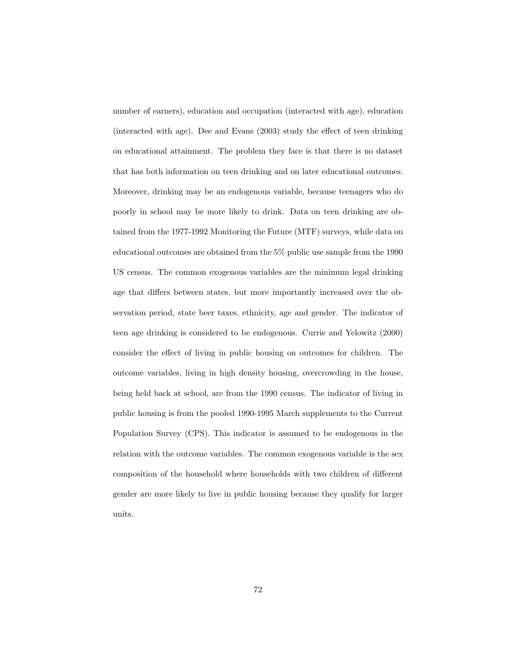number of earners), education and occupation (interacted with age), education (interacted with age). Dee and Evans (2003) study the effect of teen drinking on educational attainment. The problem they face is that there is no dataset that has both information on teen drinking and on later educational outcomes. Moreover, drinking may be an endogenous variable, because teenagers who do poorly in school may be more likely to drink. Data on teen drinking are obtained from the 1977-1992 Monitoring the Future (MTF) surveys, while data on educational outcomes are obtained from the 5% public use sample from the 1990 US census. The common exogenous variables are the minimum legal drinking age that differs between states, but more importantly increased over the observation period, state beer taxes, ethnicity, age and gender. The indicator of teen age drinking is considered to be endogenous. Currie and Yelowitz (2000) consider the effect of living in public housing on outcomes for children. The outcome variables, living in high density housing, overcrowding in the house, being held back at school, are from the 1990 census. The indicator of living in public housing is from the pooled 1990-1995 March supplements to the Current Population Survey (CPS). This indicator is assumed to be endogenous in the relation with the outcome variables. The common exogenous variable is the sex composition of the household where households with two children of different gender are more likely to live in public housing because they qualify for larger units.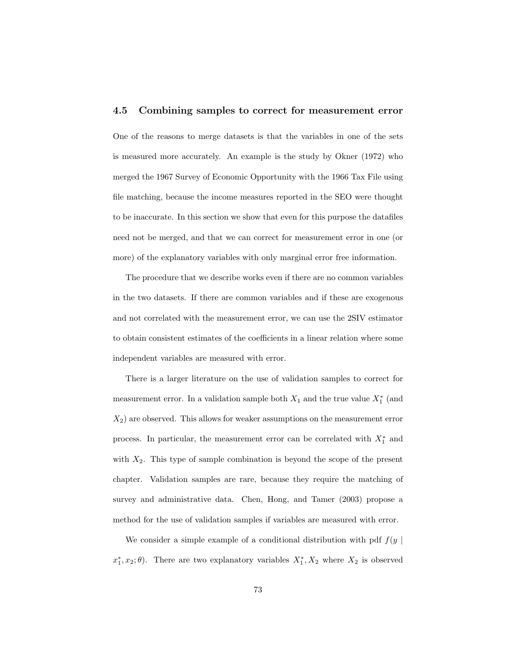### 4.5 Combining samples to correct for measurement error

One of the reasons to merge datasets is that the variables in one of the sets is measured more accurately. An example is the study by Okner (1972) who merged the 1967 Survey of Economic Opportunity with the 1966 Tax File using file matching, because the income measures reported in the SEO were thought to be inaccurate. In this section we show that even for this purpose the datafiles need not be merged, and that we can correct for measurement error in one (or more) of the explanatory variables with only marginal error free information.

The procedure that we describe works even if there are no common variables in the two datasets. If there are common variables and if these are exogenous and not correlated with the measurement error, we can use the 2SIV estimator to obtain consistent estimates of the coefficients in a linear relation where some independent variables are measured with error.

There is a larger literature on the use of validation samples to correct for measurement error. In a validation sample both  $X_1$  and the true value  $X_1^*$  (and  $X_2$ ) are observed. This allows for weaker assumptions on the measurement error process. In particular, the measurement error can be correlated with  $X_1^*$  and with  $X_2$ . This type of sample combination is beyond the scope of the present chapter. Validation samples are rare, because they require the matching of survey and administrative data. Chen, Hong, and Tamer (2003) propose a method for the use of validation samples if variables are measured with error.

We consider a simple example of a conditional distribution with pdf  $f(y)$  $x_1^*, x_2; \theta$ . There are two explanatory variables  $X_1^*, X_2$  where  $X_2$  is observed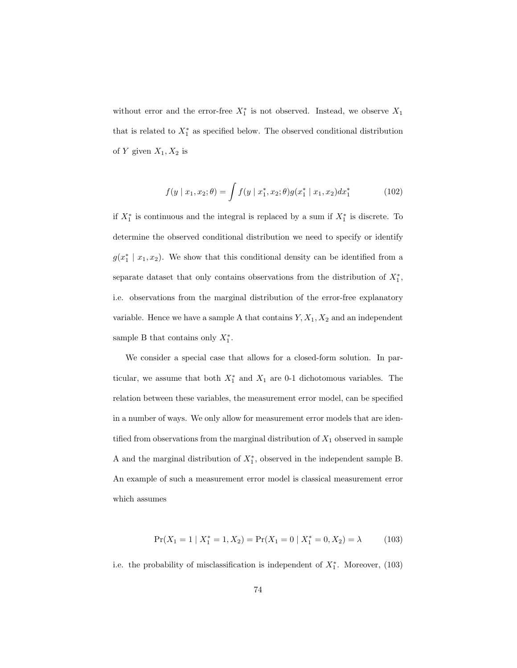without error and the error-free  $X_1^*$  is not observed. Instead, we observe  $X_1$ that is related to  $X_1^*$  as specified below. The observed conditional distribution of Y given  $X_1, X_2$  is

$$
f(y \mid x_1, x_2; \theta) = \int f(y \mid x_1^*, x_2; \theta) g(x_1^* \mid x_1, x_2) dx_1^* \tag{102}
$$

if  $X_1^*$  is continuous and the integral is replaced by a sum if  $X_1^*$  is discrete. To determine the observed conditional distribution we need to specify or identify  $g(x_1^* | x_1, x_2)$ . We show that this conditional density can be identified from a separate dataset that only contains observations from the distribution of  $X_1^*$ , i.e. observations from the marginal distribution of the error-free explanatory variable. Hence we have a sample A that contains  $Y, X_1, X_2$  and an independent sample B that contains only  $X_1^*$ .

We consider a special case that allows for a closed-form solution. In particular, we assume that both  $X_1^*$  and  $X_1$  are 0-1 dichotomous variables. The relation between these variables, the measurement error model, can be specified in a number of ways. We only allow for measurement error models that are identified from observations from the marginal distribution of  $X_1$  observed in sample A and the marginal distribution of  $X_1^*$ , observed in the independent sample B. An example of such a measurement error model is classical measurement error which assumes

$$
\Pr(X_1 = 1 \mid X_1^* = 1, X_2) = \Pr(X_1 = 0 \mid X_1^* = 0, X_2) = \lambda \tag{103}
$$

i.e. the probability of misclassification is independent of  $X_1^*$ . Moreover, (103)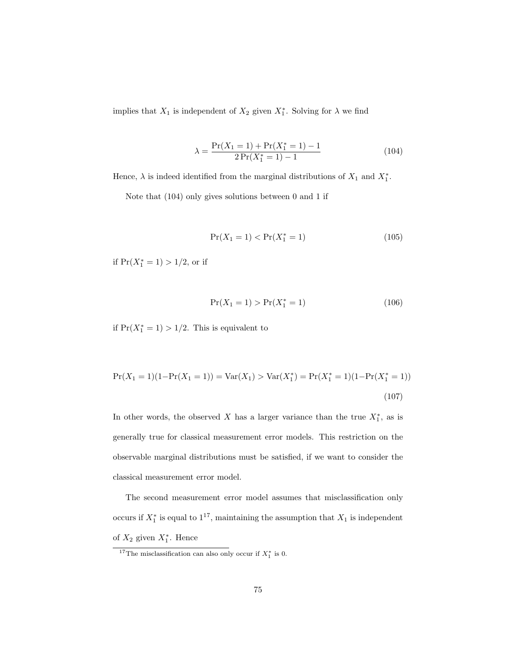implies that  $X_1$  is independent of  $X_2$  given  $X_1^*$ . Solving for  $\lambda$  we find

$$
\lambda = \frac{\Pr(X_1 = 1) + \Pr(X_1^* = 1) - 1}{2\Pr(X_1^* = 1) - 1} \tag{104}
$$

Hence,  $\lambda$  is indeed identified from the marginal distributions of  $X_1$  and  $X_1^*$ .

Note that (104) only gives solutions between 0 and 1 if

$$
Pr(X_1 = 1) < Pr(X_1^* = 1) \tag{105}
$$

if  $Pr(X_1^* = 1) > 1/2$ , or if

$$
Pr(X_1 = 1) > Pr(X_1^* = 1)
$$
\n(106)

if  $Pr(X_1^* = 1) > 1/2$ . This is equivalent to

$$
Pr(X_1 = 1)(1 - Pr(X_1 = 1)) = Var(X_1) > Var(X_1^*) = Pr(X_1^* = 1)(1 - Pr(X_1^* = 1))
$$
\n(107)

In other words, the observed X has a larger variance than the true  $X_1^*$ , as is generally true for classical measurement error models. This restriction on the observable marginal distributions must be satisfied, if we want to consider the classical measurement error model.

The second measurement error model assumes that misclassification only occurs if  $X_1^*$  is equal to  $1^{17}$ , maintaining the assumption that  $X_1$  is independent of  $X_2$  given  $X_1^*$ . Hence

<sup>&</sup>lt;sup>17</sup>The misclassification can also only occur if  $X_1^*$  is 0.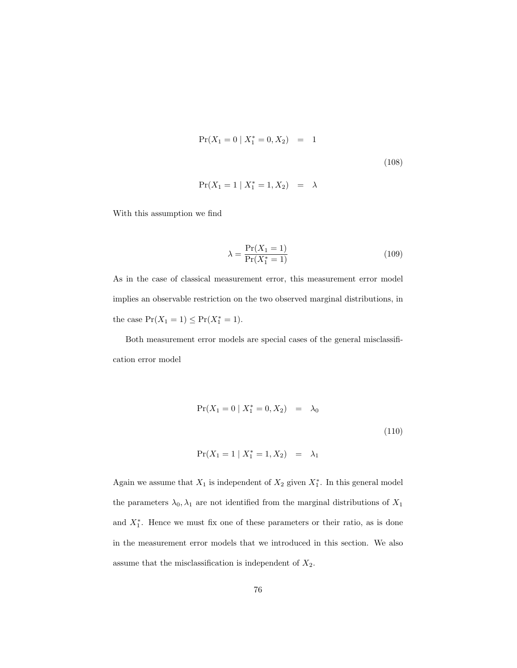$$
\Pr(X_1 = 0 \mid X_1^* = 0, X_2) = 1
$$
\n
$$
\Pr(X_1 = 1 \mid X_1^* = 1, X_2) = \lambda
$$
\n(108)

With this assumption we find

$$
\lambda = \frac{\Pr(X_1 = 1)}{\Pr(X_1^* = 1)}\tag{109}
$$

As in the case of classical measurement error, this measurement error model implies an observable restriction on the two observed marginal distributions, in the case  $Pr(X_1 = 1) \le Pr(X_1^* = 1)$ .

Both measurement error models are special cases of the general misclassification error model

$$
Pr(X_1 = 0 | X_1^* = 0, X_2) = \lambda_0
$$
\n(110)

$$
Pr(X_1 = 1 | X_1^* = 1, X_2) = \lambda_1
$$

Again we assume that  $X_1$  is independent of  $X_2$  given  $X_1^*$ . In this general model the parameters  $\lambda_0, \lambda_1$  are not identified from the marginal distributions of  $X_1$ and  $X_1^*$ . Hence we must fix one of these parameters or their ratio, as is done in the measurement error models that we introduced in this section. We also assume that the misclassification is independent of  $X_2$ .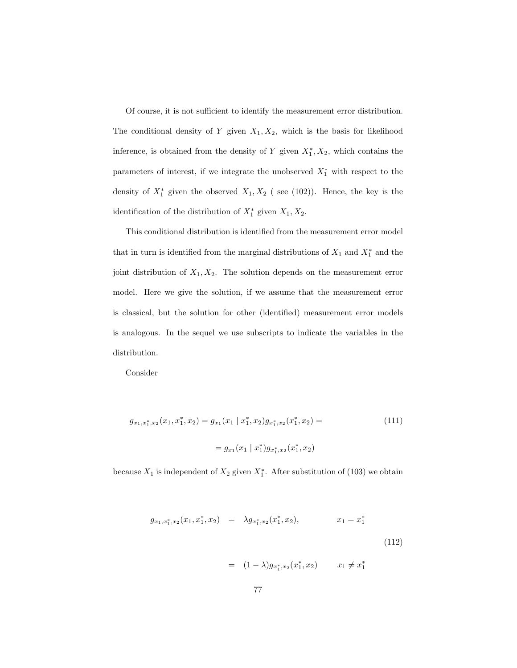Of course, it is not sufficient to identify the measurement error distribution. The conditional density of Y given  $X_1, X_2$ , which is the basis for likelihood inference, is obtained from the density of Y given  $X_1^*, X_2$ , which contains the parameters of interest, if we integrate the unobserved  $X_1^*$  with respect to the density of  $X_1^*$  given the observed  $X_1, X_2$  (see (102)). Hence, the key is the identification of the distribution of  $X_1^*$  given  $X_1, X_2$ .

This conditional distribution is identified from the measurement error model that in turn is identified from the marginal distributions of  $X_1$  and  $X_1^*$  and the joint distribution of  $X_1, X_2$ . The solution depends on the measurement error model. Here we give the solution, if we assume that the measurement error is classical, but the solution for other (identified) measurement error models is analogous. In the sequel we use subscripts to indicate the variables in the distribution.

Consider

$$
g_{x_1,x_1^*,x_2}(x_1,x_1^*,x_2) = g_{x_1}(x_1 \mid x_1^*, x_2)g_{x_1^*,x_2}(x_1^*, x_2) =
$$
\n
$$
= g_{x_1}(x_1 \mid x_1^*)g_{x_1^*,x_2}(x_1^*, x_2)
$$
\n
$$
(111)
$$

because  $X_1$  is independent of  $X_2$  given  $X_1^*$ . After substitution of (103) we obtain

$$
g_{x_1,x_1^*,x_2}(x_1, x_1^*, x_2) = \lambda g_{x_1^*,x_2}(x_1^*, x_2), \qquad x_1 = x_1^*
$$
\n
$$
= (1 - \lambda)g_{x_1^*,x_2}(x_1^*, x_2) \qquad x_1 \neq x_1^*
$$
\n
$$
(112)
$$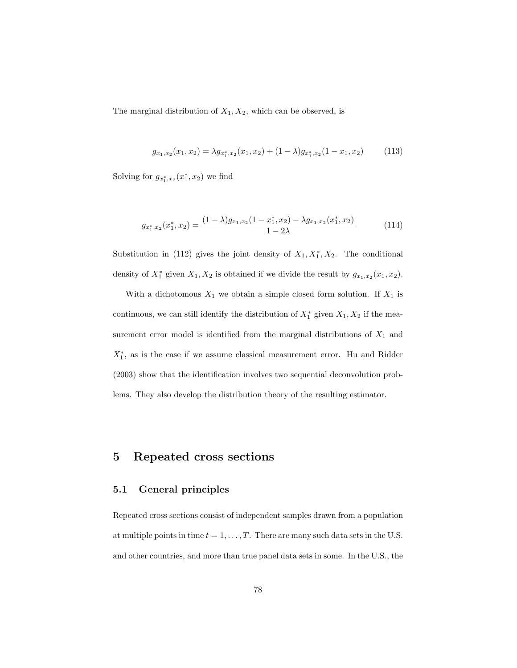The marginal distribution of  $X_1, X_2$ , which can be observed, is

$$
g_{x_1,x_2}(x_1,x_2) = \lambda g_{x_1^*,x_2}(x_1,x_2) + (1-\lambda)g_{x_1^*,x_2}(1-x_1,x_2) \tag{113}
$$

Solving for  $g_{x_1^*,x_2}(x_1^*,x_2)$  we find

$$
g_{x_1^*,x_2}(x_1^*,x_2) = \frac{(1-\lambda)g_{x_1,x_2}(1-x_1^*,x_2) - \lambda g_{x_1,x_2}(x_1^*,x_2)}{1-2\lambda}
$$
(114)

Substitution in (112) gives the joint density of  $X_1, X_1^*, X_2$ . The conditional density of  $X_1^*$  given  $X_1, X_2$  is obtained if we divide the result by  $g_{x_1,x_2}(x_1,x_2)$ .

With a dichotomous  $X_1$  we obtain a simple closed form solution. If  $X_1$  is continuous, we can still identify the distribution of  $X_1^*$  given  $X_1, X_2$  if the measurement error model is identified from the marginal distributions of  $X_1$  and  $X_1^*$ , as is the case if we assume classical measurement error. Hu and Ridder (2003) show that the identification involves two sequential deconvolution problems. They also develop the distribution theory of the resulting estimator.

## 5 Repeated cross sections

### 5.1 General principles

Repeated cross sections consist of independent samples drawn from a population at multiple points in time  $t = 1, \ldots, T$ . There are many such data sets in the U.S. and other countries, and more than true panel data sets in some. In the U.S., the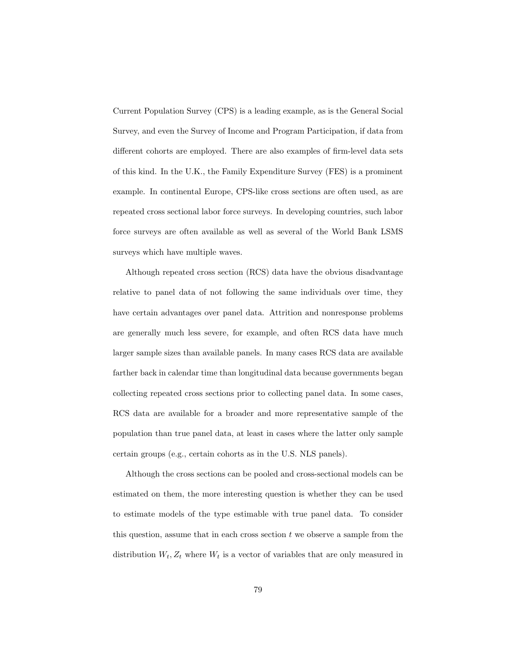Current Population Survey (CPS) is a leading example, as is the General Social Survey, and even the Survey of Income and Program Participation, if data from different cohorts are employed. There are also examples of firm-level data sets of this kind. In the U.K., the Family Expenditure Survey (FES) is a prominent example. In continental Europe, CPS-like cross sections are often used, as are repeated cross sectional labor force surveys. In developing countries, such labor force surveys are often available as well as several of the World Bank LSMS surveys which have multiple waves.

Although repeated cross section (RCS) data have the obvious disadvantage relative to panel data of not following the same individuals over time, they have certain advantages over panel data. Attrition and nonresponse problems are generally much less severe, for example, and often RCS data have much larger sample sizes than available panels. In many cases RCS data are available farther back in calendar time than longitudinal data because governments began collecting repeated cross sections prior to collecting panel data. In some cases, RCS data are available for a broader and more representative sample of the population than true panel data, at least in cases where the latter only sample certain groups (e.g., certain cohorts as in the U.S. NLS panels).

Although the cross sections can be pooled and cross-sectional models can be estimated on them, the more interesting question is whether they can be used to estimate models of the type estimable with true panel data. To consider this question, assume that in each cross section  $t$  we observe a sample from the distribution  $W_t, Z_t$  where  $W_t$  is a vector of variables that are only measured in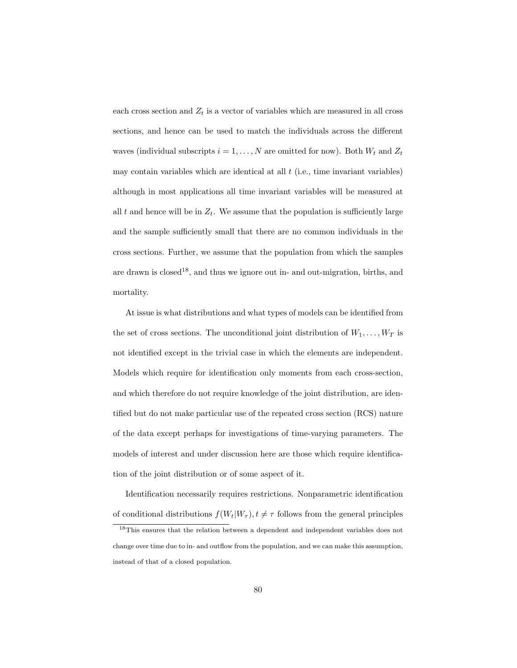each cross section and  $Z_t$  is a vector of variables which are measured in all cross sections, and hence can be used to match the individuals across the different waves (individual subscripts  $i = 1, ..., N$  are omitted for now). Both  $W_t$  and  $Z_t$ may contain variables which are identical at all  $t$  (i.e., time invariant variables) although in most applications all time invariant variables will be measured at all t and hence will be in  $Z_t$ . We assume that the population is sufficiently large and the sample sufficiently small that there are no common individuals in the cross sections. Further, we assume that the population from which the samples are drawn is closed<sup>18</sup>, and thus we ignore out in- and out-migration, births, and mortality.

At issue is what distributions and what types of models can be identified from the set of cross sections. The unconditional joint distribution of  $W_1, \ldots, W_T$  is not identified except in the trivial case in which the elements are independent. Models which require for identification only moments from each cross-section, and which therefore do not require knowledge of the joint distribution, are identified but do not make particular use of the repeated cross section (RCS) nature of the data except perhaps for investigations of time-varying parameters. The models of interest and under discussion here are those which require identification of the joint distribution or of some aspect of it.

Identification necessarily requires restrictions. Nonparametric identification of conditional distributions  $f(W_t|W_\tau), t \neq \tau$  follows from the general principles

<sup>18</sup>This ensures that the relation between a dependent and independent variables does not change over time due to in- and outflow from the population, and we can make this assumption, instead of that of a closed population.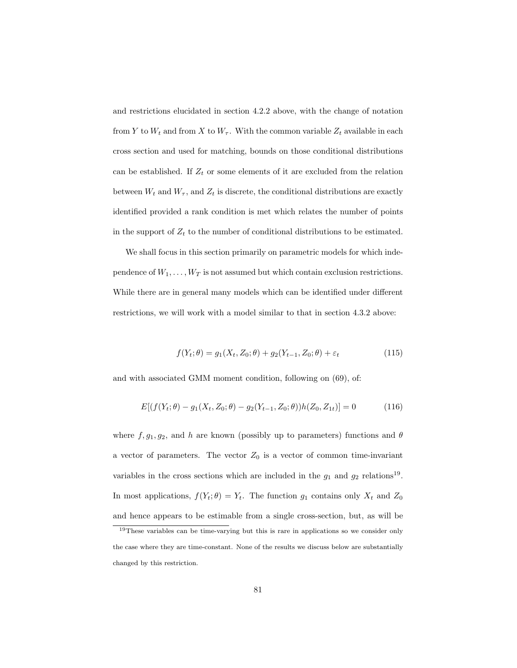and restrictions elucidated in section 4.2.2 above, with the change of notation from Y to  $W_t$  and from X to  $W_\tau$ . With the common variable  $Z_t$  available in each cross section and used for matching, bounds on those conditional distributions can be established. If  $Z_t$  or some elements of it are excluded from the relation between  $W_t$  and  $W_\tau$ , and  $Z_t$  is discrete, the conditional distributions are exactly identified provided a rank condition is met which relates the number of points in the support of  $Z_t$  to the number of conditional distributions to be estimated.

We shall focus in this section primarily on parametric models for which independence of  $W_1, \ldots, W_T$  is not assumed but which contain exclusion restrictions. While there are in general many models which can be identified under different restrictions, we will work with a model similar to that in section 4.3.2 above:

$$
f(Y_t; \theta) = g_1(X_t, Z_0; \theta) + g_2(Y_{t-1}, Z_0; \theta) + \varepsilon_t
$$
\n(115)

and with associated GMM moment condition, following on (69), of:

$$
E[(f(Y_t; \theta) - g_1(X_t, Z_0; \theta) - g_2(Y_{t-1}, Z_0; \theta))h(Z_0, Z_{1t})] = 0 \qquad (116)
$$

where  $f, g_1, g_2$ , and h are known (possibly up to parameters) functions and  $\theta$ a vector of parameters. The vector  $Z_0$  is a vector of common time-invariant variables in the cross sections which are included in the  $g_1$  and  $g_2$  relations<sup>19</sup>. In most applications,  $f(Y_t; \theta) = Y_t$ . The function  $g_1$  contains only  $X_t$  and  $Z_0$ and hence appears to be estimable from a single cross-section, but, as will be

<sup>&</sup>lt;sup>19</sup>These variables can be time-varying but this is rare in applications so we consider only the case where they are time-constant. None of the results we discuss below are substantially changed by this restriction.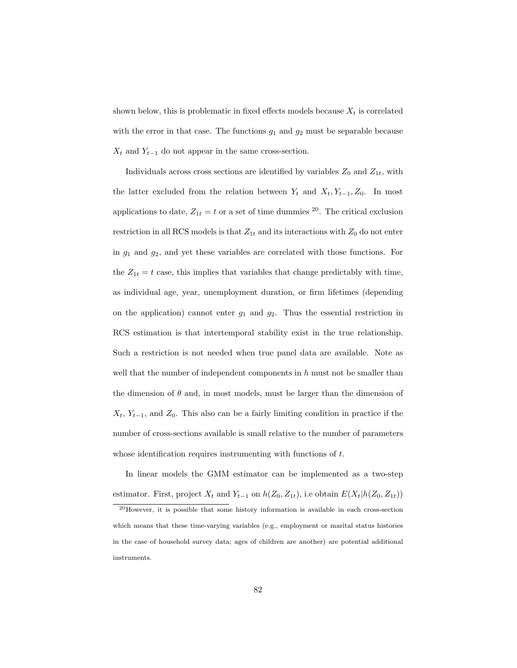shown below, this is problematic in fixed effects models because  $X_t$  is correlated with the error in that case. The functions  $g_1$  and  $g_2$  must be separable because  $X_t$  and  $Y_{t-1}$  do not appear in the same cross-section.

Individuals across cross sections are identified by variables  $Z_0$  and  $Z_{1t}$ , with the latter excluded from the relation between  $Y_t$  and  $X_t, Y_{t-1}, Z_0$ . In most applications to date,  $Z_{1t} = t$  or a set of time dummies <sup>20</sup>. The critical exclusion restriction in all RCS models is that  $Z_{1t}$  and its interactions with  $Z_0$  do not enter in  $g_1$  and  $g_2$ , and yet these variables are correlated with those functions. For the  $Z_{1t} = t$  case, this implies that variables that change predictably with time, as individual age, year, unemployment duration, or firm lifetimes (depending on the application) cannot enter  $g_1$  and  $g_2$ . Thus the essential restriction in RCS estimation is that intertemporal stability exist in the true relationship. Such a restriction is not needed when true panel data are available. Note as well that the number of independent components in  $h$  must not be smaller than the dimension of  $\theta$  and, in most models, must be larger than the dimension of  $X_t$ ,  $Y_{t-1}$ , and  $Z_0$ . This also can be a fairly limiting condition in practice if the number of cross-sections available is small relative to the number of parameters whose identification requires instrumenting with functions of t.

In linear models the GMM estimator can be implemented as a two-step estimator. First, project  $X_t$  and  $Y_{t-1}$  on  $h(Z_0, Z_{1t})$ , i.e obtain  $E(X_t | h(Z_0, Z_{1t}))$ 

<sup>20</sup>However, it is possible that some history information is available in each cross-section which means that these time-varying variables (e.g., employment or marital status histories in the case of household survey data; ages of children are another) are potential additional instruments.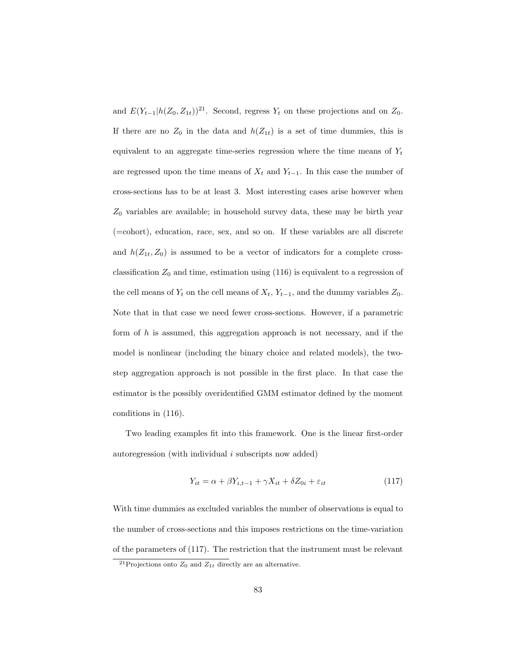and  $E(Y_{t-1}|h(Z_0, Z_{1t}))^{21}$ . Second, regress  $Y_t$  on these projections and on  $Z_0$ . If there are no  $Z_0$  in the data and  $h(Z_{1t})$  is a set of time dummies, this is equivalent to an aggregate time-series regression where the time means of  $Y_t$ are regressed upon the time means of  $X_t$  and  $Y_{t-1}$ . In this case the number of cross-sections has to be at least 3. Most interesting cases arise however when  $Z_0$  variables are available; in household survey data, these may be birth year (=cohort), education, race, sex, and so on. If these variables are all discrete and  $h(Z_{1t}, Z_0)$  is assumed to be a vector of indicators for a complete crossclassification  $Z_0$  and time, estimation using  $(116)$  is equivalent to a regression of the cell means of  $Y_t$  on the cell means of  $X_t$ ,  $Y_{t-1}$ , and the dummy variables  $Z_0$ . Note that in that case we need fewer cross-sections. However, if a parametric form of  $h$  is assumed, this aggregation approach is not necessary, and if the model is nonlinear (including the binary choice and related models), the twostep aggregation approach is not possible in the first place. In that case the estimator is the possibly overidentified GMM estimator defined by the moment conditions in (116).

Two leading examples fit into this framework. One is the linear first-order autoregression (with individual  $i$  subscripts now added)

$$
Y_{it} = \alpha + \beta Y_{i,t-1} + \gamma X_{it} + \delta Z_{0i} + \varepsilon_{it}
$$
\n(117)

With time dummies as excluded variables the number of observations is equal to the number of cross-sections and this imposes restrictions on the time-variation of the parameters of (117). The restriction that the instrument must be relevant

<sup>&</sup>lt;sup>21</sup>Projections onto  $Z_0$  and  $Z_{1t}$  directly are an alternative.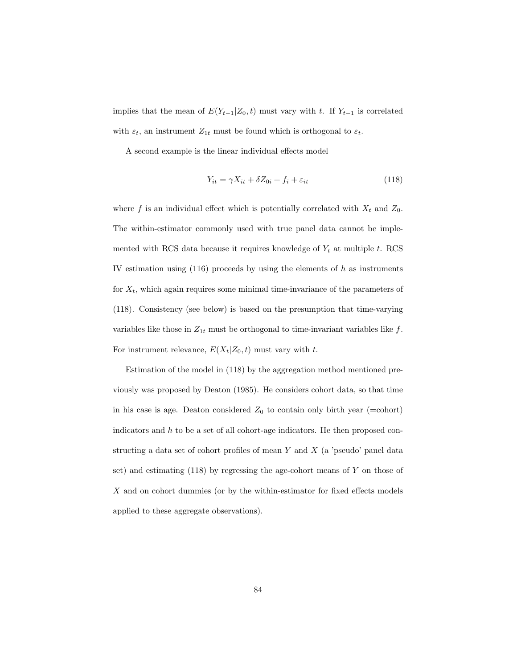implies that the mean of  $E(Y_{t-1}|Z_0, t)$  must vary with t. If  $Y_{t-1}$  is correlated with  $\varepsilon_t$ , an instrument  $Z_{1t}$  must be found which is orthogonal to  $\varepsilon_t$ .

A second example is the linear individual effects model

$$
Y_{it} = \gamma X_{it} + \delta Z_{0i} + f_i + \varepsilon_{it}
$$
\n(118)

where f is an individual effect which is potentially correlated with  $X_t$  and  $Z_0$ . The within-estimator commonly used with true panel data cannot be implemented with RCS data because it requires knowledge of  $Y_t$  at multiple t. RCS IV estimation using  $(116)$  proceeds by using the elements of h as instruments for  $X_t$ , which again requires some minimal time-invariance of the parameters of (118). Consistency (see below) is based on the presumption that time-varying variables like those in  $Z_{1t}$  must be orthogonal to time-invariant variables like f. For instrument relevance,  $E(X_t|Z_0, t)$  must vary with t.

Estimation of the model in (118) by the aggregation method mentioned previously was proposed by Deaton (1985). He considers cohort data, so that time in his case is age. Deaton considered  $Z_0$  to contain only birth year (=cohort) indicators and h to be a set of all cohort-age indicators. He then proposed constructing a data set of cohort profiles of mean  $Y$  and  $X$  (a 'pseudo' panel data set) and estimating  $(118)$  by regressing the age-cohort means of Y on those of  $X$  and on cohort dummies (or by the within-estimator for fixed effects models applied to these aggregate observations).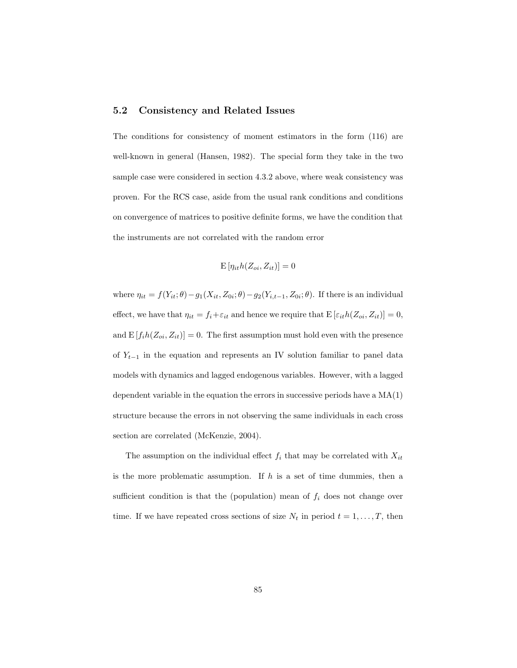### 5.2 Consistency and Related Issues

The conditions for consistency of moment estimators in the form (116) are well-known in general (Hansen, 1982). The special form they take in the two sample case were considered in section 4.3.2 above, where weak consistency was proven. For the RCS case, aside from the usual rank conditions and conditions on convergence of matrices to positive definite forms, we have the condition that the instruments are not correlated with the random error

$$
\mathbf{E}\left[\eta_{it}h(Z_{oi}, Z_{it})\right] = 0
$$

where  $\eta_{it} = f(Y_{it}; \theta) - g_1(X_{it}, Z_{0i}; \theta) - g_2(Y_{i,t-1}, Z_{0i}; \theta)$ . If there is an individual effect, we have that  $\eta_{it} = f_i + \varepsilon_{it}$  and hence we require that  $E\left[\varepsilon_{it}h(Z_{oi}, Z_{it})\right] = 0$ , and  $E[f_i h(Z_{oi}, Z_{it})] = 0$ . The first assumption must hold even with the presence of  $Y_{t-1}$  in the equation and represents an IV solution familiar to panel data models with dynamics and lagged endogenous variables. However, with a lagged dependent variable in the equation the errors in successive periods have a  $MA(1)$ structure because the errors in not observing the same individuals in each cross section are correlated (McKenzie, 2004).

The assumption on the individual effect  $f_i$  that may be correlated with  $X_{it}$ is the more problematic assumption. If  $h$  is a set of time dummies, then a sufficient condition is that the (population) mean of  $f_i$  does not change over time. If we have repeated cross sections of size  $N_t$  in period  $t = 1, \ldots, T$ , then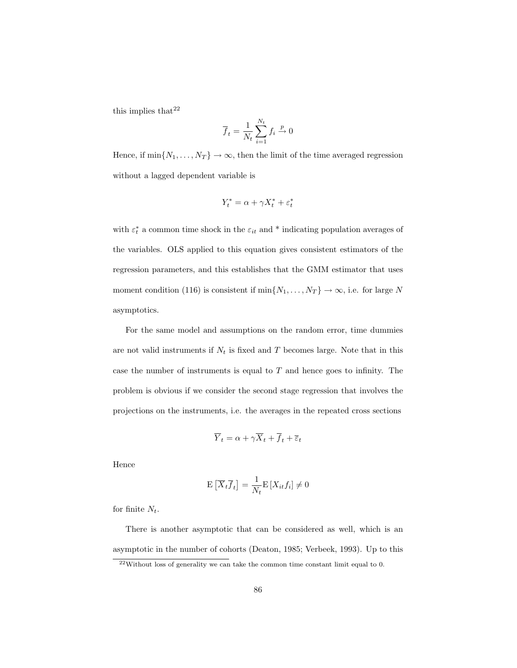this implies that  $22$ 

$$
\overline{f}_t = \frac{1}{N_t} \sum_{i=1}^{N_t} f_i \xrightarrow{p} 0
$$

Hence, if  $\min\{N_1,\ldots,N_T\}\to\infty$ , then the limit of the time averaged regression without a lagged dependent variable is

$$
Y_t^* = \alpha + \gamma X_t^* + \varepsilon_t^*
$$

with  $\varepsilon_t^*$  a common time shock in the  $\varepsilon_{it}$  and \* indicating population averages of the variables. OLS applied to this equation gives consistent estimators of the regression parameters, and this establishes that the GMM estimator that uses moment condition (116) is consistent if  $\min\{N_1, \ldots, N_T\} \to \infty$ , i.e. for large N asymptotics.

For the same model and assumptions on the random error, time dummies are not valid instruments if  $N_t$  is fixed and T becomes large. Note that in this case the number of instruments is equal to  $T$  and hence goes to infinity. The problem is obvious if we consider the second stage regression that involves the projections on the instruments, i.e. the averages in the repeated cross sections

$$
\overline{Y}_t = \alpha + \gamma \overline{X}_t + \overline{f}_t + \overline{\varepsilon}_t
$$

Hence

$$
\mathbf{E}\left[\overline{X}_t\overline{f}_t\right] = \frac{1}{N_t}\mathbf{E}\left[X_{it}f_i\right] \neq 0
$$

for finite  $N_t$ .

There is another asymptotic that can be considered as well, which is an asymptotic in the number of cohorts (Deaton, 1985; Verbeek, 1993). Up to this

<sup>22</sup>Without loss of generality we can take the common time constant limit equal to 0.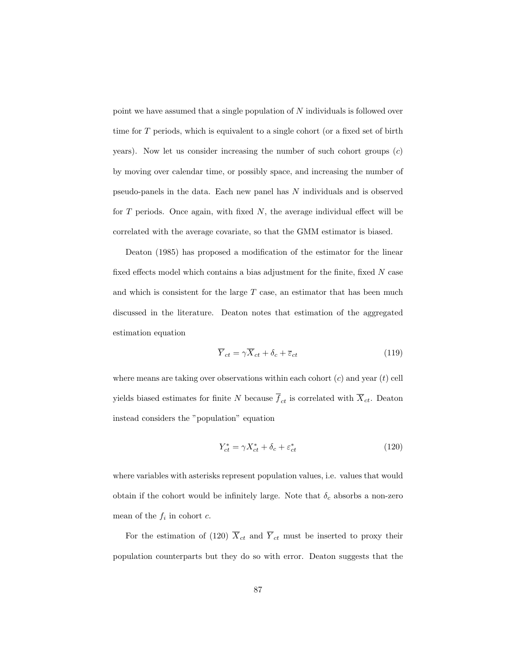point we have assumed that a single population of N individuals is followed over time for T periods, which is equivalent to a single cohort (or a fixed set of birth years). Now let us consider increasing the number of such cohort groups  $(c)$ by moving over calendar time, or possibly space, and increasing the number of pseudo-panels in the data. Each new panel has N individuals and is observed for  $T$  periods. Once again, with fixed  $N$ , the average individual effect will be correlated with the average covariate, so that the GMM estimator is biased.

Deaton (1985) has proposed a modification of the estimator for the linear fixed effects model which contains a bias adjustment for the finite, fixed  $N$  case and which is consistent for the large  $T$  case, an estimator that has been much discussed in the literature. Deaton notes that estimation of the aggregated estimation equation

$$
\overline{Y}_{ct} = \gamma \overline{X}_{ct} + \delta_c + \overline{\varepsilon}_{ct} \tag{119}
$$

where means are taking over observations within each cohort  $(c)$  and year  $(t)$  cell yields biased estimates for finite N because  $\overline{f}_{ct}$  is correlated with  $\overline{X}_{ct}$ . Deaton instead considers the "population" equation

$$
Y_{ct}^* = \gamma X_{ct}^* + \delta_c + \varepsilon_{ct}^* \tag{120}
$$

where variables with asterisks represent population values, i.e. values that would obtain if the cohort would be infinitely large. Note that  $\delta_c$  absorbs a non-zero mean of the  $f_i$  in cohort  $c$ .

For the estimation of (120)  $\overline{X}_{ct}$  and  $\overline{Y}_{ct}$  must be inserted to proxy their population counterparts but they do so with error. Deaton suggests that the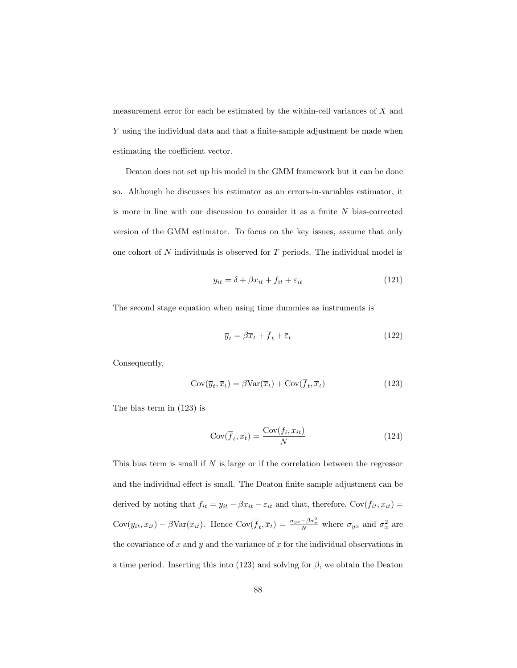measurement error for each be estimated by the within-cell variances of  $X$  and Y using the individual data and that a finite-sample adjustment be made when estimating the coefficient vector.

Deaton does not set up his model in the GMM framework but it can be done so. Although he discusses his estimator as an errors-in-variables estimator, it is more in line with our discussion to consider it as a finite  $N$  bias-corrected version of the GMM estimator. To focus on the key issues, assume that only one cohort of N individuals is observed for T periods. The individual model is

$$
y_{it} = \delta + \beta x_{it} + f_{it} + \varepsilon_{it} \tag{121}
$$

The second stage equation when using time dummies as instruments is

$$
\overline{y}_t = \beta \overline{x}_t + \overline{f}_t + \overline{\varepsilon}_t \tag{122}
$$

Consequently,

$$
Cov(\overline{y}_t, \overline{x}_t) = \beta Var(\overline{x}_t) + Cov(\overline{f}_t, \overline{x}_t)
$$
\n(123)

The bias term in (123) is

$$
Cov(\overline{f}_t, \overline{x}_t) = \frac{Cov(f_i, x_{it})}{N}
$$
\n(124)

This bias term is small if  $N$  is large or if the correlation between the regressor and the individual effect is small. The Deaton finite sample adjustment can be derived by noting that  $f_{it} = y_{it} - \beta x_{it} - \varepsilon_{it}$  and that, therefore,  $Cov(f_{it}, x_{it}) =$  $Cov(y_{it}, x_{it}) - \beta Var(x_{it})$ . Hence  $Cov(\overline{f}_t, \overline{x}_t) = \frac{\sigma_{yx} - \beta \sigma_x^2}{N}$  where  $\sigma_{yx}$  and  $\sigma_x^2$  are the covariance of  $x$  and  $y$  and the variance of  $x$  for the individual observations in a time period. Inserting this into (123) and solving for  $\beta$ , we obtain the Deaton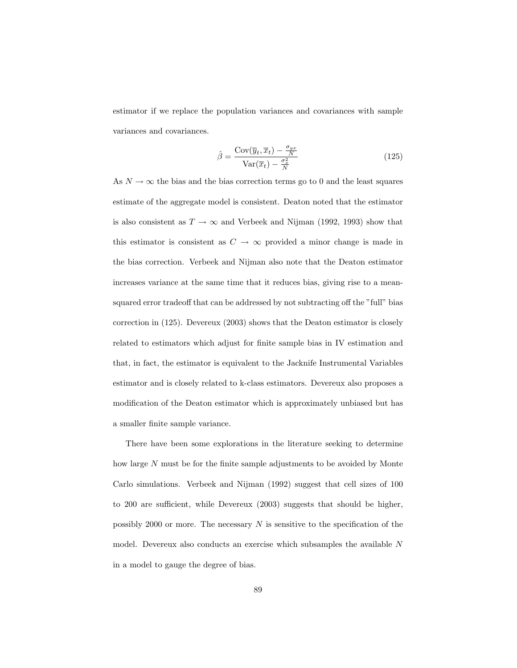estimator if we replace the population variances and covariances with sample variances and covariances.

$$
\hat{\beta} = \frac{\text{Cov}(\overline{y}_t, \overline{x}_t) - \frac{\sigma_{yx}}{N}}{\text{Var}(\overline{x}_t) - \frac{\sigma_x^2}{N}}
$$
(125)

As  $N \to \infty$  the bias and the bias correction terms go to 0 and the least squares estimate of the aggregate model is consistent. Deaton noted that the estimator is also consistent as  $T \to \infty$  and Verbeek and Nijman (1992, 1993) show that this estimator is consistent as  $C \rightarrow \infty$  provided a minor change is made in the bias correction. Verbeek and Nijman also note that the Deaton estimator increases variance at the same time that it reduces bias, giving rise to a meansquared error tradeoff that can be addressed by not subtracting off the "full" bias correction in (125). Devereux (2003) shows that the Deaton estimator is closely related to estimators which adjust for finite sample bias in IV estimation and that, in fact, the estimator is equivalent to the Jacknife Instrumental Variables estimator and is closely related to k-class estimators. Devereux also proposes a modification of the Deaton estimator which is approximately unbiased but has a smaller finite sample variance.

There have been some explorations in the literature seeking to determine how large N must be for the finite sample adjustments to be avoided by Monte Carlo simulations. Verbeek and Nijman (1992) suggest that cell sizes of 100 to 200 are sufficient, while Devereux (2003) suggests that should be higher, possibly 2000 or more. The necessary  $N$  is sensitive to the specification of the model. Devereux also conducts an exercise which subsamples the available N in a model to gauge the degree of bias.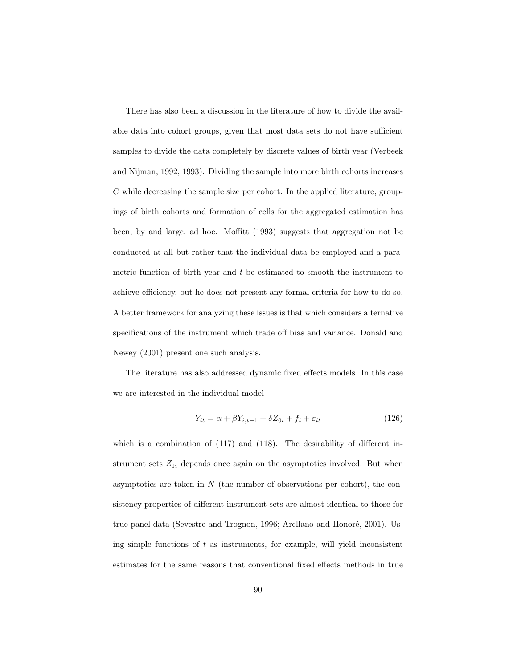There has also been a discussion in the literature of how to divide the available data into cohort groups, given that most data sets do not have sufficient samples to divide the data completely by discrete values of birth year (Verbeek and Nijman, 1992, 1993). Dividing the sample into more birth cohorts increases C while decreasing the sample size per cohort. In the applied literature, groupings of birth cohorts and formation of cells for the aggregated estimation has been, by and large, ad hoc. Moffitt (1993) suggests that aggregation not be conducted at all but rather that the individual data be employed and a parametric function of birth year and  $t$  be estimated to smooth the instrument to achieve efficiency, but he does not present any formal criteria for how to do so. A better framework for analyzing these issues is that which considers alternative specifications of the instrument which trade off bias and variance. Donald and Newey (2001) present one such analysis.

The literature has also addressed dynamic fixed effects models. In this case we are interested in the individual model

$$
Y_{it} = \alpha + \beta Y_{i,t-1} + \delta Z_{0i} + f_i + \varepsilon_{it} \tag{126}
$$

which is a combination of  $(117)$  and  $(118)$ . The desirability of different instrument sets  $Z_{1i}$  depends once again on the asymptotics involved. But when asymptotics are taken in  $N$  (the number of observations per cohort), the consistency properties of different instrument sets are almost identical to those for true panel data (Sevestre and Trognon, 1996; Arellano and Honoré, 2001). Using simple functions of  $t$  as instruments, for example, will yield inconsistent estimates for the same reasons that conventional fixed effects methods in true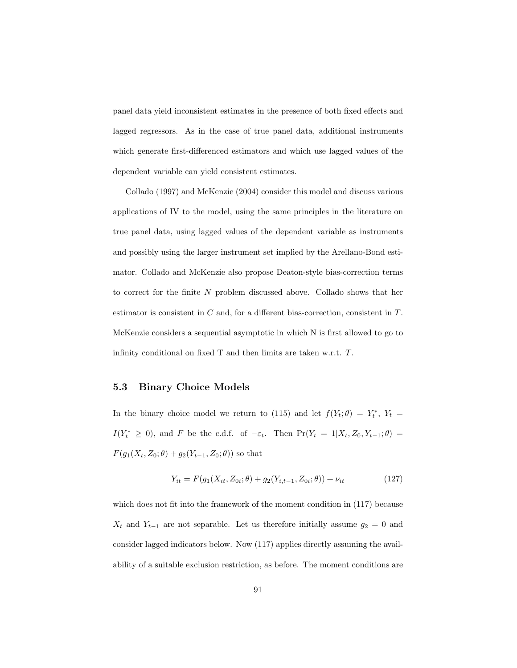panel data yield inconsistent estimates in the presence of both fixed effects and lagged regressors. As in the case of true panel data, additional instruments which generate first-differenced estimators and which use lagged values of the dependent variable can yield consistent estimates.

Collado (1997) and McKenzie (2004) consider this model and discuss various applications of IV to the model, using the same principles in the literature on true panel data, using lagged values of the dependent variable as instruments and possibly using the larger instrument set implied by the Arellano-Bond estimator. Collado and McKenzie also propose Deaton-style bias-correction terms to correct for the finite N problem discussed above. Collado shows that her estimator is consistent in C and, for a different bias-correction, consistent in T. McKenzie considers a sequential asymptotic in which N is first allowed to go to infinity conditional on fixed T and then limits are taken w.r.t. T.

### 5.3 Binary Choice Models

In the binary choice model we return to (115) and let  $f(Y_t; \theta) = Y_t^*$ ,  $Y_t =$  $I(Y_t^* \geq 0)$ , and F be the c.d.f. of  $-\varepsilon_t$ . Then  $Pr(Y_t = 1 | X_t, Z_0, Y_{t-1}; \theta)$  $F(g_1(X_t, Z_0; \theta) + g_2(Y_{t-1}, Z_0; \theta))$  so that

$$
Y_{it} = F(g_1(X_{it}, Z_{0i}; \theta) + g_2(Y_{i,t-1}, Z_{0i}; \theta)) + \nu_{it}
$$
\n(127)

which does not fit into the framework of the moment condition in (117) because  $X_t$  and  $Y_{t-1}$  are not separable. Let us therefore initially assume  $g_2 = 0$  and consider lagged indicators below. Now (117) applies directly assuming the availability of a suitable exclusion restriction, as before. The moment conditions are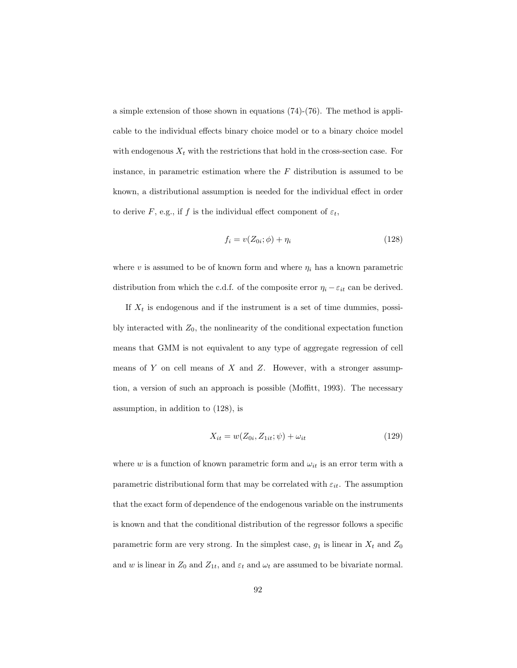a simple extension of those shown in equations (74)-(76). The method is applicable to the individual effects binary choice model or to a binary choice model with endogenous  $X_t$  with the restrictions that hold in the cross-section case. For instance, in parametric estimation where the  $F$  distribution is assumed to be known, a distributional assumption is needed for the individual effect in order to derive F, e.g., if f is the individual effect component of  $\varepsilon_t$ ,

$$
f_i = v(Z_{0i}; \phi) + \eta_i \tag{128}
$$

where v is assumed to be of known form and where  $\eta_i$  has a known parametric distribution from which the c.d.f. of the composite error  $\eta_i - \varepsilon_{it}$  can be derived.

If  $X_t$  is endogenous and if the instrument is a set of time dummies, possibly interacted with  $Z_0$ , the nonlinearity of the conditional expectation function means that GMM is not equivalent to any type of aggregate regression of cell means of  $Y$  on cell means of  $X$  and  $Z$ . However, with a stronger assumption, a version of such an approach is possible (Moffitt, 1993). The necessary assumption, in addition to (128), is

$$
X_{it} = w(Z_{0i}, Z_{1it}; \psi) + \omega_{it}
$$
\n(129)

where w is a function of known parametric form and  $\omega_{it}$  is an error term with a parametric distributional form that may be correlated with  $\varepsilon_{it}$ . The assumption that the exact form of dependence of the endogenous variable on the instruments is known and that the conditional distribution of the regressor follows a specific parametric form are very strong. In the simplest case,  $g_1$  is linear in  $X_t$  and  $Z_0$ and w is linear in  $Z_0$  and  $Z_{1t}$ , and  $\varepsilon_t$  and  $\omega_t$  are assumed to be bivariate normal.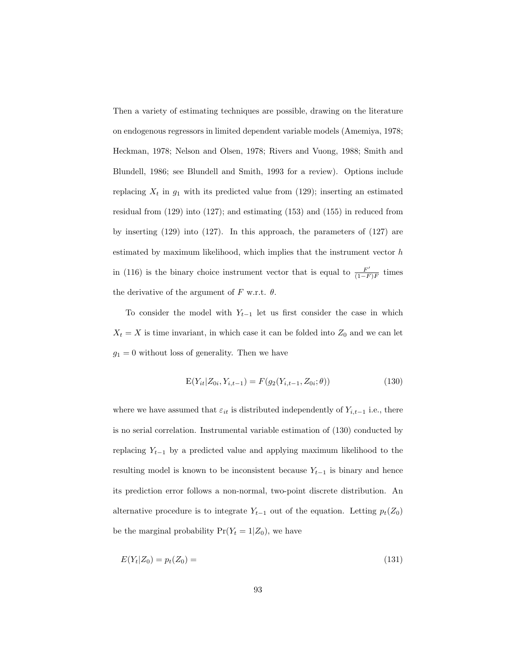Then a variety of estimating techniques are possible, drawing on the literature on endogenous regressors in limited dependent variable models (Amemiya, 1978; Heckman, 1978; Nelson and Olsen, 1978; Rivers and Vuong, 1988; Smith and Blundell, 1986; see Blundell and Smith, 1993 for a review). Options include replacing  $X_t$  in  $g_1$  with its predicted value from (129); inserting an estimated residual from (129) into (127); and estimating (153) and (155) in reduced from by inserting (129) into (127). In this approach, the parameters of (127) are estimated by maximum likelihood, which implies that the instrument vector  $h$ in (116) is the binary choice instrument vector that is equal to  $\frac{F'}{1-F}$  $\frac{F''}{(1-F)F}$  times the derivative of the argument of F w.r.t.  $\theta$ .

To consider the model with  $Y_{t-1}$  let us first consider the case in which  $X_t = X$  is time invariant, in which case it can be folded into  $Z_0$  and we can let  $g_1=0$  without loss of generality. Then we have

$$
E(Y_{it}|Z_{0i}, Y_{i,t-1}) = F(g_2(Y_{i,t-1}, Z_{0i}; \theta))
$$
\n(130)

where we have assumed that  $\varepsilon_{it}$  is distributed independently of  $Y_{i,t-1}$  i.e., there is no serial correlation. Instrumental variable estimation of (130) conducted by replacing  $Y_{t-1}$  by a predicted value and applying maximum likelihood to the resulting model is known to be inconsistent because  $Y_{t-1}$  is binary and hence its prediction error follows a non-normal, two-point discrete distribution. An alternative procedure is to integrate  $Y_{t-1}$  out of the equation. Letting  $p_t(Z_0)$ be the marginal probability  $Pr(Y_t = 1 | Z_0)$ , we have

$$
E(Y_t|Z_0) = p_t(Z_0) = \tag{131}
$$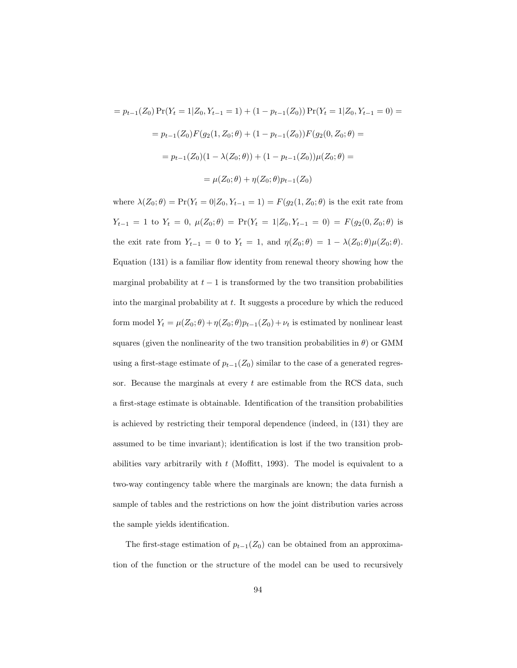$$
= p_{t-1}(Z_0) \Pr(Y_t = 1 | Z_0, Y_{t-1} = 1) + (1 - p_{t-1}(Z_0)) \Pr(Y_t = 1 | Z_0, Y_{t-1} = 0) =
$$

$$
= p_{t-1}(Z_0) F(g_2(1, Z_0; \theta) + (1 - p_{t-1}(Z_0)) F(g_2(0, Z_0; \theta)) =
$$

$$
= p_{t-1}(Z_0)(1 - \lambda(Z_0; \theta)) + (1 - p_{t-1}(Z_0)) \mu(Z_0; \theta) =
$$

$$
= \mu(Z_0; \theta) + \eta(Z_0; \theta) p_{t-1}(Z_0)
$$

where  $\lambda(Z_0; \theta) = \Pr(Y_t = 0 | Z_0, Y_{t-1} = 1) = F(g_2(1, Z_0; \theta))$  is the exit rate from  $Y_{t-1} = 1$  to  $Y_t = 0$ ,  $\mu(Z_0; \theta) = \Pr(Y_t = 1 | Z_0, Y_{t-1} = 0) = F(g_2(0, Z_0; \theta))$  is the exit rate from  $Y_{t-1} = 0$  to  $Y_t = 1$ , and  $\eta(Z_0; \theta) = 1 - \lambda(Z_0; \theta) \mu(Z_0; \theta)$ . Equation (131) is a familiar flow identity from renewal theory showing how the marginal probability at  $t - 1$  is transformed by the two transition probabilities into the marginal probability at  $t$ . It suggests a procedure by which the reduced form model  $Y_t = \mu(Z_0; \theta) + \eta(Z_0; \theta) p_{t-1}(Z_0) + \nu_t$  is estimated by nonlinear least squares (given the nonlinearity of the two transition probabilities in  $\theta$ ) or GMM using a first-stage estimate of  $p_{t-1}(Z_0)$  similar to the case of a generated regressor. Because the marginals at every  $t$  are estimable from the RCS data, such a first-stage estimate is obtainable. Identification of the transition probabilities is achieved by restricting their temporal dependence (indeed, in (131) they are assumed to be time invariant); identification is lost if the two transition probabilities vary arbitrarily with  $t$  (Moffitt, 1993). The model is equivalent to a two-way contingency table where the marginals are known; the data furnish a sample of tables and the restrictions on how the joint distribution varies across the sample yields identification.

The first-stage estimation of  $p_{t-1}(Z_0)$  can be obtained from an approximation of the function or the structure of the model can be used to recursively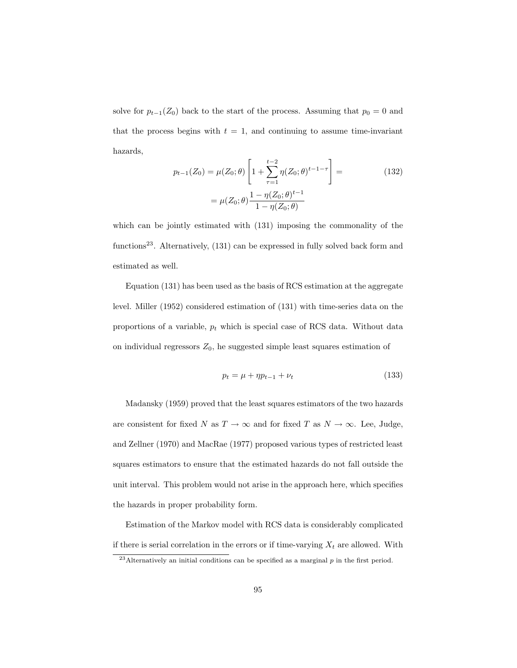solve for  $p_{t-1}(Z_0)$  back to the start of the process. Assuming that  $p_0 = 0$  and that the process begins with  $t = 1$ , and continuing to assume time-invariant hazards,

$$
p_{t-1}(Z_0) = \mu(Z_0; \theta) \left[ 1 + \sum_{\tau=1}^{t-2} \eta(Z_0; \theta)^{t-1-\tau} \right] =
$$
\n
$$
= \mu(Z_0; \theta) \frac{1 - \eta(Z_0; \theta)^{t-1}}{1 - \eta(Z_0; \theta)}
$$
\n(132)

which can be jointly estimated with (131) imposing the commonality of the functions<sup>23</sup>. Alternatively,  $(131)$  can be expressed in fully solved back form and estimated as well.

Equation (131) has been used as the basis of RCS estimation at the aggregate level. Miller (1952) considered estimation of (131) with time-series data on the proportions of a variable,  $p_t$  which is special case of RCS data. Without data on individual regressors  $Z_0$ , he suggested simple least squares estimation of

$$
p_t = \mu + \eta p_{t-1} + \nu_t \tag{133}
$$

Madansky (1959) proved that the least squares estimators of the two hazards are consistent for fixed N as  $T \to \infty$  and for fixed T as  $N \to \infty$ . Lee, Judge, and Zellner (1970) and MacRae (1977) proposed various types of restricted least squares estimators to ensure that the estimated hazards do not fall outside the unit interval. This problem would not arise in the approach here, which specifies the hazards in proper probability form.

Estimation of the Markov model with RCS data is considerably complicated if there is serial correlation in the errors or if time-varying  $X_t$  are allowed. With

<sup>&</sup>lt;sup>23</sup>Alternatively an initial conditions can be specified as a marginal  $p$  in the first period.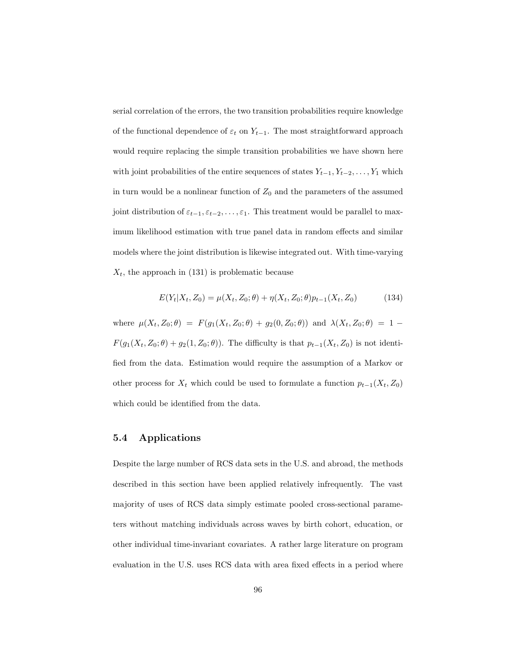serial correlation of the errors, the two transition probabilities require knowledge of the functional dependence of  $\varepsilon_t$  on  $Y_{t-1}$ . The most straightforward approach would require replacing the simple transition probabilities we have shown here with joint probabilities of the entire sequences of states  $Y_{t-1}, Y_{t-2}, \ldots, Y_1$  which in turn would be a nonlinear function of  $Z_0$  and the parameters of the assumed joint distribution of  $\varepsilon_{t-1}, \varepsilon_{t-2}, \ldots, \varepsilon_1$ . This treatment would be parallel to maximum likelihood estimation with true panel data in random effects and similar models where the joint distribution is likewise integrated out. With time-varying  $X_t$ , the approach in (131) is problematic because

$$
E(Y_t|X_t, Z_0) = \mu(X_t, Z_0; \theta) + \eta(X_t, Z_0; \theta) p_{t-1}(X_t, Z_0)
$$
\n(134)

where  $\mu(X_t, Z_0; \theta) = F(g_1(X_t, Z_0; \theta) + g_2(0, Z_0; \theta))$  and  $\lambda(X_t, Z_0; \theta) = 1 F(g_1(X_t, Z_0; \theta) + g_2(1, Z_0; \theta))$ . The difficulty is that  $p_{t-1}(X_t, Z_0)$  is not identified from the data. Estimation would require the assumption of a Markov or other process for  $X_t$  which could be used to formulate a function  $p_{t-1}(X_t, Z_0)$ which could be identified from the data.

#### 5.4 Applications

Despite the large number of RCS data sets in the U.S. and abroad, the methods described in this section have been applied relatively infrequently. The vast majority of uses of RCS data simply estimate pooled cross-sectional parameters without matching individuals across waves by birth cohort, education, or other individual time-invariant covariates. A rather large literature on program evaluation in the U.S. uses RCS data with area fixed effects in a period where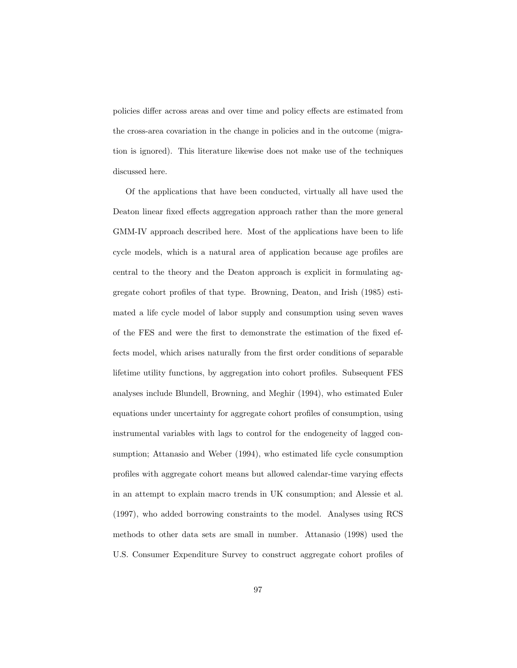policies differ across areas and over time and policy effects are estimated from the cross-area covariation in the change in policies and in the outcome (migration is ignored). This literature likewise does not make use of the techniques discussed here.

Of the applications that have been conducted, virtually all have used the Deaton linear fixed effects aggregation approach rather than the more general GMM-IV approach described here. Most of the applications have been to life cycle models, which is a natural area of application because age profiles are central to the theory and the Deaton approach is explicit in formulating aggregate cohort profiles of that type. Browning, Deaton, and Irish (1985) estimated a life cycle model of labor supply and consumption using seven waves of the FES and were the first to demonstrate the estimation of the fixed effects model, which arises naturally from the first order conditions of separable lifetime utility functions, by aggregation into cohort profiles. Subsequent FES analyses include Blundell, Browning, and Meghir (1994), who estimated Euler equations under uncertainty for aggregate cohort profiles of consumption, using instrumental variables with lags to control for the endogeneity of lagged consumption; Attanasio and Weber (1994), who estimated life cycle consumption profiles with aggregate cohort means but allowed calendar-time varying effects in an attempt to explain macro trends in UK consumption; and Alessie et al. (1997), who added borrowing constraints to the model. Analyses using RCS methods to other data sets are small in number. Attanasio (1998) used the U.S. Consumer Expenditure Survey to construct aggregate cohort profiles of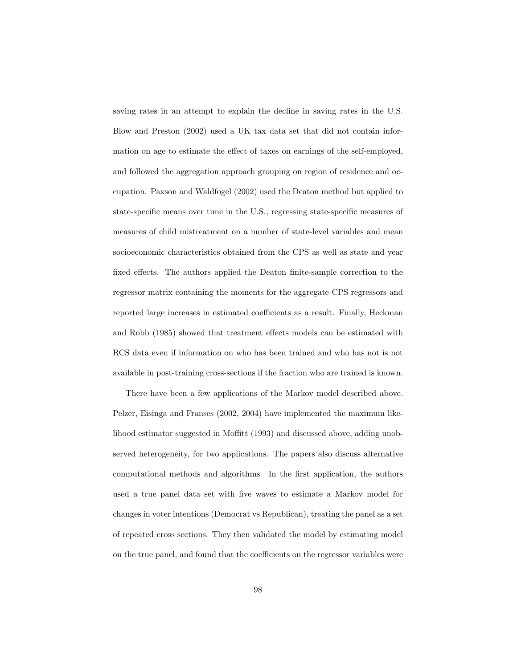saving rates in an attempt to explain the decline in saving rates in the U.S. Blow and Preston (2002) used a UK tax data set that did not contain information on age to estimate the effect of taxes on earnings of the self-employed, and followed the aggregation approach grouping on region of residence and occupation. Paxson and Waldfogel (2002) used the Deaton method but applied to state-specific means over time in the U.S., regressing state-specific measures of measures of child mistreatment on a number of state-level variables and mean socioeconomic characteristics obtained from the CPS as well as state and year fixed effects. The authors applied the Deaton finite-sample correction to the regressor matrix containing the moments for the aggregate CPS regressors and reported large increases in estimated coefficients as a result. Finally, Heckman and Robb (1985) showed that treatment effects models can be estimated with RCS data even if information on who has been trained and who has not is not available in post-training cross-sections if the fraction who are trained is known.

There have been a few applications of the Markov model described above. Pelzer, Eisinga and Franses (2002, 2004) have implemented the maximum likelihood estimator suggested in Moffitt (1993) and discussed above, adding unobserved heterogeneity, for two applications. The papers also discuss alternative computational methods and algorithms. In the first application, the authors used a true panel data set with five waves to estimate a Markov model for changes in voter intentions (Democrat vs Republican), treating the panel as a set of repeated cross sections. They then validated the model by estimating model on the true panel, and found that the coefficients on the regressor variables were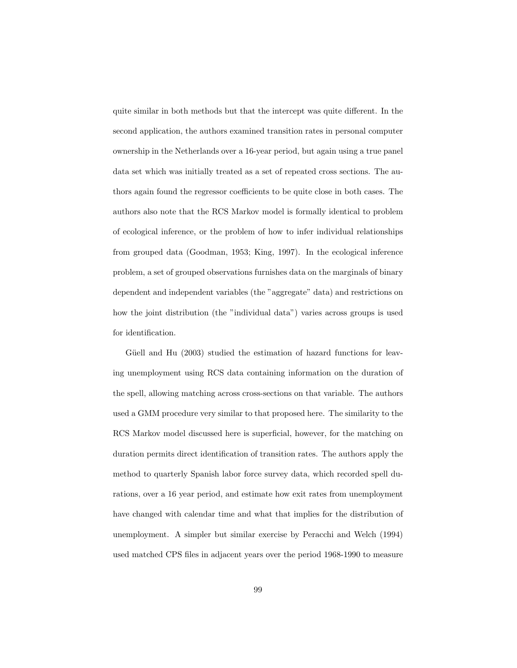quite similar in both methods but that the intercept was quite different. In the second application, the authors examined transition rates in personal computer ownership in the Netherlands over a 16-year period, but again using a true panel data set which was initially treated as a set of repeated cross sections. The authors again found the regressor coefficients to be quite close in both cases. The authors also note that the RCS Markov model is formally identical to problem of ecological inference, or the problem of how to infer individual relationships from grouped data (Goodman, 1953; King, 1997). In the ecological inference problem, a set of grouped observations furnishes data on the marginals of binary dependent and independent variables (the "aggregate" data) and restrictions on how the joint distribution (the "individual data") varies across groups is used for identification.

Güell and Hu (2003) studied the estimation of hazard functions for leaving unemployment using RCS data containing information on the duration of the spell, allowing matching across cross-sections on that variable. The authors used a GMM procedure very similar to that proposed here. The similarity to the RCS Markov model discussed here is superficial, however, for the matching on duration permits direct identification of transition rates. The authors apply the method to quarterly Spanish labor force survey data, which recorded spell durations, over a 16 year period, and estimate how exit rates from unemployment have changed with calendar time and what that implies for the distribution of unemployment. A simpler but similar exercise by Peracchi and Welch (1994) used matched CPS files in adjacent years over the period 1968-1990 to measure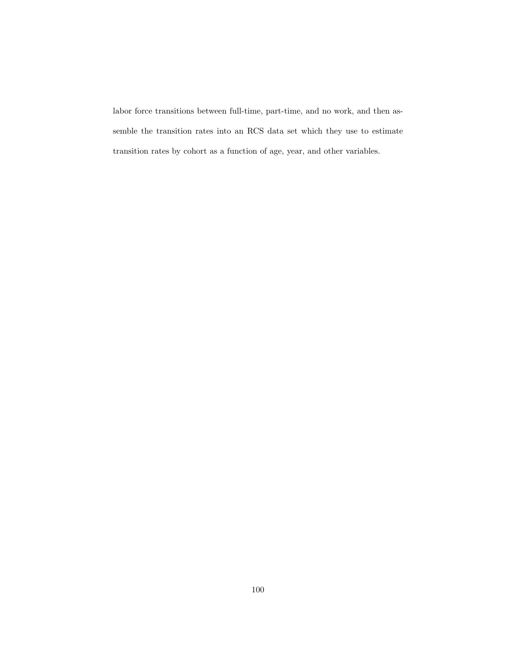labor force transitions between full-time, part-time, and no work, and then assemble the transition rates into an RCS data set which they use to estimate transition rates by cohort as a function of age, year, and other variables.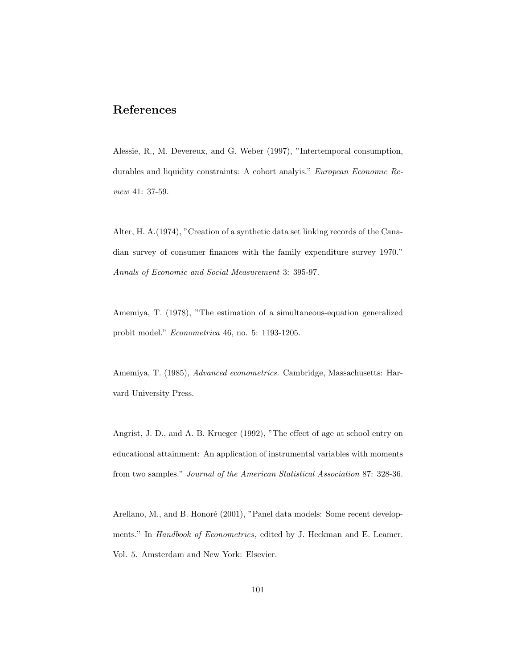# References

Alessie, R., M. Devereux, and G. Weber (1997), "Intertemporal consumption, durables and liquidity constraints: A cohort analyis." European Economic Review 41: 37-59.

Alter, H. A.(1974), "Creation of a synthetic data set linking records of the Canadian survey of consumer finances with the family expenditure survey 1970." Annals of Economic and Social Measurement 3: 395-97.

Amemiya, T. (1978), "The estimation of a simultaneous-equation generalized probit model." Econometrica 46, no. 5: 1193-1205.

Amemiya, T. (1985), Advanced econometrics. Cambridge, Massachusetts: Harvard University Press.

Angrist, J. D., and A. B. Krueger (1992), "The effect of age at school entry on educational attainment: An application of instrumental variables with moments from two samples." Journal of the American Statistical Association 87: 328-36.

Arellano, M., and B. Honoré (2001), "Panel data models: Some recent developments." In *Handbook of Econometrics*, edited by J. Heckman and E. Leamer. Vol. 5. Amsterdam and New York: Elsevier.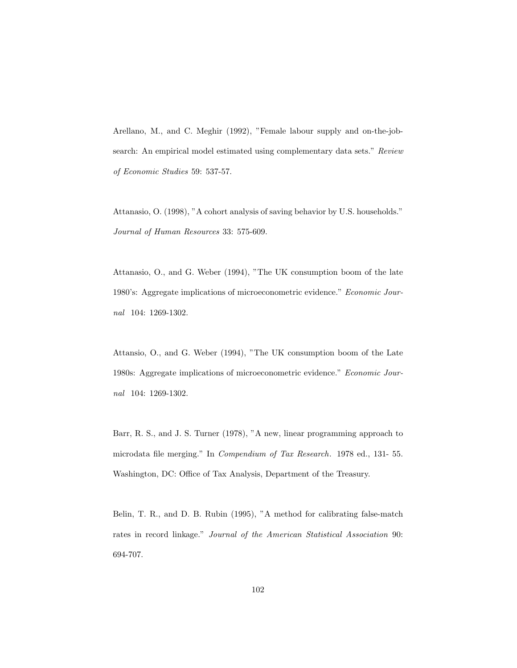Arellano, M., and C. Meghir (1992), "Female labour supply and on-the-jobsearch: An empirical model estimated using complementary data sets." Review of Economic Studies 59: 537-57.

Attanasio, O. (1998), "A cohort analysis of saving behavior by U.S. households." Journal of Human Resources 33: 575-609.

Attanasio, O., and G. Weber (1994), "The UK consumption boom of the late 1980's: Aggregate implications of microeconometric evidence." Economic Journal 104: 1269-1302.

Attansio, O., and G. Weber (1994), "The UK consumption boom of the Late 1980s: Aggregate implications of microeconometric evidence." Economic Journal 104: 1269-1302.

Barr, R. S., and J. S. Turner (1978), "A new, linear programming approach to microdata file merging." In Compendium of Tax Research. 1978 ed., 131- 55. Washington, DC: Office of Tax Analysis, Department of the Treasury.

Belin, T. R., and D. B. Rubin (1995), "A method for calibrating false-match rates in record linkage." Journal of the American Statistical Association 90: 694-707.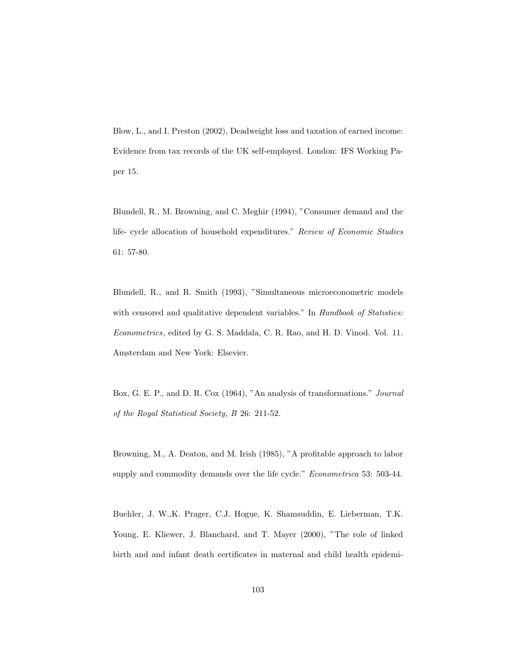Blow, L., and I. Preston (2002), Deadweight loss and taxation of earned income: Evidence from tax records of the UK self-employed. London: IFS Working Paper 15.

Blundell, R., M. Browning, and C. Meghir (1994), "Consumer demand and the life- cycle allocation of household expenditures." Review of Economic Studies 61: 57-80.

Blundell, R., and R. Smith (1993), "Simultaneous microeconometric models with censored and qualitative dependent variables." In Handbook of Statistics: Econometrics, edited by G. S. Maddala, C. R. Rao, and H. D. Vinod. Vol. 11. Amsterdam and New York: Elsevier.

Box, G. E. P., and D. R. Cox (1964), "An analysis of transformations." Journal of the Royal Statistical Society, B 26: 211-52.

Browning, M., A. Deaton, and M. Irish (1985), "A profitable approach to labor supply and commodity demands over the life cycle." *Econometrica* 53: 503-44.

Buehler, J. W.,K. Prager, C.J. Hogue, K. Shamsuddin, E. Lieberman, T.K. Young, E. Kliewer, J. Blanchard, and T. Mayer (2000), "The role of linked birth and and infant death certificates in maternal and child health epidemi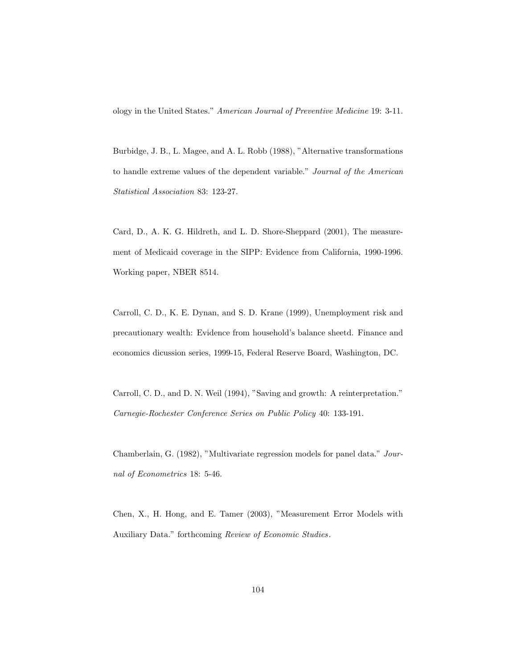ology in the United States." American Journal of Preventive Medicine 19: 3-11.

Burbidge, J. B., L. Magee, and A. L. Robb (1988), "Alternative transformations to handle extreme values of the dependent variable." Journal of the American Statistical Association 83: 123-27.

Card, D., A. K. G. Hildreth, and L. D. Shore-Sheppard (2001), The measurement of Medicaid coverage in the SIPP: Evidence from California, 1990-1996. Working paper, NBER 8514.

Carroll, C. D., K. E. Dynan, and S. D. Krane (1999), Unemployment risk and precautionary wealth: Evidence from household's balance sheetd. Finance and economics dicussion series, 1999-15, Federal Reserve Board, Washington, DC.

Carroll, C. D., and D. N. Weil (1994), "Saving and growth: A reinterpretation." Carnegie-Rochester Conference Series on Public Policy 40: 133-191.

Chamberlain, G. (1982), "Multivariate regression models for panel data." Journal of Econometrics 18: 5-46.

Chen, X., H. Hong, and E. Tamer (2003), "Measurement Error Models with Auxiliary Data." forthcoming Review of Economic Studies.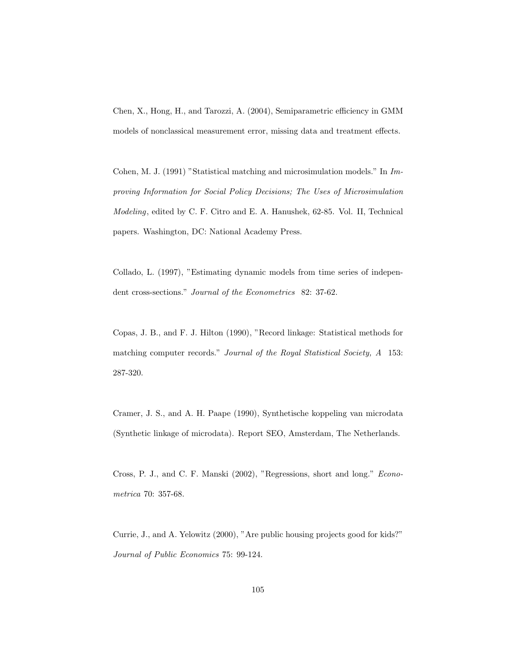Chen, X., Hong, H., and Tarozzi, A. (2004), Semiparametric efficiency in GMM models of nonclassical measurement error, missing data and treatment effects.

Cohen, M. J. (1991) "Statistical matching and microsimulation models." In Improving Information for Social Policy Decisions; The Uses of Microsimulation Modeling, edited by C. F. Citro and E. A. Hanushek, 62-85. Vol. II, Technical papers. Washington, DC: National Academy Press.

Collado, L. (1997), "Estimating dynamic models from time series of independent cross-sections." Journal of the Econometrics 82: 37-62.

Copas, J. B., and F. J. Hilton (1990), "Record linkage: Statistical methods for matching computer records." Journal of the Royal Statistical Society, A 153: 287-320.

Cramer, J. S., and A. H. Paape (1990), Synthetische koppeling van microdata (Synthetic linkage of microdata). Report SEO, Amsterdam, The Netherlands.

Cross, P. J., and C. F. Manski (2002), "Regressions, short and long." Econometrica 70: 357-68.

Currie, J., and A. Yelowitz (2000), "Are public housing projects good for kids?" Journal of Public Economics 75: 99-124.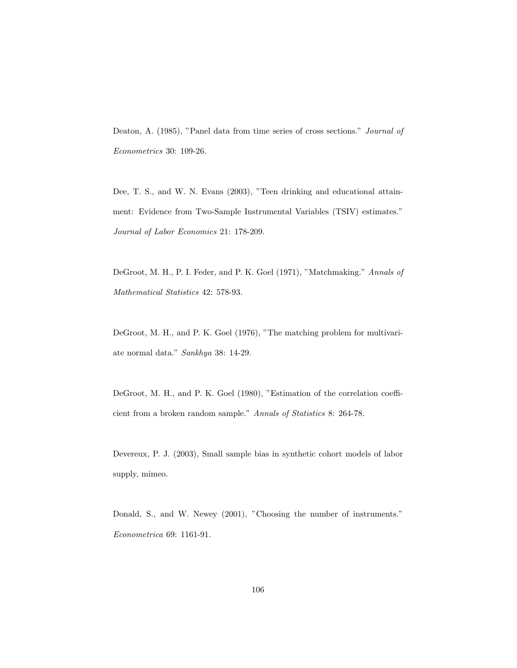Deaton, A. (1985), "Panel data from time series of cross sections." Journal of Econometrics 30: 109-26.

Dee, T. S., and W. N. Evans (2003), "Teen drinking and educational attainment: Evidence from Two-Sample Instrumental Variables (TSIV) estimates." Journal of Labor Economics 21: 178-209.

DeGroot, M. H., P. I. Feder, and P. K. Goel (1971), "Matchmaking." Annals of Mathematical Statistics 42: 578-93.

DeGroot, M. H., and P. K. Goel (1976), "The matching problem for multivariate normal data." Sankhya 38: 14-29.

DeGroot, M. H., and P. K. Goel (1980), "Estimation of the correlation coefficient from a broken random sample." Annals of Statistics 8: 264-78.

Devereux, P. J. (2003), Small sample bias in synthetic cohort models of labor supply, mimeo.

Donald, S., and W. Newey (2001), "Choosing the number of instruments." Econometrica 69: 1161-91.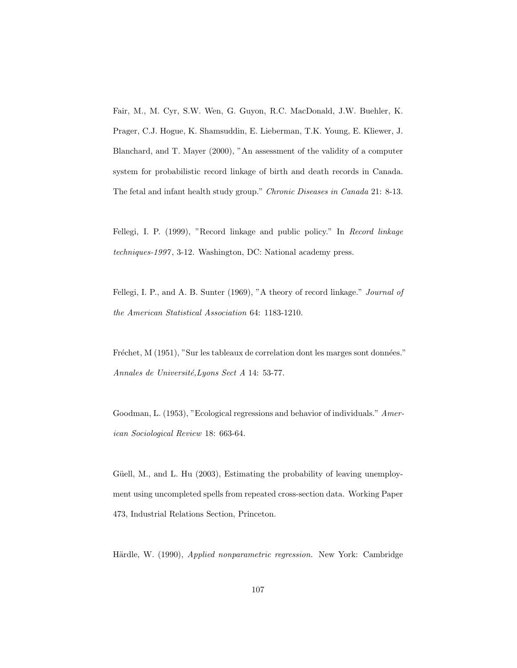Fair, M., M. Cyr, S.W. Wen, G. Guyon, R.C. MacDonald, J.W. Buehler, K. Prager, C.J. Hogue, K. Shamsuddin, E. Lieberman, T.K. Young, E. Kliewer, J. Blanchard, and T. Mayer (2000), "An assessment of the validity of a computer system for probabilistic record linkage of birth and death records in Canada. The fetal and infant health study group." Chronic Diseases in Canada 21: 8-13.

Fellegi, I. P. (1999), "Record linkage and public policy." In Record linkage techniques-1997, 3-12. Washington, DC: National academy press.

Fellegi, I. P., and A. B. Sunter (1969), "A theory of record linkage." Journal of the American Statistical Association 64: 1183-1210.

Fréchet, M (1951), "Sur les tableaux de correlation dont les marges sont données." Annales de Université, Lyons Sect A 14: 53-77.

Goodman, L. (1953), "Ecological regressions and behavior of individuals." American Sociological Review 18: 663-64.

Güell, M., and L. Hu (2003), Estimating the probability of leaving unemployment using uncompleted spells from repeated cross-section data. Working Paper 473, Industrial Relations Section, Princeton.

Härdle, W. (1990), Applied nonparametric regression. New York: Cambridge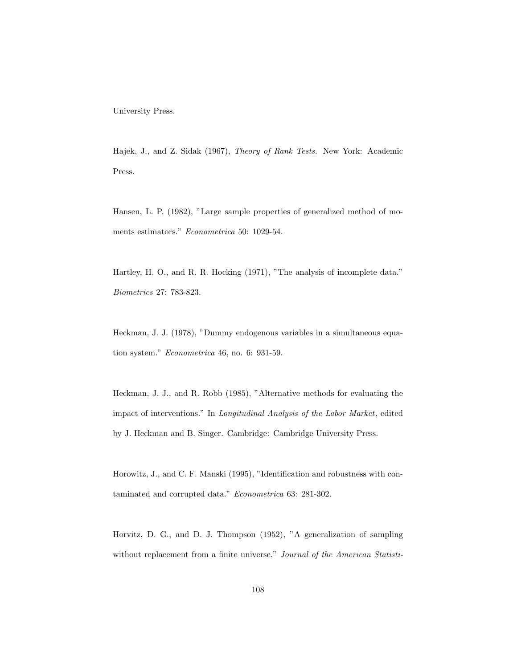University Press.

Hajek, J., and Z. Sidak (1967), Theory of Rank Tests. New York: Academic Press.

Hansen, L. P. (1982), "Large sample properties of generalized method of moments estimators." Econometrica 50: 1029-54.

Hartley, H. O., and R. R. Hocking (1971), "The analysis of incomplete data." Biometrics 27: 783-823.

Heckman, J. J. (1978), "Dummy endogenous variables in a simultaneous equation system." Econometrica 46, no. 6: 931-59.

Heckman, J. J., and R. Robb (1985), "Alternative methods for evaluating the impact of interventions." In Longitudinal Analysis of the Labor Market, edited by J. Heckman and B. Singer. Cambridge: Cambridge University Press.

Horowitz, J., and C. F. Manski (1995), "Identification and robustness with contaminated and corrupted data." Econometrica 63: 281-302.

Horvitz, D. G., and D. J. Thompson (1952), "A generalization of sampling without replacement from a finite universe." Journal of the American Statisti-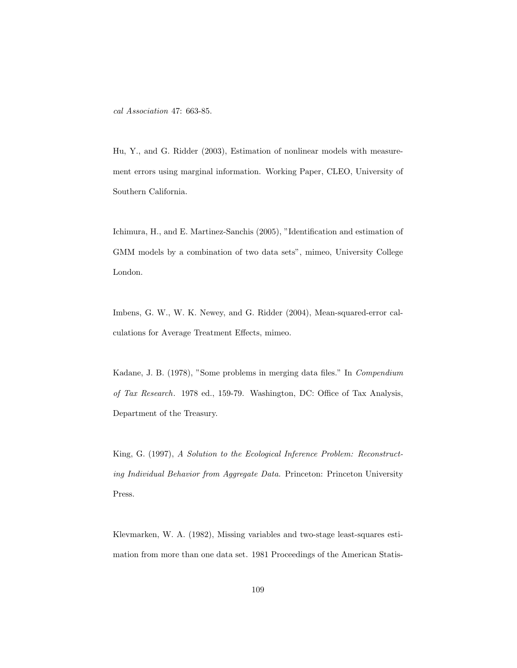cal Association 47: 663-85.

Hu, Y., and G. Ridder (2003), Estimation of nonlinear models with measurement errors using marginal information. Working Paper, CLEO, University of Southern California.

Ichimura, H., and E. Martinez-Sanchis (2005), "Identification and estimation of GMM models by a combination of two data sets", mimeo, University College London.

Imbens, G. W., W. K. Newey, and G. Ridder (2004), Mean-squared-error calculations for Average Treatment Effects, mimeo.

Kadane, J. B. (1978), "Some problems in merging data files." In Compendium of Tax Research. 1978 ed., 159-79. Washington, DC: Office of Tax Analysis, Department of the Treasury.

King, G. (1997), A Solution to the Ecological Inference Problem: Reconstructing Individual Behavior from Aggregate Data. Princeton: Princeton University Press.

Klevmarken, W. A. (1982), Missing variables and two-stage least-squares estimation from more than one data set. 1981 Proceedings of the American Statis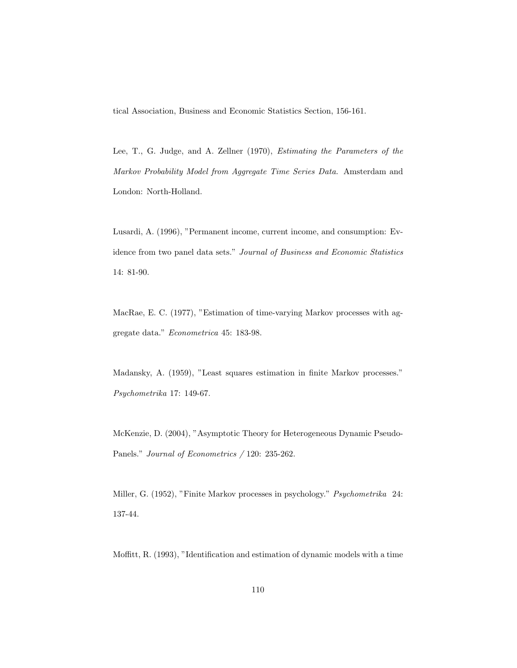tical Association, Business and Economic Statistics Section, 156-161.

Lee, T., G. Judge, and A. Zellner (1970), Estimating the Parameters of the Markov Probability Model from Aggregate Time Series Data. Amsterdam and London: North-Holland.

Lusardi, A. (1996), "Permanent income, current income, and consumption: Evidence from two panel data sets." Journal of Business and Economic Statistics 14: 81-90.

MacRae, E. C. (1977), "Estimation of time-varying Markov processes with aggregate data." Econometrica 45: 183-98.

Madansky, A. (1959), "Least squares estimation in finite Markov processes." Psychometrika 17: 149-67.

McKenzie, D. (2004), "Asymptotic Theory for Heterogeneous Dynamic Pseudo-Panels." Journal of Econometrics / 120: 235-262.

Miller, G. (1952), "Finite Markov processes in psychology." Psychometrika 24: 137-44.

Moffitt, R. (1993), "Identification and estimation of dynamic models with a time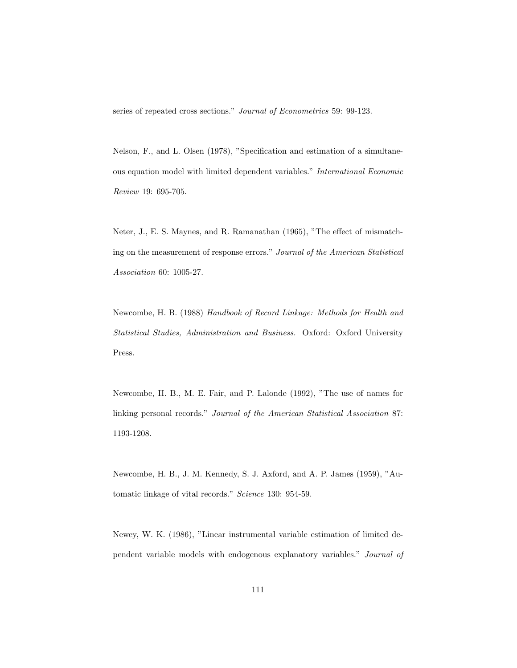series of repeated cross sections." Journal of Econometrics 59: 99-123.

Nelson, F., and L. Olsen (1978), "Specification and estimation of a simultaneous equation model with limited dependent variables." International Economic Review 19: 695-705.

Neter, J., E. S. Maynes, and R. Ramanathan (1965), "The effect of mismatching on the measurement of response errors." Journal of the American Statistical Association 60: 1005-27.

Newcombe, H. B. (1988) Handbook of Record Linkage: Methods for Health and Statistical Studies, Administration and Business. Oxford: Oxford University Press.

Newcombe, H. B., M. E. Fair, and P. Lalonde (1992), "The use of names for linking personal records." Journal of the American Statistical Association 87: 1193-1208.

Newcombe, H. B., J. M. Kennedy, S. J. Axford, and A. P. James (1959), "Automatic linkage of vital records." Science 130: 954-59.

Newey, W. K. (1986), "Linear instrumental variable estimation of limited dependent variable models with endogenous explanatory variables." Journal of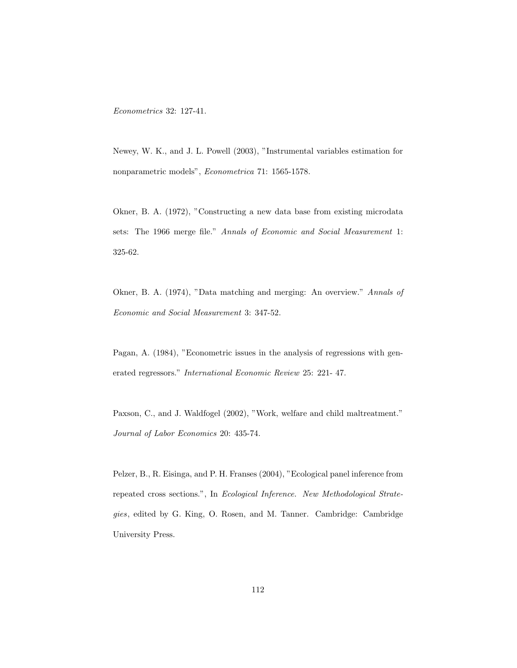Econometrics 32: 127-41.

Newey, W. K., and J. L. Powell (2003), "Instrumental variables estimation for nonparametric models", Econometrica 71: 1565-1578.

Okner, B. A. (1972), "Constructing a new data base from existing microdata sets: The 1966 merge file." Annals of Economic and Social Measurement 1: 325-62.

Okner, B. A. (1974), "Data matching and merging: An overview." Annals of Economic and Social Measurement 3: 347-52.

Pagan, A. (1984), "Econometric issues in the analysis of regressions with generated regressors." International Economic Review 25: 221- 47.

Paxson, C., and J. Waldfogel (2002), "Work, welfare and child maltreatment." Journal of Labor Economics 20: 435-74.

Pelzer, B., R. Eisinga, and P. H. Franses (2004), "Ecological panel inference from repeated cross sections.", In Ecological Inference. New Methodological Strategies, edited by G. King, O. Rosen, and M. Tanner. Cambridge: Cambridge University Press.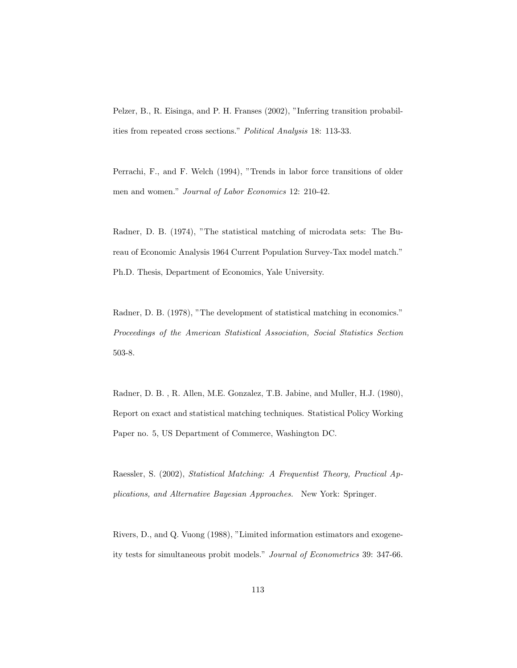Pelzer, B., R. Eisinga, and P. H. Franses (2002), "Inferring transition probabilities from repeated cross sections." Political Analysis 18: 113-33.

Perrachi, F., and F. Welch (1994), "Trends in labor force transitions of older men and women." Journal of Labor Economics 12: 210-42.

Radner, D. B. (1974), "The statistical matching of microdata sets: The Bureau of Economic Analysis 1964 Current Population Survey-Tax model match." Ph.D. Thesis, Department of Economics, Yale University.

Radner, D. B. (1978), "The development of statistical matching in economics." Proceedings of the American Statistical Association, Social Statistics Section 503-8.

Radner, D. B. , R. Allen, M.E. Gonzalez, T.B. Jabine, and Muller, H.J. (1980), Report on exact and statistical matching techniques. Statistical Policy Working Paper no. 5, US Department of Commerce, Washington DC.

Raessler, S. (2002), Statistical Matching: A Frequentist Theory, Practical Applications, and Alternative Bayesian Approaches. New York: Springer.

Rivers, D., and Q. Vuong (1988), "Limited information estimators and exogeneity tests for simultaneous probit models." Journal of Econometrics 39: 347-66.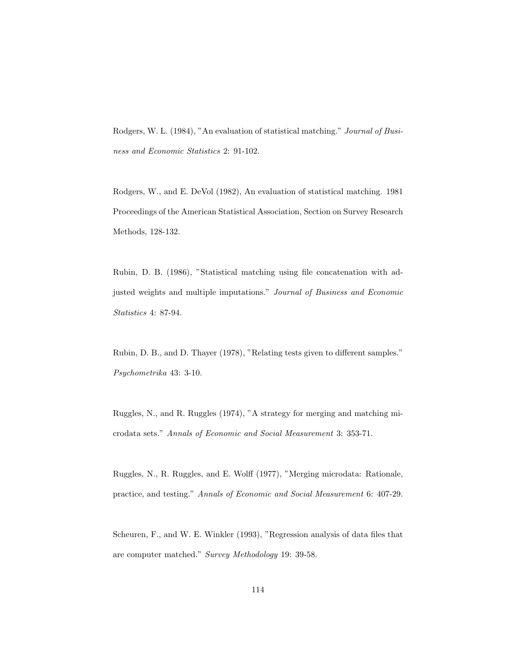Rodgers, W. L. (1984), "An evaluation of statistical matching." Journal of Business and Economic Statistics 2: 91-102.

Rodgers, W., and E. DeVol (1982), An evaluation of statistical matching. 1981 Proceedings of the American Statistical Association, Section on Survey Research Methods, 128-132.

Rubin, D. B. (1986), "Statistical matching using file concatenation with adjusted weights and multiple imputations." Journal of Business and Economic Statistics 4: 87-94.

Rubin, D. B., and D. Thayer (1978), "Relating tests given to different samples." Psychometrika 43: 3-10.

Ruggles, N., and R. Ruggles (1974), "A strategy for merging and matching microdata sets." Annals of Economic and Social Measurement 3: 353-71.

Ruggles, N., R. Ruggles, and E. Wolff (1977), "Merging microdata: Rationale, practice, and testing." Annals of Economic and Social Measurement 6: 407-29.

Scheuren, F., and W. E. Winkler (1993), "Regression analysis of data files that are computer matched." Survey Methodology 19: 39-58.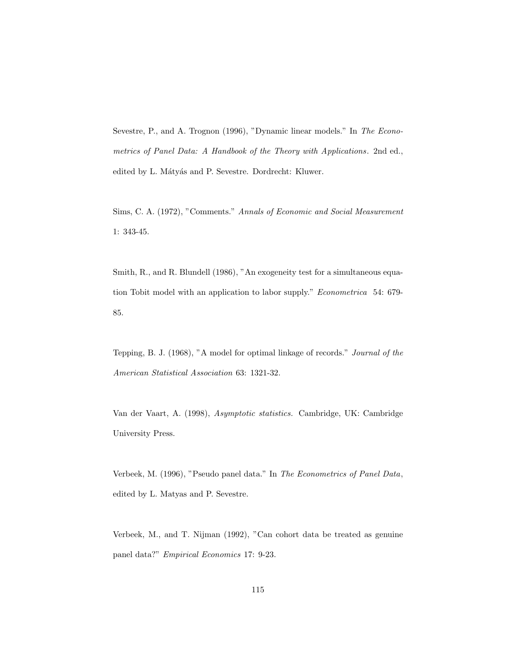Sevestre, P., and A. Trognon (1996), "Dynamic linear models." In The Econometrics of Panel Data: A Handbook of the Theory with Applications. 2nd ed., edited by L. Mátyás and P. Sevestre. Dordrecht: Kluwer.

Sims, C. A. (1972), "Comments." Annals of Economic and Social Measurement 1: 343-45.

Smith, R., and R. Blundell (1986), "An exogeneity test for a simultaneous equation Tobit model with an application to labor supply." Econometrica 54: 679- 85.

Tepping, B. J. (1968), "A model for optimal linkage of records." Journal of the American Statistical Association 63: 1321-32.

Van der Vaart, A. (1998), Asymptotic statistics. Cambridge, UK: Cambridge University Press.

Verbeek, M. (1996), "Pseudo panel data." In The Econometrics of Panel Data, edited by L. Matyas and P. Sevestre.

Verbeek, M., and T. Nijman (1992), "Can cohort data be treated as genuine panel data?" Empirical Economics 17: 9-23.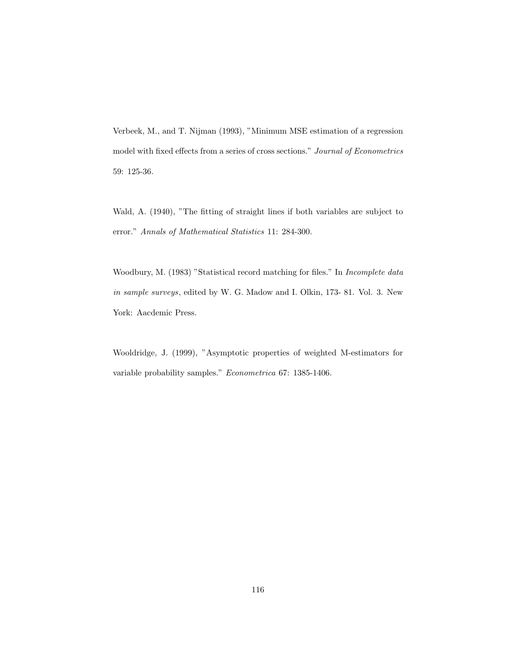Verbeek, M., and T. Nijman (1993), "Minimum MSE estimation of a regression model with fixed effects from a series of cross sections." Journal of Econometrics 59: 125-36.

Wald, A. (1940), "The fitting of straight lines if both variables are subject to error." Annals of Mathematical Statistics 11: 284-300.

Woodbury, M. (1983) "Statistical record matching for files." In Incomplete data in sample surveys, edited by W. G. Madow and I. Olkin, 173- 81. Vol. 3. New York: Aacdemic Press.

Wooldridge, J. (1999), "Asymptotic properties of weighted M-estimators for variable probability samples." Econometrica 67: 1385-1406.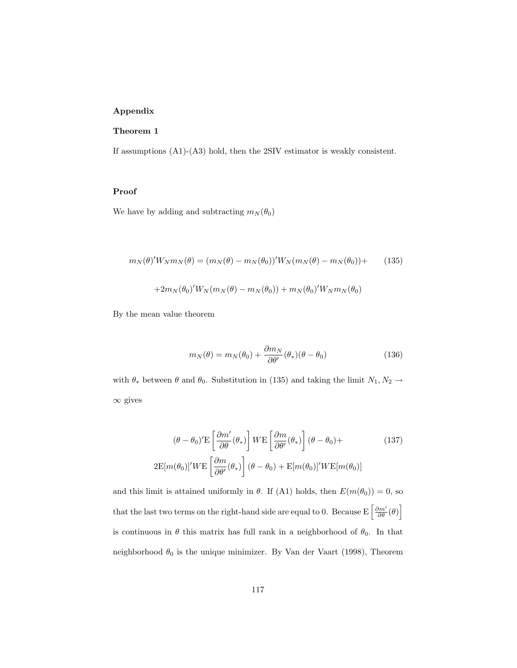# Appendix

### Theorem 1

If assumptions (A1)-(A3) hold, then the 2SIV estimator is weakly consistent.

### Proof

We have by adding and subtracting  $m_N(\theta_0)$ 

$$
m_N(\theta)' W_N m_N(\theta) = (m_N(\theta) - m_N(\theta_0))' W_N (m_N(\theta) - m_N(\theta_0)) +
$$
  
+2 $m_N(\theta_0)' W_N (m_N(\theta) - m_N(\theta_0)) + m_N(\theta_0)' W_N m_N(\theta_0)$  (135)

By the mean value theorem

$$
m_N(\theta) = m_N(\theta_0) + \frac{\partial m_N}{\partial \theta'}(\theta_*)(\theta - \theta_0)
$$
\n(136)

with  $\theta_*$  between  $\theta$  and  $\theta_0.$  Substitution in (135) and taking the limit  $N_1,N_2\rightarrow$  $∞$  gives

$$
(\theta - \theta_0)' \mathbf{E} \left[ \frac{\partial m'}{\partial \theta} (\theta_*) \right] W \mathbf{E} \left[ \frac{\partial m}{\partial \theta'} (\theta_*) \right] (\theta - \theta_0) +
$$
\n
$$
2 \mathbf{E} [m(\theta_0)]' W \mathbf{E} \left[ \frac{\partial m}{\partial \theta'} (\theta_*) \right] (\theta - \theta_0) + \mathbf{E} [m(\theta_0)]' W \mathbf{E} [m(\theta_0)]
$$
\n(137)

and this limit is attained uniformly in  $\theta$ . If (A1) holds, then  $E(m(\theta_0)) = 0$ , so that the last two terms on the right-hand side are equal to 0. Because  $E\left[\frac{\partial m'}{\partial \theta}(\theta)\right]$ is continuous in  $\theta$  this matrix has full rank in a neighborhood of  $\theta_0$ . In that neighborhood  $\theta_0$  is the unique minimizer. By Van der Vaart (1998), Theorem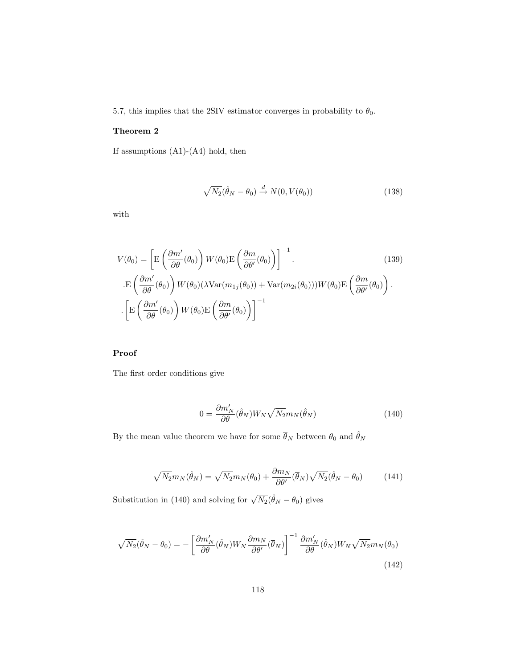5.7, this implies that the 2SIV estimator converges in probability to  $\theta_0.$ 

#### Theorem 2

If assumptions  $(A1)-(A4)$  hold, then

$$
\sqrt{N_2}(\hat{\theta}_N - \theta_0) \stackrel{d}{\rightarrow} N(0, V(\theta_0))
$$
\n(138)

with

$$
V(\theta_0) = \left[ \mathcal{E}\left(\frac{\partial m'}{\partial \theta}(\theta_0)\right) W(\theta_0) \mathcal{E}\left(\frac{\partial m}{\partial \theta'}(\theta_0)\right) \right]^{-1}.
$$
(139)  

$$
\mathcal{E}\left(\frac{\partial m'}{\partial \theta}(\theta_0)\right) W(\theta_0) (\lambda \text{Var}(m_{1j}(\theta_0)) + \text{Var}(m_{2i}(\theta_0))) W(\theta_0) \mathcal{E}\left(\frac{\partial m}{\partial \theta'}(\theta_0)\right).
$$
  

$$
\left[ \mathcal{E}\left(\frac{\partial m'}{\partial \theta}(\theta_0)\right) W(\theta_0) \mathcal{E}\left(\frac{\partial m}{\partial \theta'}(\theta_0)\right) \right]^{-1}
$$

# Proof

The first order conditions give

$$
0 = \frac{\partial m_N'}{\partial \theta} (\hat{\theta}_N) W_N \sqrt{N_2} m_N(\hat{\theta}_N)
$$
\n(140)

By the mean value theorem we have for some  $\overline{\theta}_N$  between  $\theta_0$  and  $\hat{\theta}_N$ 

$$
\sqrt{N_2}m_N(\hat{\theta}_N) = \sqrt{N_2}m_N(\theta_0) + \frac{\partial m_N}{\partial \theta'}(\overline{\theta}_N)\sqrt{N_2}(\hat{\theta}_N - \theta_0)
$$
(141)

Substitution in (140) and solving for  $\sqrt{N_2}(\hat{\theta}_N - \theta_0)$  gives

$$
\sqrt{N_2}(\hat{\theta}_N - \theta_0) = -\left[\frac{\partial m_N'}{\partial \theta}(\hat{\theta}_N) W_N \frac{\partial m_N}{\partial \theta'}(\overline{\theta}_N)\right]^{-1} \frac{\partial m_N'}{\partial \theta}(\hat{\theta}_N) W_N \sqrt{N_2} m_N(\theta_0)
$$
\n(142)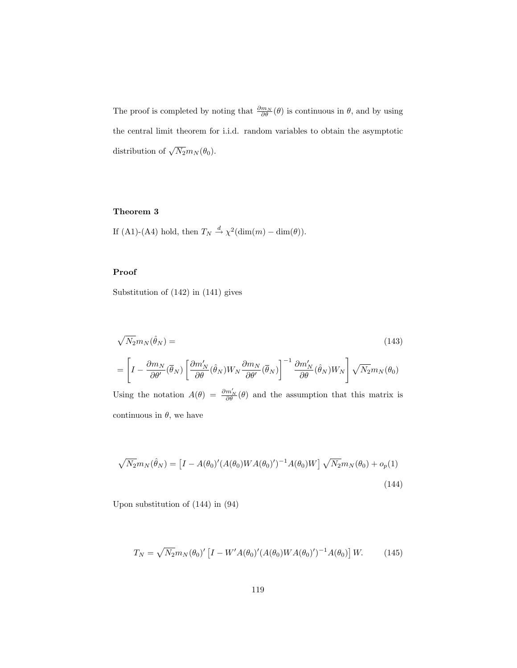The proof is completed by noting that  $\frac{\partial m_N}{\partial \theta}(\theta)$  is continuous in  $\theta$ , and by using the central limit theorem for i.i.d. random variables to obtain the asymptotic distribution of  $\sqrt{N_2}m_N(\theta_0)$ .

## Theorem 3

If (A1)-(A4) hold, then  $T_N \stackrel{d}{\rightarrow} \chi^2(\text{dim}(m) - \text{dim}(\theta)).$ 

## Proof

Substitution of (142) in (141) gives

$$
\sqrt{N_2}m_N(\hat{\theta}_N) =
$$
\n
$$
= \left[I - \frac{\partial m_N}{\partial \theta'}(\overline{\theta}_N) \left[\frac{\partial m'_N}{\partial \theta}(\hat{\theta}_N) W_N \frac{\partial m_N}{\partial \theta'}(\overline{\theta}_N)\right]^{-1} \frac{\partial m'_N}{\partial \theta}(\hat{\theta}_N) W_N\right] \sqrt{N_2} m_N(\theta_0)
$$
\nUsing the notation  $A(\theta) = \frac{\partial m'_N}{\partial \theta}(\theta)$  and the assumption that this matrix is

continuous in  $\theta$ , we have

$$
\sqrt{N_2}m_N(\hat{\theta}_N) = \left[I - A(\theta_0)'(A(\theta_0)WA(\theta_0)')^{-1}A(\theta_0)W\right]\sqrt{N_2}m_N(\theta_0) + o_p(1)
$$
\n(144)

Upon substitution of (144) in (94)

$$
T_N = \sqrt{N_2} m_N(\theta_0)' \left[ I - W'A(\theta_0)' (A(\theta_0) W A(\theta_0)')^{-1} A(\theta_0) \right] W.
$$
 (145)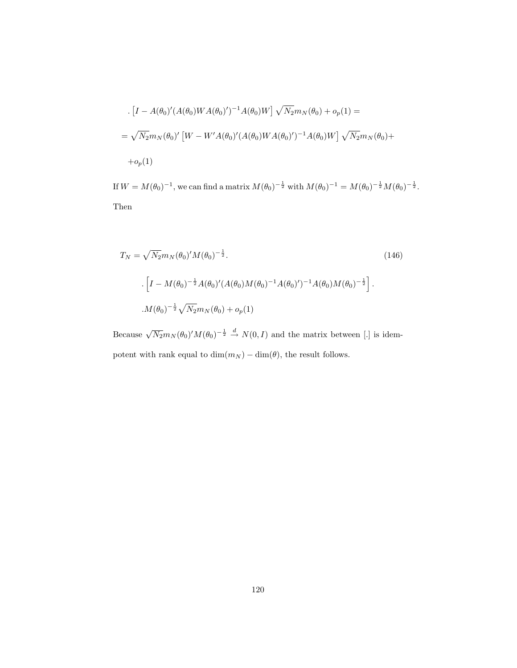$$
\begin{aligned} &\left[ I - A(\theta_0)' (A(\theta_0) W A(\theta_0)')^{-1} A(\theta_0) W \right] \sqrt{N_2} m_N(\theta_0) + o_p(1) = \\ &\left[ - \sqrt{N_2} m_N(\theta_0)' \left[ W - W' A(\theta_0)' (A(\theta_0) W A(\theta_0)')^{-1} A(\theta_0) W \right] \sqrt{N_2} m_N(\theta_0) + o_p(1) \end{aligned}
$$

If  $W = M(\theta_0)^{-1}$ , we can find a matrix  $M(\theta_0)^{-\frac{1}{2}}$  with  $M(\theta_0)^{-1} = M(\theta_0)^{-\frac{1}{2}}M(\theta_0)^{-\frac{1}{2}}$ . Then

$$
T_N = \sqrt{N_2} m_N(\theta_0)' M(\theta_0)^{-\frac{1}{2}}.
$$
\n
$$
\left[ I - M(\theta_0)^{-\frac{1}{2}} A(\theta_0)' (A(\theta_0) M(\theta_0)^{-1} A(\theta_0)')^{-1} A(\theta_0) M(\theta_0)^{-\frac{1}{2}} \right].
$$
\n
$$
M(\theta_0)^{-\frac{1}{2}} \sqrt{N_2} m_N(\theta_0) + o_p(1)
$$
\n(146)

Because  $\sqrt{N_2}m_N(\theta_0)'M(\theta_0)^{-\frac{1}{2}} \stackrel{d}{\rightarrow} N(0,I)$  and the matrix between [.] is idempotent with rank equal to  $\dim(m_N) - \dim(\theta),$  the result follows.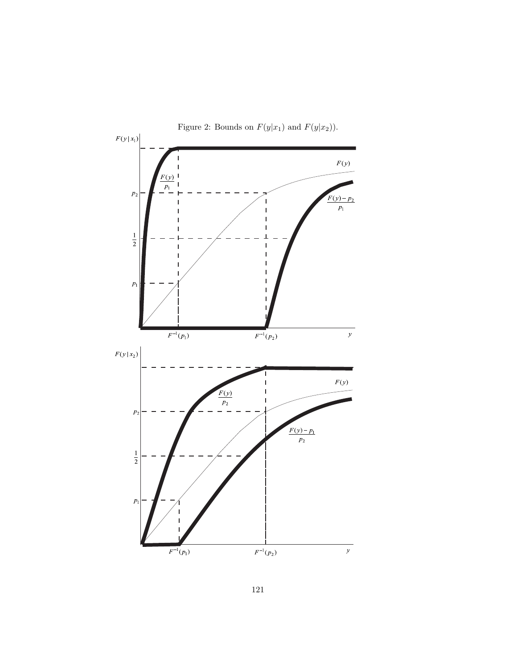

121